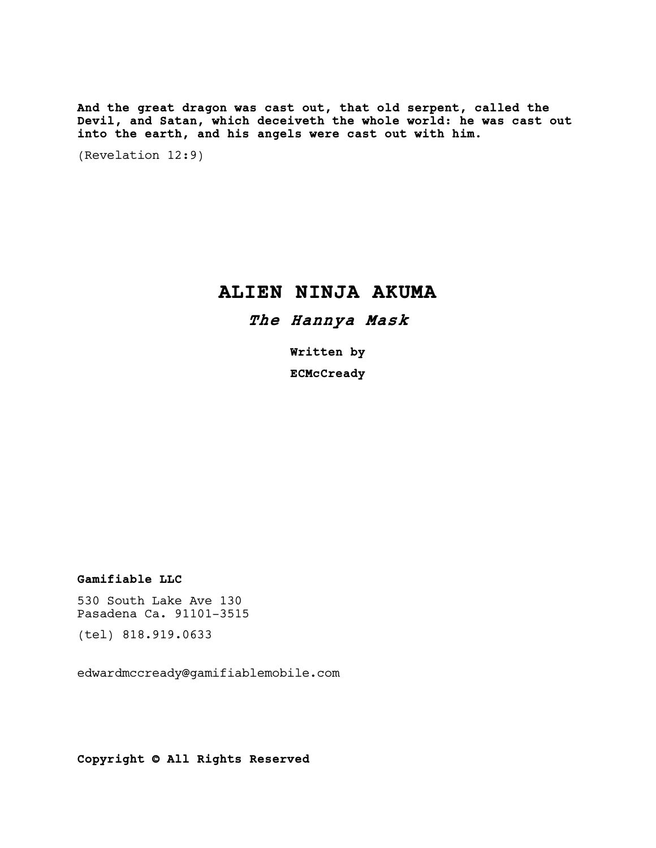And the great dragon was cast out, that old serpent, called the Devil, and Satan, which deceiveth the whole world: he was cast out into the earth, and his angels were cast out with him.

(Revelation 12:9)

# ALIEN NINJA AKUMA

## The Hannya Mask

Written by **ECMcCready** 

## Gamifiable LLC

530 South Lake Ave 130 Pasadena Ca. 91101-3515

(tel) 818.919.0633

edwardmccready@gamifiablemobile.com

Copyright © All Rights Reserved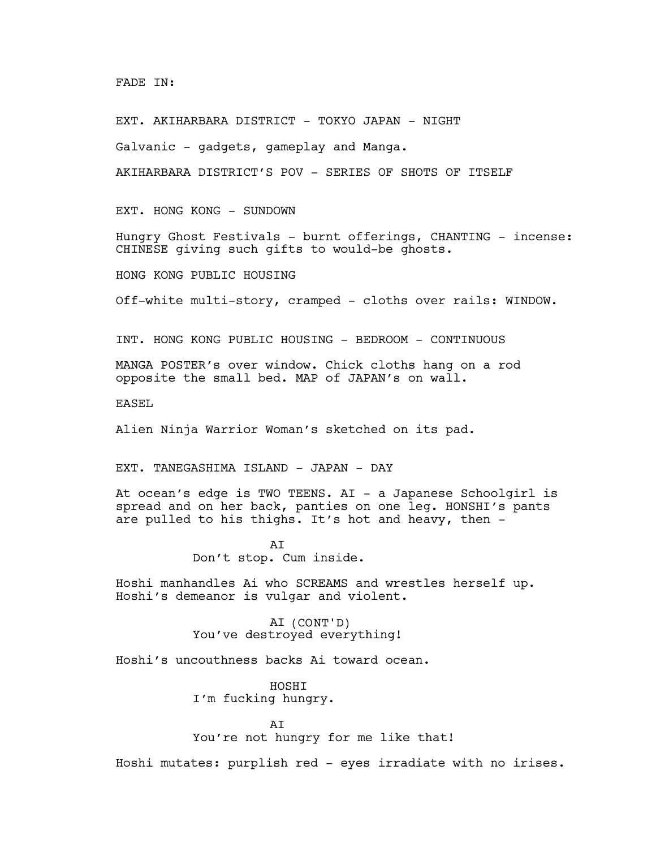## FADE IN:

EXT. AKIHARBARA DISTRICT - TOKYO JAPAN - NIGHT

Galvanic - gadgets, gameplay and Manga.

AKIHARBARA DISTRICT'S POV - SERIES OF SHOTS OF ITSELF

EXT. HONG KONG - SUNDOWN

Hungry Ghost Festivals - burnt offerings, CHANTING - incense: CHINESE giving such gifts to would-be ghosts.

HONG KONG PUBLIC HOUSING

Off-white multi-story, cramped - cloths over rails: WINDOW.

INT. HONG KONG PUBLIC HOUSING - BEDROOM - CONTINUOUS

MANGA POSTER's over window. Chick cloths hang on a rod opposite the small bed. MAP of JAPAN's on wall.

EASEL

Alien Ninja Warrior Woman's sketched on its pad.

EXT. TANEGASHIMA ISLAND - JAPAN - DAY

At ocean's edge is TWO TEENS. AI - a Japanese Schoolgirl is spread and on her back, panties on one leg. HONSHI's pants are pulled to his thighs. It's hot and heavy, then -

> AI Don't stop. Cum inside.

Hoshi manhandles Ai who SCREAMS and wrestles herself up. Hoshi's demeanor is vulgar and violent.

> AI (CONT'D) You've destroyed everything!

Hoshi's uncouthness backs Ai toward ocean.

HOSHI I'm fucking hungry.

**AT** You're not hungry for me like that!

Hoshi mutates: purplish red - eyes irradiate with no irises.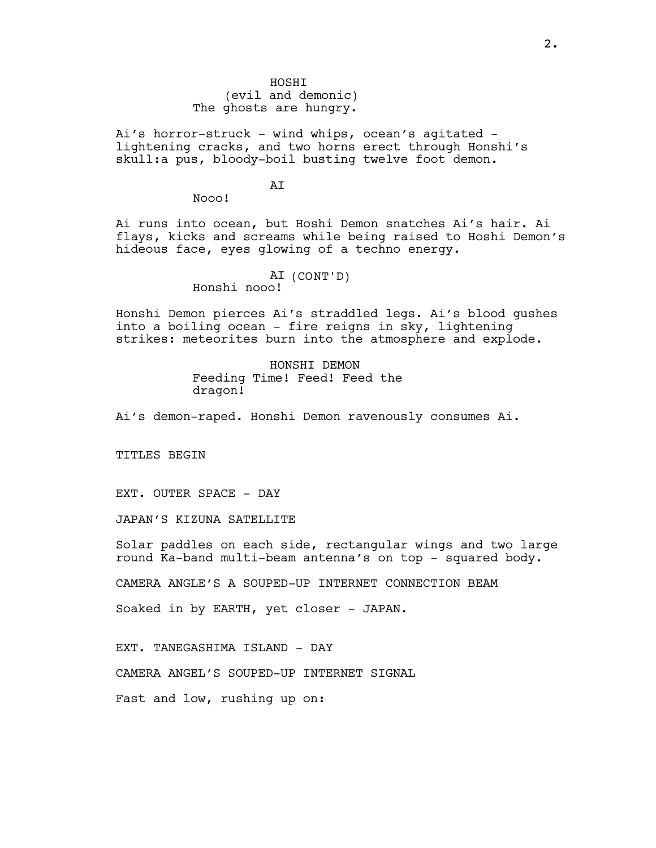HOSHI (evil and demonic) The ghosts are hungry.

Ai's horror-struck - wind whips, ocean's agitated lightening cracks, and two horns erect through Honshi's skull:a pus, bloody-boil busting twelve foot demon.

## **AT**

Nooo!

Ai runs into ocean, but Hoshi Demon snatches Ai's hair. Ai flays, kicks and screams while being raised to Hoshi Demon's hideous face, eyes glowing of a techno energy.

## AI (CONT'D) Honshi nooo!

Honshi Demon pierces Ai's straddled legs. Ai's blood gushes into a boiling ocean - fire reigns in sky, lightening strikes: meteorites burn into the atmosphere and explode.

> HONSHI DEMON Feeding Time! Feed! Feed the dragon!

Ai's demon-raped. Honshi Demon ravenously consumes Ai.

TITLES BEGIN

EXT. OUTER SPACE - DAY

JAPAN'S KIZUNA SATELLITE

Solar paddles on each side, rectangular wings and two large round Ka-band multi-beam antenna's on top - squared body.

CAMERA ANGLE'S A SOUPED-UP INTERNET CONNECTION BEAM

Soaked in by EARTH, yet closer - JAPAN.

EXT. TANEGASHIMA ISLAND - DAY

CAMERA ANGEL'S SOUPED-UP INTERNET SIGNAL

Fast and low, rushing up on: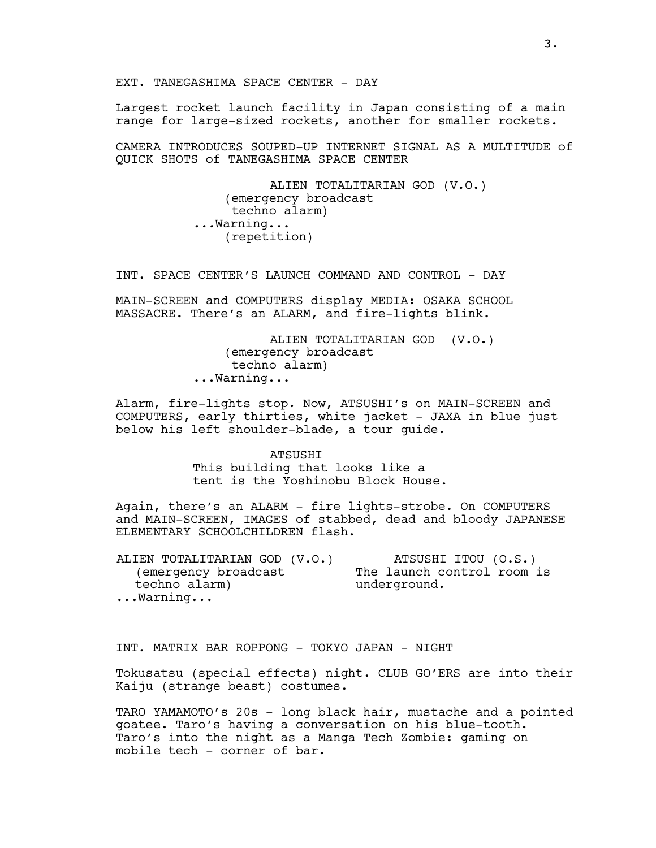EXT. TANEGASHIMA SPACE CENTER - DAY

Largest rocket launch facility in Japan consisting of a main range for large-sized rockets, another for smaller rockets.

CAMERA INTRODUCES SOUPED-UP INTERNET SIGNAL AS A MULTITUDE of QUICK SHOTS of TANEGASHIMA SPACE CENTER

> ALIEN TOTALITARIAN GOD (V.O.) (emergency broadcast techno alarm) ...Warning... (repetition)

INT. SPACE CENTER'S LAUNCH COMMAND AND CONTROL - DAY

MAIN-SCREEN and COMPUTERS display MEDIA: OSAKA SCHOOL MASSACRE. There's an ALARM, and fire-lights blink.

> ALIEN TOTALITARIAN GOD (V.O.) (emergency broadcast techno alarm) ...Warning...

Alarm, fire-lights stop. Now, ATSUSHI's on MAIN-SCREEN and COMPUTERS, early thirties, white jacket - JAXA in blue just below his left shoulder-blade, a tour guide.

> ATSUSHI This building that looks like a tent is the Yoshinobu Block House.

Again, there's an ALARM - fire lights-strobe. On COMPUTERS and MAIN-SCREEN, IMAGES of stabbed, dead and bloody JAPANESE ELEMENTARY SCHOOLCHILDREN flash.

| ALIEN TOTALITARIAN GOD (V.O.) | ATSUSHI ITOU (O.S.)        |
|-------------------------------|----------------------------|
| (emergency broadcast          | The launch control room is |
| techno alarm)                 | underground.               |
| $\ldots$ Warning              |                            |

INT. MATRIX BAR ROPPONG - TOKYO JAPAN - NIGHT

Tokusatsu (special effects) night. CLUB GO'ERS are into their Kaiju (strange beast) costumes.

TARO YAMAMOTO's 20s - long black hair, mustache and a pointed goatee. Taro's having a conversation on his blue-tooth. Taro's into the night as a Manga Tech Zombie: gaming on mobile tech - corner of bar.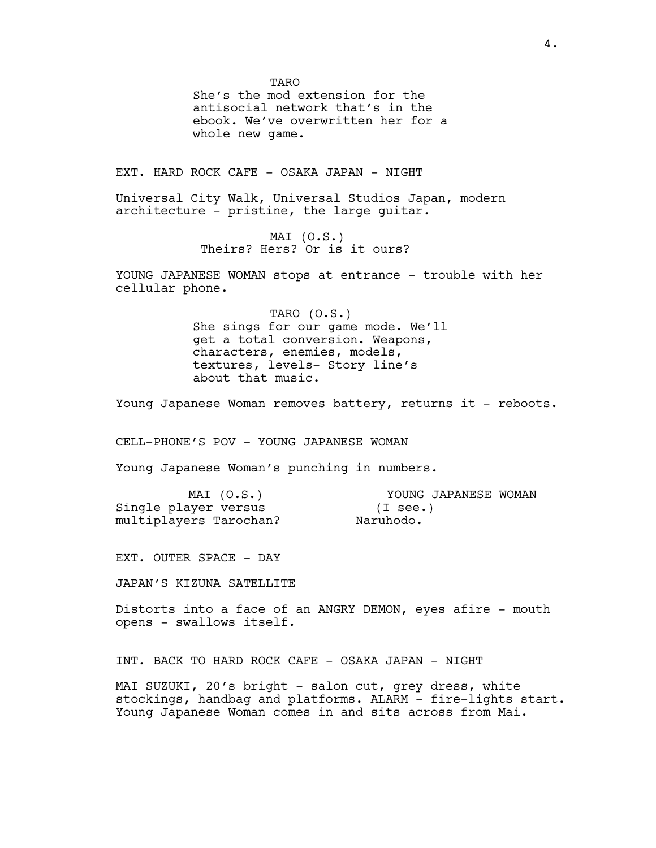**TARO** She's the mod extension for the antisocial network that's in the ebook. We've overwritten her for a whole new game.

EXT. HARD ROCK CAFE - OSAKA JAPAN - NIGHT

Universal City Walk, Universal Studios Japan, modern architecture - pristine, the large guitar.

> MAI (O.S.) Theirs? Hers? Or is it ours?

YOUNG JAPANESE WOMAN stops at entrance - trouble with her cellular phone.

> TARO (O.S.) She sings for our game mode. We'll get a total conversion. Weapons, characters, enemies, models, textures, levels- Story line's about that music.

Young Japanese Woman removes battery, returns it - reboots.

CELL-PHONE'S POV - YOUNG JAPANESE WOMAN

Young Japanese Woman's punching in numbers.

| MAT (O.S.)             | YOUNG JAPANESE WOMAN |
|------------------------|----------------------|
| Single player versus   | $(I \sec.)$          |
| multiplayers Tarochan? | Naruhodo.            |

EXT. OUTER SPACE - DAY

JAPAN'S KIZUNA SATELLITE

Distorts into a face of an ANGRY DEMON, eyes afire - mouth opens - swallows itself.

INT. BACK TO HARD ROCK CAFE - OSAKA JAPAN - NIGHT

MAI SUZUKI, 20's bright - salon cut, grey dress, white stockings, handbag and platforms. ALARM - fire-lights start. Young Japanese Woman comes in and sits across from Mai.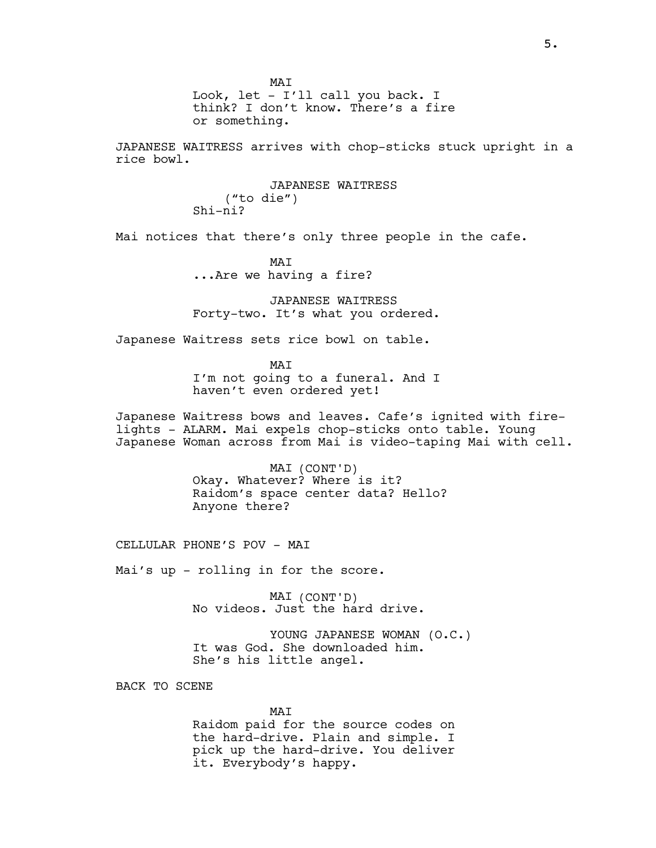MAI Look, let - I'll call you back. I think? I don't know. There's a fire or something.

JAPANESE WAITRESS arrives with chop-sticks stuck upright in a rice bowl.

> JAPANESE WAITRESS ("to die") Shi-ni?

Mai notices that there's only three people in the cafe.

MAI ...Are we having a fire?

JAPANESE WAITRESS Forty-two. It's what you ordered.

Japanese Waitress sets rice bowl on table.

MAI I'm not going to a funeral. And I haven't even ordered yet!

Japanese Waitress bows and leaves. Cafe's ignited with firelights - ALARM. Mai expels chop-sticks onto table. Young Japanese Woman across from Mai is video-taping Mai with cell.

> MAI (CONT'D) Okay. Whatever? Where is it? Raidom's space center data? Hello? Anyone there?

CELLULAR PHONE'S POV - MAI

Mai's up - rolling in for the score.

MAI (CONT'D) No videos. Just the hard drive.

YOUNG JAPANESE WOMAN (O.C.) It was God. She downloaded him. She's his little angel.

BACK TO SCENE

MAI Raidom paid for the source codes on the hard-drive. Plain and simple. I pick up the hard-drive. You deliver it. Everybody's happy.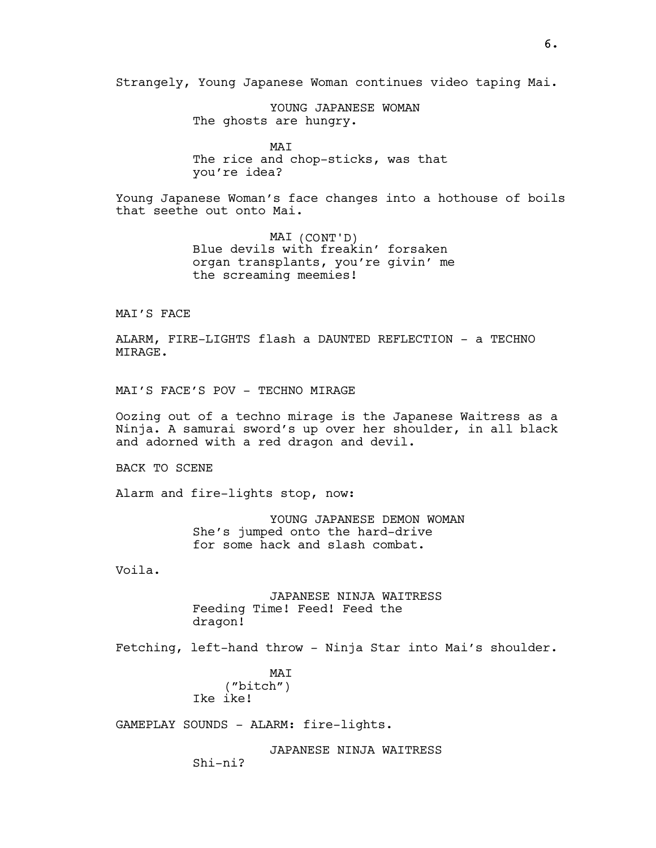Strangely, Young Japanese Woman continues video taping Mai.

YOUNG JAPANESE WOMAN The ghosts are hungry.

MAI The rice and chop-sticks, was that you're idea?

Young Japanese Woman's face changes into a hothouse of boils that seethe out onto Mai.

> MAI (CONT'D) Blue devils with freakin' forsaken organ transplants, you're givin' me the screaming meemies!

MAI'S FACE

ALARM, FIRE-LIGHTS flash a DAUNTED REFLECTION - a TECHNO MIRAGE.

MAI'S FACE'S POV - TECHNO MIRAGE

Oozing out of a techno mirage is the Japanese Waitress as a Ninja. A samurai sword's up over her shoulder, in all black and adorned with a red dragon and devil.

BACK TO SCENE

Alarm and fire-lights stop, now:

YOUNG JAPANESE DEMON WOMAN She's jumped onto the hard-drive for some hack and slash combat.

Voila.

JAPANESE NINJA WAITRESS Feeding Time! Feed! Feed the dragon!

Fetching, left-hand throw - Ninja Star into Mai's shoulder.

MAI ("bitch") Ike ike!

GAMEPLAY SOUNDS - ALARM: fire-lights.

JAPANESE NINJA WAITRESS Shi-ni?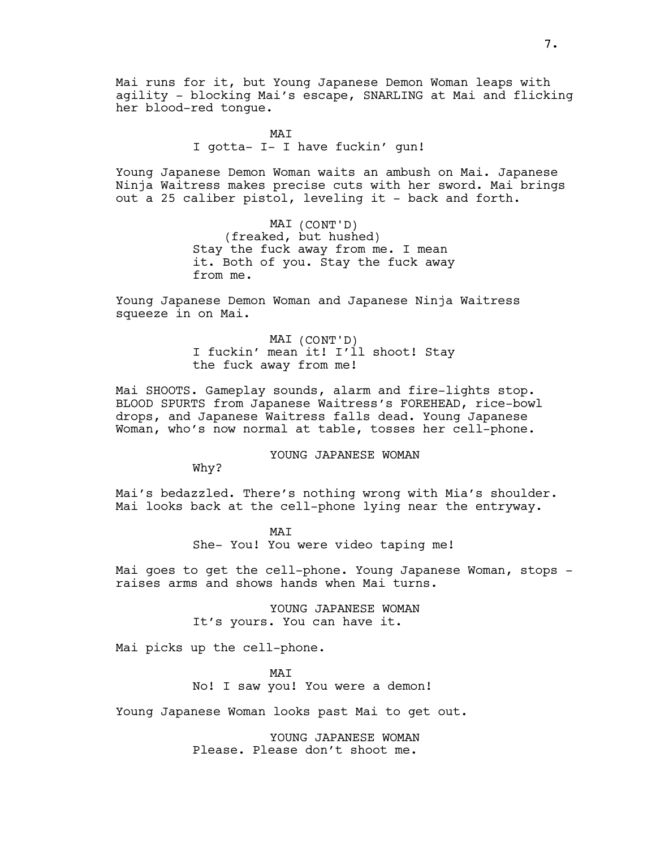Mai runs for it, but Young Japanese Demon Woman leaps with agility - blocking Mai's escape, SNARLING at Mai and flicking her blood-red tongue.

> MAI I gotta- I- I have fuckin' gun!

Young Japanese Demon Woman waits an ambush on Mai. Japanese Ninja Waitress makes precise cuts with her sword. Mai brings out a 25 caliber pistol, leveling it - back and forth.

> MAI (CONT'D) (freaked, but hushed) Stay the fuck away from me. I mean it. Both of you. Stay the fuck away from me.

Young Japanese Demon Woman and Japanese Ninja Waitress squeeze in on Mai.

> MAI (CONT'D) I fuckin' mean it! I'll shoot! Stay the fuck away from me!

Mai SHOOTS. Gameplay sounds, alarm and fire-lights stop. BLOOD SPURTS from Japanese Waitress's FOREHEAD, rice-bowl drops, and Japanese Waitress falls dead. Young Japanese Woman, who's now normal at table, tosses her cell-phone.

YOUNG JAPANESE WOMAN

Why?

Mai's bedazzled. There's nothing wrong with Mia's shoulder. Mai looks back at the cell-phone lying near the entryway.

> MAI She- You! You were video taping me!

Mai goes to get the cell-phone. Young Japanese Woman, stops raises arms and shows hands when Mai turns.

> YOUNG JAPANESE WOMAN It's yours. You can have it.

Mai picks up the cell-phone.

MAT No! I saw you! You were a demon!

Young Japanese Woman looks past Mai to get out.

YOUNG JAPANESE WOMAN Please. Please don't shoot me.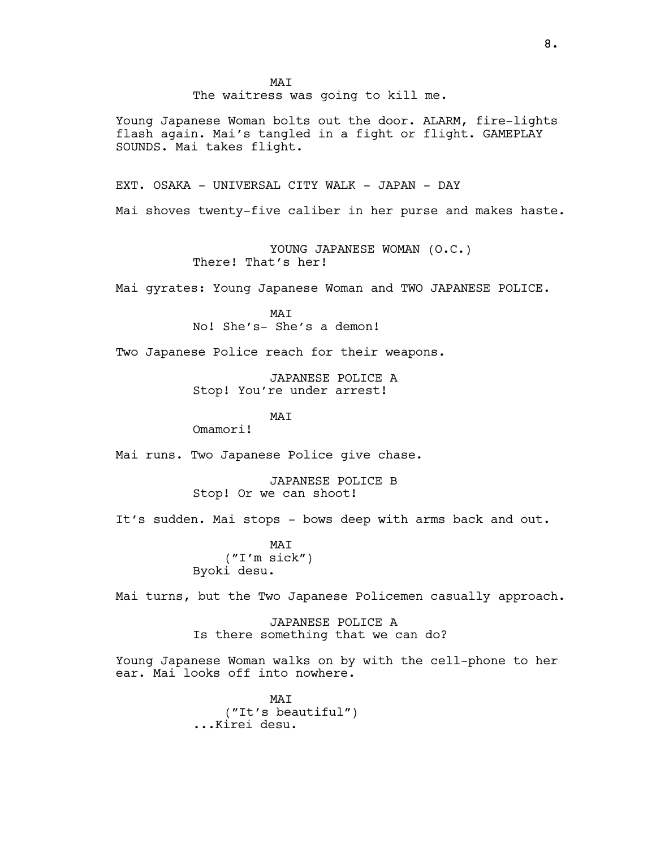MAI The waitress was going to kill me. Young Japanese Woman bolts out the door. ALARM, fire-lights flash again. Mai's tangled in a fight or flight. GAMEPLAY SOUNDS. Mai takes flight. EXT. OSAKA - UNIVERSAL CITY WALK - JAPAN - DAY Mai shoves twenty-five caliber in her purse and makes haste. YOUNG JAPANESE WOMAN (O.C.) There! That's her! Mai gyrates: Young Japanese Woman and TWO JAPANESE POLICE. MAI No! She's- She's a demon! Two Japanese Police reach for their weapons. JAPANESE POLICE A Stop! You're under arrest! MAT Omamori! Mai runs. Two Japanese Police give chase. JAPANESE POLICE B Stop! Or we can shoot! It's sudden. Mai stops - bows deep with arms back and out. MAI ("I'm sick") Byoki desu. Mai turns, but the Two Japanese Policemen casually approach. JAPANESE POLICE A Is there something that we can do? Young Japanese Woman walks on by with the cell-phone to her ear. Mai looks off into nowhere.

> MAI ("It's beautiful") ...Kirei desu.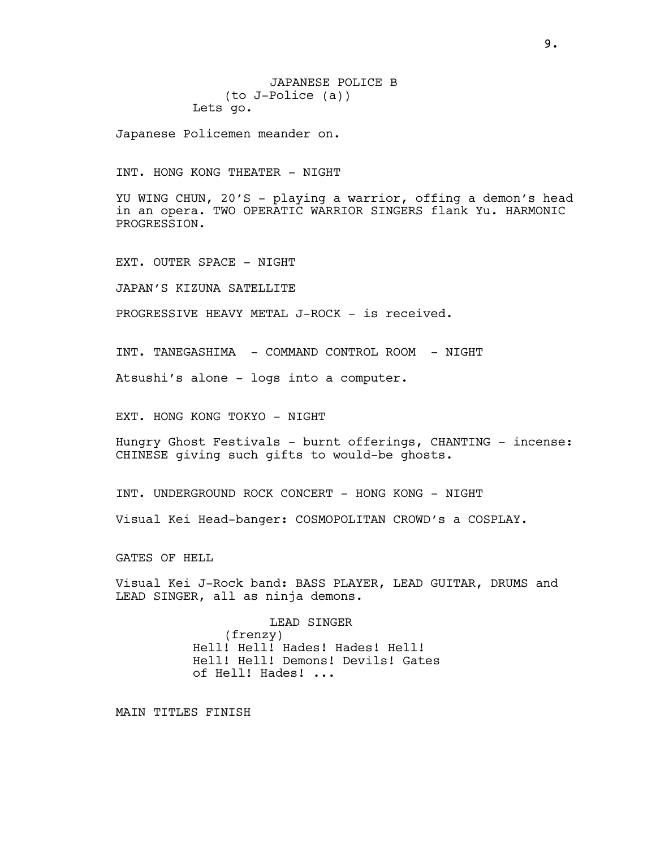JAPANESE POLICE B (to J-Police (a)) Lets go.

Japanese Policemen meander on.

INT. HONG KONG THEATER - NIGHT

YU WING CHUN, 20'S - playing a warrior, offing a demon's head in an opera. TWO OPERATIC WARRIOR SINGERS flank Yu. HARMONIC PROGRESSION.

EXT. OUTER SPACE - NIGHT

JAPAN'S KIZUNA SATELLITE

PROGRESSIVE HEAVY METAL J-ROCK - is received.

INT. TANEGASHIMA - COMMAND CONTROL ROOM - NIGHT

Atsushi's alone - logs into a computer.

EXT. HONG KONG TOKYO - NIGHT

Hungry Ghost Festivals - burnt offerings, CHANTING - incense: CHINESE giving such gifts to would-be ghosts.

INT. UNDERGROUND ROCK CONCERT - HONG KONG - NIGHT

Visual Kei Head-banger: COSMOPOLITAN CROWD's a COSPLAY.

GATES OF HELL

Visual Kei J-Rock band: BASS PLAYER, LEAD GUITAR, DRUMS and LEAD SINGER, all as ninja demons.

> LEAD SINGER (frenzy) Hell! Hell! Hades! Hades! Hell! Hell! Hell! Demons! Devils! Gates of Hell! Hades! ...

MAIN TITLES FINISH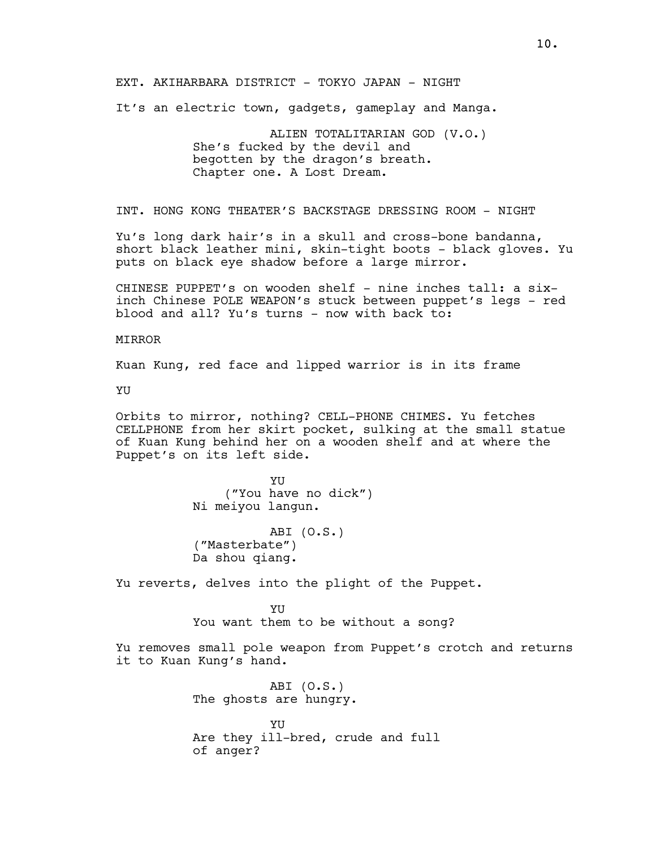EXT. AKIHARBARA DISTRICT - TOKYO JAPAN - NIGHT

It's an electric town, gadgets, gameplay and Manga.

ALIEN TOTALITARIAN GOD (V.O.) She's fucked by the devil and begotten by the dragon's breath. Chapter one. A Lost Dream.

INT. HONG KONG THEATER'S BACKSTAGE DRESSING ROOM - NIGHT

Yu's long dark hair's in a skull and cross-bone bandanna, short black leather mini, skin-tight boots - black gloves. Yu puts on black eye shadow before a large mirror.

CHINESE PUPPET's on wooden shelf - nine inches tall: a sixinch Chinese POLE WEAPON's stuck between puppet's legs - red blood and all? Yu's turns - now with back to:

#### MIRROR

Kuan Kung, red face and lipped warrior is in its frame

YU

Orbits to mirror, nothing? CELL-PHONE CHIMES. Yu fetches CELLPHONE from her skirt pocket, sulking at the small statue of Kuan Kung behind her on a wooden shelf and at where the Puppet's on its left side.

> YU ("You have no dick") Ni meiyou langun.

ABI (O.S.) ("Masterbate") Da shou qiang.

Yu reverts, delves into the plight of the Puppet.

**YII** You want them to be without a song?

Yu removes small pole weapon from Puppet's crotch and returns it to Kuan Kung's hand.

> ABI (O.S.) The ghosts are hungry.

**YII** Are they ill-bred, crude and full of anger?

10.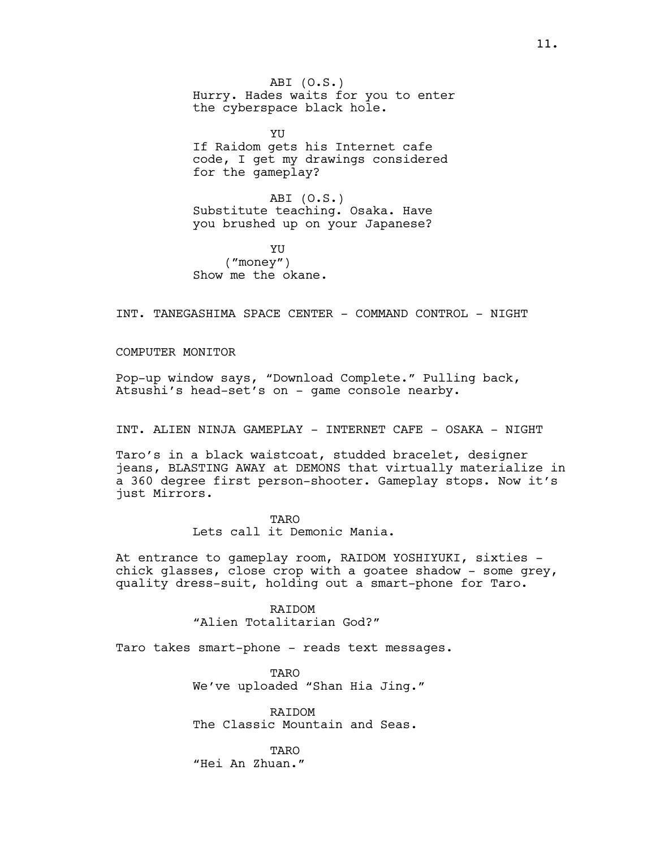ABI (O.S.) Hurry. Hades waits for you to enter the cyberspace black hole.

YU If Raidom gets his Internet cafe code, I get my drawings considered for the gameplay?

ABI (O.S.) Substitute teaching. Osaka. Have you brushed up on your Japanese?

YU ("money") Show me the okane.

INT. TANEGASHIMA SPACE CENTER - COMMAND CONTROL - NIGHT

COMPUTER MONITOR

Pop-up window says, "Download Complete." Pulling back, Atsushi's head-set's on - game console nearby.

INT. ALIEN NINJA GAMEPLAY - INTERNET CAFE - OSAKA - NIGHT

Taro's in a black waistcoat, studded bracelet, designer jeans, BLASTING AWAY at DEMONS that virtually materialize in a 360 degree first person-shooter. Gameplay stops. Now it's just Mirrors.

> TARO Lets call it Demonic Mania.

At entrance to gameplay room, RAIDOM YOSHIYUKI, sixties chick glasses, close crop with a goatee shadow - some grey, quality dress-suit, holding out a smart-phone for Taro.

> RAIDOM "Alien Totalitarian God?"

Taro takes smart-phone - reads text messages.

TARO We've uploaded "Shan Hia Jing."

RAIDOM The Classic Mountain and Seas.

**TARO** "Hei An Zhuan."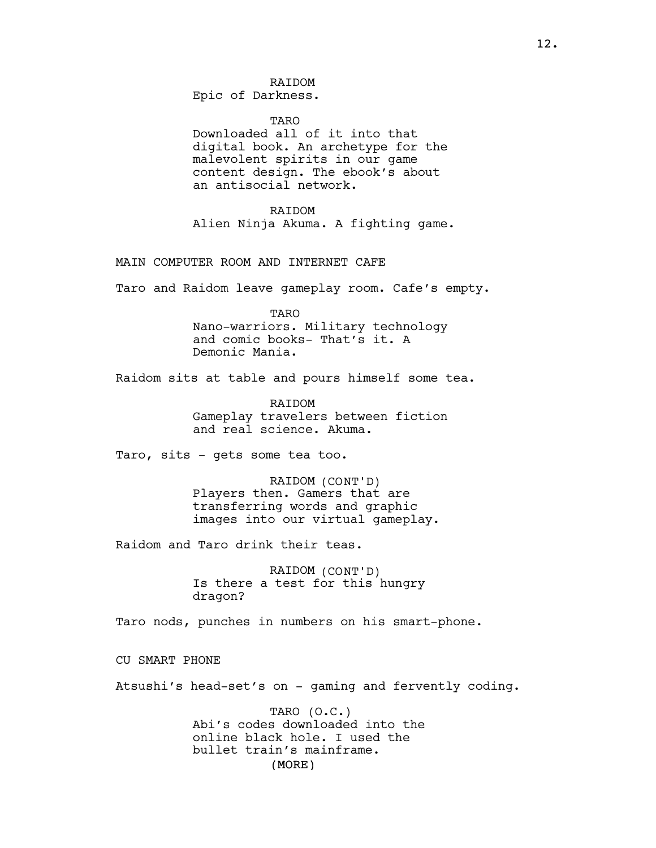Epic of Darkness.

**TARO** 

Downloaded all of it into that digital book. An archetype for the malevolent spirits in our game content design. The ebook's about an antisocial network.

**RAIDOM** Alien Ninja Akuma. A fighting game.

MAIN COMPUTER ROOM AND INTERNET CAFE

Taro and Raidom leave gameplay room. Cafe's empty.

TARO

Nano-warriors. Military technology and comic books- That's it. A Demonic Mania.

Raidom sits at table and pours himself some tea.

RAIDOM Gameplay travelers between fiction and real science. Akuma.

Taro, sits - gets some tea too.

RAIDOM (CONT'D) Players then. Gamers that are transferring words and graphic images into our virtual gameplay.

Raidom and Taro drink their teas.

RAIDOM (CONT'D) Is there a test for this hungry dragon?

Taro nods, punches in numbers on his smart-phone.

CU SMART PHONE

Atsushi's head-set's on - gaming and fervently coding.

(MORE) TARO (O.C.) Abi's codes downloaded into the online black hole. I used the bullet train's mainframe.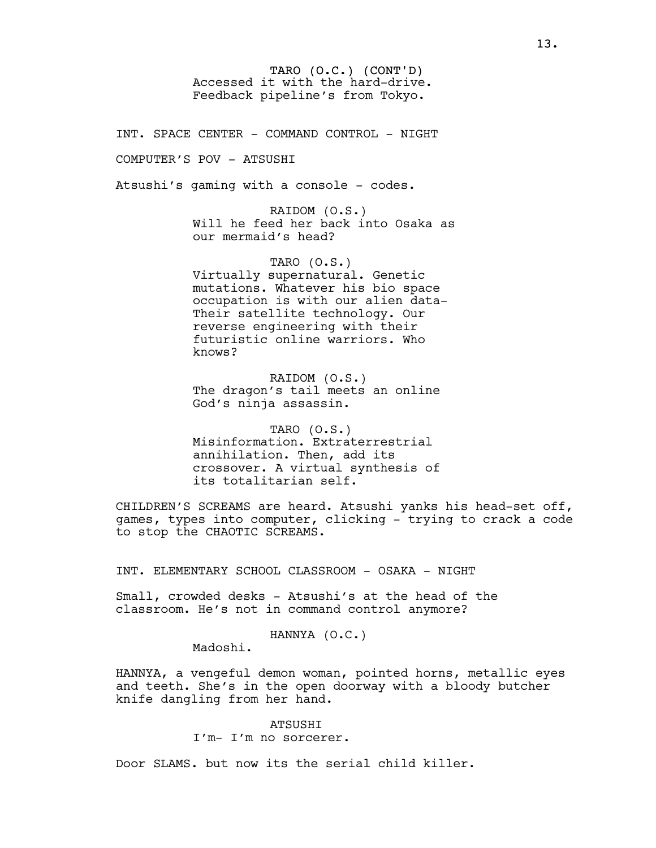TARO (O.C.) (CONT'D) Accessed it with the hard-drive. Feedback pipeline's from Tokyo.

INT. SPACE CENTER - COMMAND CONTROL - NIGHT

COMPUTER'S POV - ATSUSHI

Atsushi's gaming with a console - codes.

RAIDOM (O.S.) Will he feed her back into Osaka as our mermaid's head?

TARO (O.S.) Virtually supernatural. Genetic mutations. Whatever his bio space occupation is with our alien data-Their satellite technology. Our reverse engineering with their futuristic online warriors. Who knows?

RAIDOM (O.S.) The dragon's tail meets an online God's ninja assassin.

TARO (O.S.) Misinformation. Extraterrestrial annihilation. Then, add its crossover. A virtual synthesis of its totalitarian self.

CHILDREN'S SCREAMS are heard. Atsushi yanks his head-set off, games, types into computer, clicking - trying to crack a code to stop the CHAOTIC SCREAMS.

INT. ELEMENTARY SCHOOL CLASSROOM - OSAKA - NIGHT

Small, crowded desks - Atsushi's at the head of the classroom. He's not in command control anymore?

HANNYA (O.C.)

Madoshi.

HANNYA, a vengeful demon woman, pointed horns, metallic eyes and teeth. She's in the open doorway with a bloody butcher knife dangling from her hand.

> **ATSUSHT** I'm- I'm no sorcerer.

Door SLAMS. but now its the serial child killer.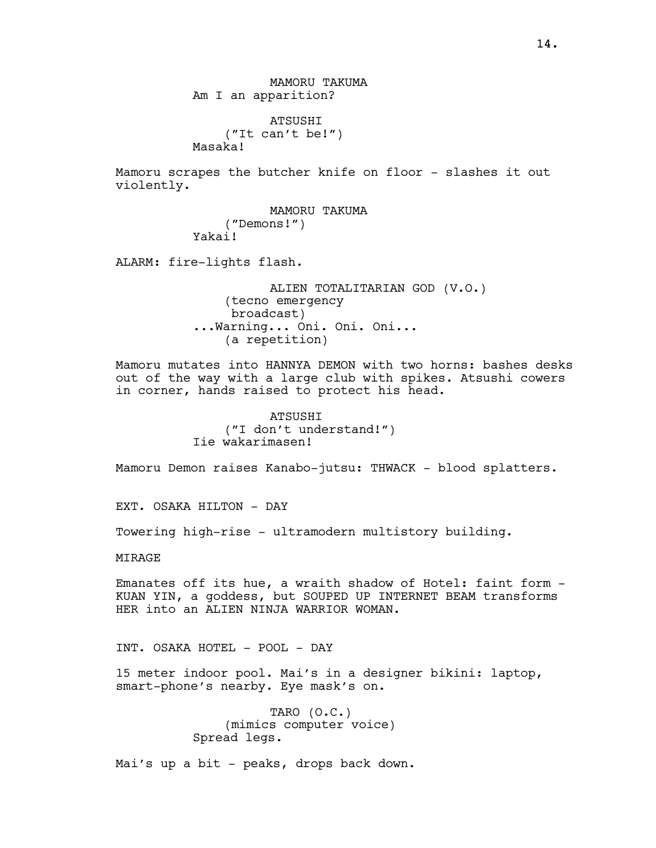ATSUSHI ("It can't be!") Masaka!

Mamoru scrapes the butcher knife on floor - slashes it out violently.

> MAMORU TAKUMA ("Demons!") Yakai!

ALARM: fire-lights flash.

ALIEN TOTALITARIAN GOD (V.O.) (tecno emergency broadcast) ...Warning... Oni. Oni. Oni... (a repetition)

Mamoru mutates into HANNYA DEMON with two horns: bashes desks out of the way with a large club with spikes. Atsushi cowers in corner, hands raised to protect his head.

> **ATSUSHT** ("I don't understand!") Iie wakarimasen!

Mamoru Demon raises Kanabo-jutsu: THWACK - blood splatters.

EXT. OSAKA HILTON - DAY

Towering high-rise - ultramodern multistory building.

**MTRAGE** 

Emanates off its hue, a wraith shadow of Hotel: faint form - KUAN YIN, a goddess, but SOUPED UP INTERNET BEAM transforms HER into an ALIEN NINJA WARRIOR WOMAN.

INT. OSAKA HOTEL - POOL - DAY

15 meter indoor pool. Mai's in a designer bikini: laptop, smart-phone's nearby. Eye mask's on.

> TARO (O.C.) (mimics computer voice) Spread legs.

Mai's up a bit - peaks, drops back down.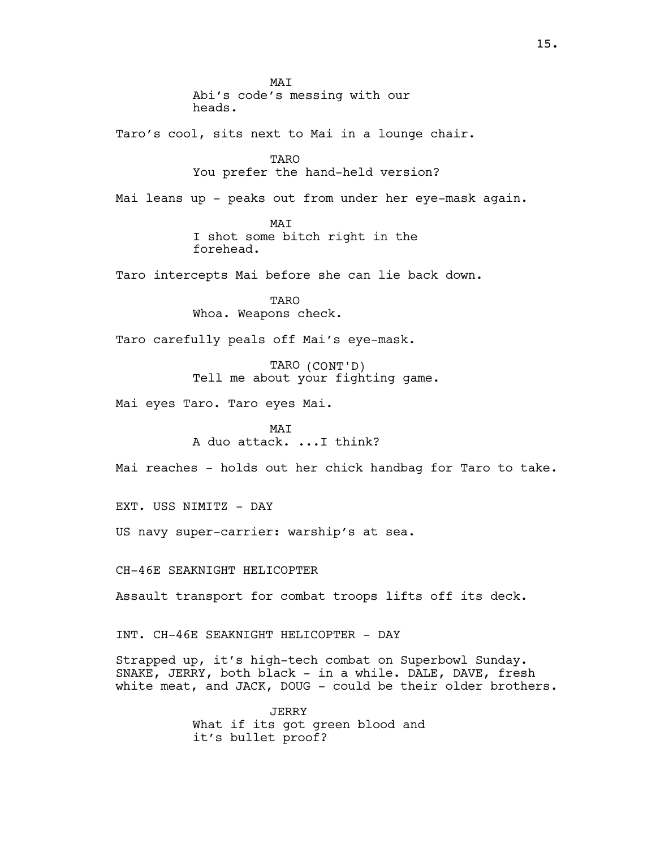MAI Abi's code's messing with our heads.

Taro's cool, sits next to Mai in a lounge chair.

TARO You prefer the hand-held version?

Mai leans up - peaks out from under her eye-mask again.

MAI I shot some bitch right in the forehead.

Taro intercepts Mai before she can lie back down.

**TARO** Whoa. Weapons check.

Taro carefully peals off Mai's eye-mask.

TARO (CONT'D) Tell me about your fighting game.

Mai eyes Taro. Taro eyes Mai.

 $M\Delta T$ A duo attack. ...I think?

Mai reaches - holds out her chick handbag for Taro to take.

EXT. USS NIMITZ - DAY

US navy super-carrier: warship's at sea.

CH-46E SEAKNIGHT HELICOPTER

Assault transport for combat troops lifts off its deck.

INT. CH-46E SEAKNIGHT HELICOPTER - DAY

Strapped up, it's high-tech combat on Superbowl Sunday. SNAKE, JERRY, both black - in a while. DALE, DAVE, fresh white meat, and JACK, DOUG - could be their older brothers.

> JERRY What if its got green blood and it's bullet proof?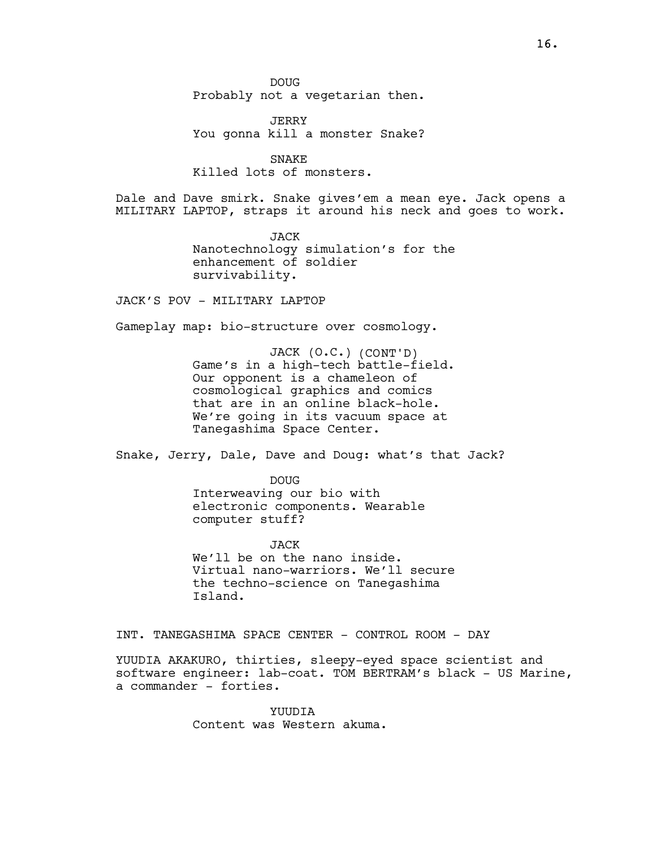DOUG Probably not a vegetarian then.

JERRY You gonna kill a monster Snake?

**SNAKE** Killed lots of monsters.

Dale and Dave smirk. Snake gives'em a mean eye. Jack opens a MILITARY LAPTOP, straps it around his neck and goes to work.

> JACK Nanotechnology simulation's for the enhancement of soldier survivability.

JACK'S POV - MILITARY LAPTOP

Gameplay map: bio-structure over cosmology.

JACK (O.C.) (CONT'D) Game's in a high-tech battle-field. Our opponent is a chameleon of cosmological graphics and comics that are in an online black-hole. We're going in its vacuum space at Tanegashima Space Center.

Snake, Jerry, Dale, Dave and Doug: what's that Jack?

DOUG Interweaving our bio with electronic components. Wearable computer stuff?

JACK We'll be on the nano inside. Virtual nano-warriors. We'll secure the techno-science on Tanegashima Island.

INT. TANEGASHIMA SPACE CENTER - CONTROL ROOM - DAY

YUUDIA AKAKURO, thirties, sleepy-eyed space scientist and software engineer: lab-coat. TOM BERTRAM's black - US Marine, a commander - forties.

> YUUDIA Content was Western akuma.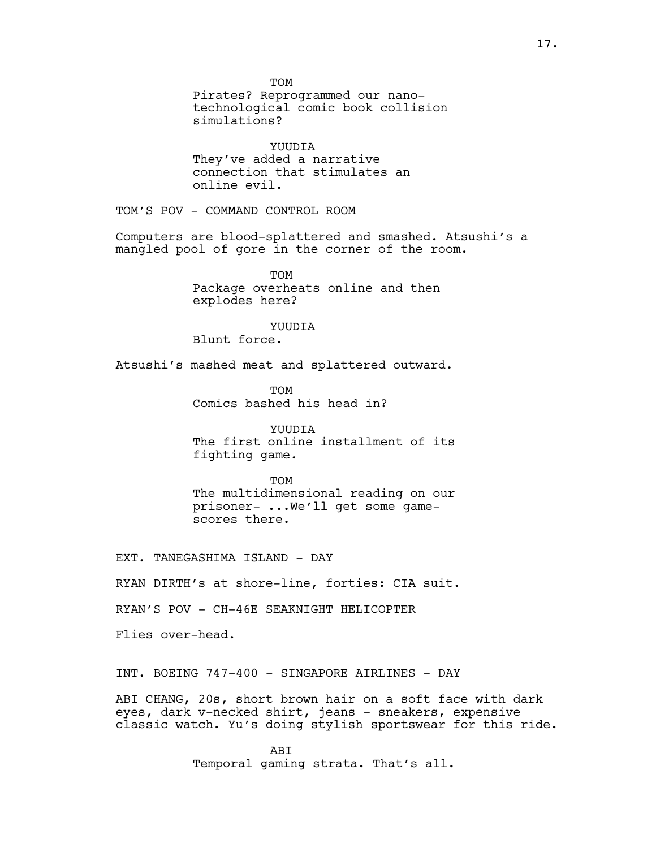TOM Pirates? Reprogrammed our nanotechnological comic book collision simulations? YUUDIA They've added a narrative connection that stimulates an online evil. TOM'S POV - COMMAND CONTROL ROOM Computers are blood-splattered and smashed. Atsushi's a mangled pool of gore in the corner of the room. **TOM** Package overheats online and then explodes here? **YUUDIA** Blunt force. Atsushi's mashed meat and splattered outward. TOM Comics bashed his head in? YUUDIA The first online installment of its fighting game. **TOM** The multidimensional reading on our prisoner- ...We'll get some gamescores there. EXT. TANEGASHIMA ISLAND - DAY RYAN DIRTH's at shore-line, forties: CIA suit. RYAN'S POV - CH-46E SEAKNIGHT HELICOPTER Flies over-head. INT. BOEING 747-400 - SINGAPORE AIRLINES - DAY

ABI CHANG, 20s, short brown hair on a soft face with dark eyes, dark v-necked shirt, jeans - sneakers, expensive classic watch. Yu's doing stylish sportswear for this ride.

> **ABT** Temporal gaming strata. That's all.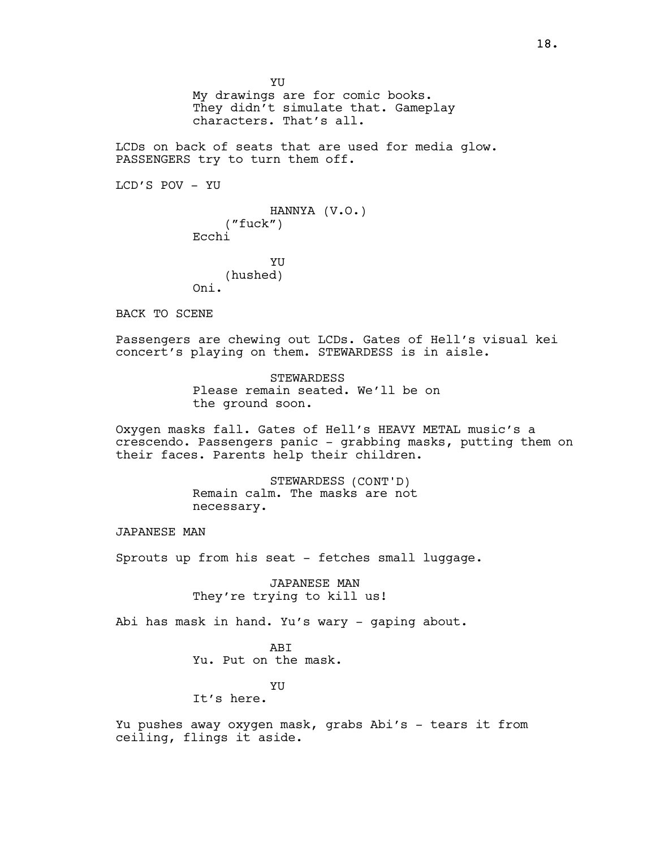YU My drawings are for comic books. They didn't simulate that. Gameplay characters. That's all.

LCDs on back of seats that are used for media glow. PASSENGERS try to turn them off.

LCD'S POV - YU

HANNYA (V.O.) ("fuck") Ecchi

YU (hushed) Oni.

BACK TO SCENE

Passengers are chewing out LCDs. Gates of Hell's visual kei concert's playing on them. STEWARDESS is in aisle.

> STEWARDESS Please remain seated. We'll be on the ground soon.

Oxygen masks fall. Gates of Hell's HEAVY METAL music's a crescendo. Passengers panic - grabbing masks, putting them on their faces. Parents help their children.

> STEWARDESS (CONT'D) Remain calm. The masks are not necessary.

JAPANESE MAN

Sprouts up from his seat - fetches small luggage.

JAPANESE MAN They're trying to kill us!

Abi has mask in hand. Yu's wary - gaping about.

**ABT** Yu. Put on the mask.

YU

It's here.

Yu pushes away oxygen mask, grabs Abi's - tears it from ceiling, flings it aside.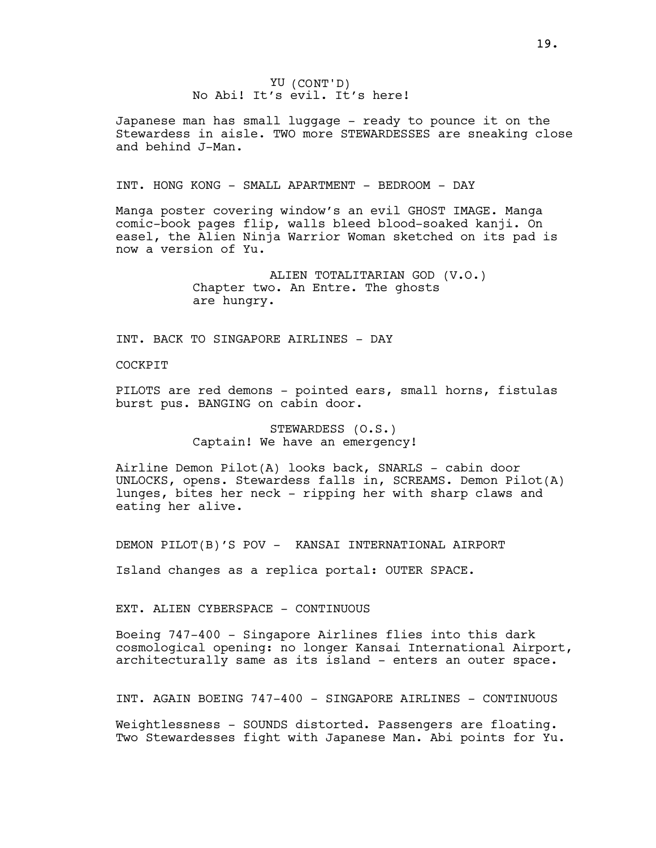YU (CONT'D) No Abi! It's evil. It's here!

Japanese man has small luggage - ready to pounce it on the Stewardess in aisle. TWO more STEWARDESSES are sneaking close and behind J-Man.

INT. HONG KONG - SMALL APARTMENT - BEDROOM - DAY

Manga poster covering window's an evil GHOST IMAGE. Manga comic-book pages flip, walls bleed blood-soaked kanji. On easel, the Alien Ninja Warrior Woman sketched on its pad is now a version of Yu.

> ALIEN TOTALITARIAN GOD (V.O.) Chapter two. An Entre. The ghosts are hungry.

INT. BACK TO SINGAPORE AIRLINES - DAY

COCKPIT

PILOTS are red demons - pointed ears, small horns, fistulas burst pus. BANGING on cabin door.

> STEWARDESS (O.S.) Captain! We have an emergency!

Airline Demon Pilot(A) looks back, SNARLS - cabin door UNLOCKS, opens. Stewardess falls in, SCREAMS. Demon Pilot(A) lunges, bites her neck - ripping her with sharp claws and eating her alive.

DEMON PILOT(B)'S POV - KANSAI INTERNATIONAL AIRPORT

Island changes as a replica portal: OUTER SPACE.

EXT. ALIEN CYBERSPACE - CONTINUOUS

Boeing 747-400 - Singapore Airlines flies into this dark cosmological opening: no longer Kansai International Airport, architecturally same as its island - enters an outer space.

INT. AGAIN BOEING 747-400 - SINGAPORE AIRLINES - CONTINUOUS

Weightlessness - SOUNDS distorted. Passengers are floating. Two Stewardesses fight with Japanese Man. Abi points for Yu.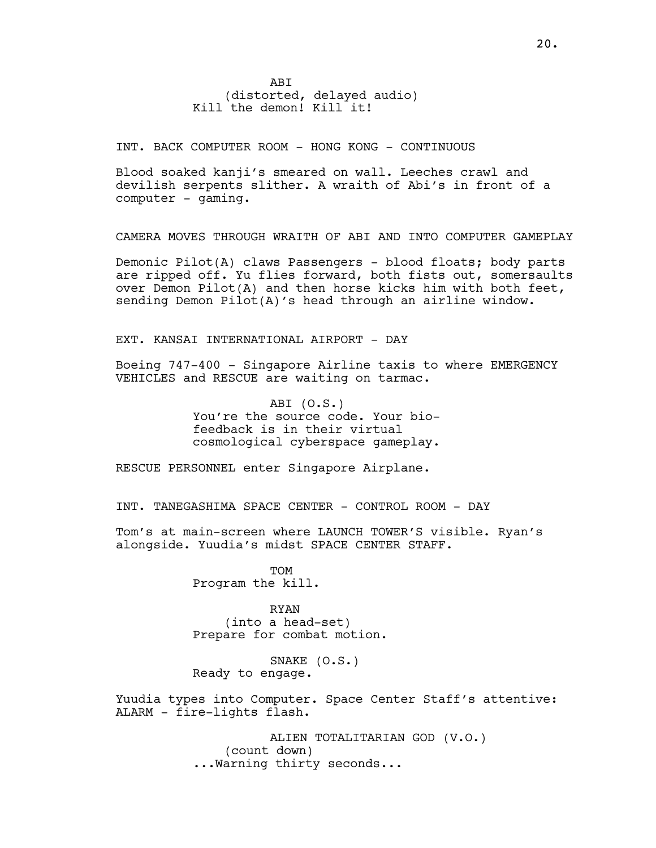INT. BACK COMPUTER ROOM - HONG KONG - CONTINUOUS

Blood soaked kanji's smeared on wall. Leeches crawl and devilish serpents slither. A wraith of Abi's in front of a computer - gaming.

CAMERA MOVES THROUGH WRAITH OF ABI AND INTO COMPUTER GAMEPLAY

Demonic Pilot(A) claws Passengers - blood floats; body parts are ripped off. Yu flies forward, both fists out, somersaults over Demon Pilot(A) and then horse kicks him with both feet, sending Demon Pilot(A)'s head through an airline window.

EXT. KANSAI INTERNATIONAL AIRPORT - DAY

Boeing 747-400 - Singapore Airline taxis to where EMERGENCY VEHICLES and RESCUE are waiting on tarmac.

> ABI (O.S.) You're the source code. Your biofeedback is in their virtual cosmological cyberspace gameplay.

RESCUE PERSONNEL enter Singapore Airplane.

INT. TANEGASHIMA SPACE CENTER - CONTROL ROOM - DAY

Tom's at main-screen where LAUNCH TOWER'S visible. Ryan's alongside. Yuudia's midst SPACE CENTER STAFF.

> **TOM** Program the kill.

RYAN (into a head-set) Prepare for combat motion.

SNAKE (O.S.) Ready to engage.

Yuudia types into Computer. Space Center Staff's attentive: ALARM - fire-lights flash.

> ALIEN TOTALITARIAN GOD (V.O.) (count down) ...Warning thirty seconds...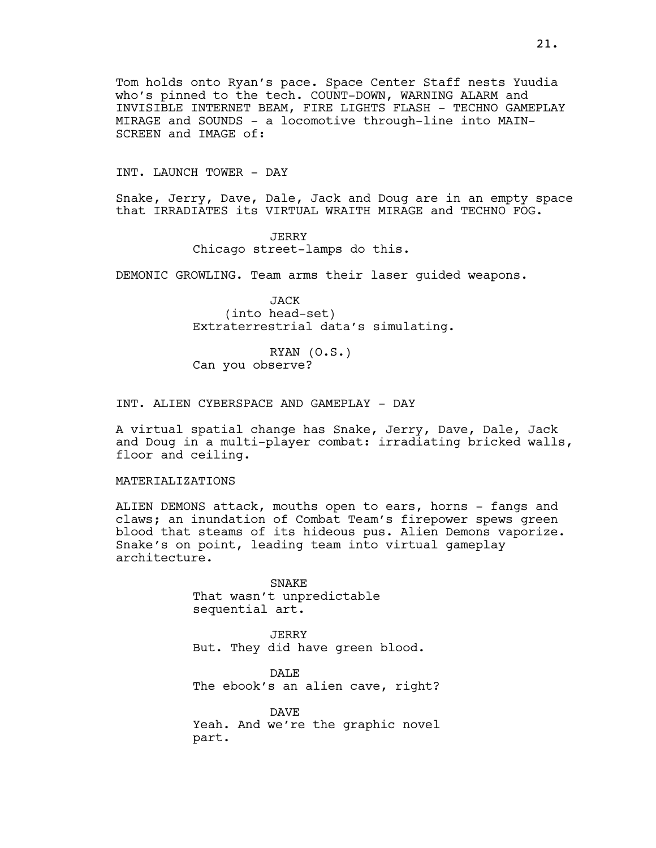Tom holds onto Ryan's pace. Space Center Staff nests Yuudia who's pinned to the tech. COUNT-DOWN, WARNING ALARM and INVISIBLE INTERNET BEAM, FIRE LIGHTS FLASH - TECHNO GAMEPLAY MIRAGE and SOUNDS - a locomotive through-line into MAIN-SCREEN and IMAGE of:

INT. LAUNCH TOWER - DAY

Snake, Jerry, Dave, Dale, Jack and Doug are in an empty space that IRRADIATES its VIRTUAL WRAITH MIRAGE and TECHNO FOG.

> JERRY Chicago street-lamps do this.

DEMONIC GROWLING. Team arms their laser guided weapons.

JACK (into head-set) Extraterrestrial data's simulating.

RYAN (O.S.) Can you observe?

INT. ALIEN CYBERSPACE AND GAMEPLAY - DAY

A virtual spatial change has Snake, Jerry, Dave, Dale, Jack and Doug in a multi-player combat: irradiating bricked walls, floor and ceiling.

MATERIALIZATIONS

ALIEN DEMONS attack, mouths open to ears, horns - fangs and claws; an inundation of Combat Team's firepower spews green blood that steams of its hideous pus. Alien Demons vaporize. Snake's on point, leading team into virtual gameplay architecture.

> SNAKE That wasn't unpredictable sequential art.

JERRY But. They did have green blood.

DALE The ebook's an alien cave, right?

DAVE Yeah. And we're the graphic novel part.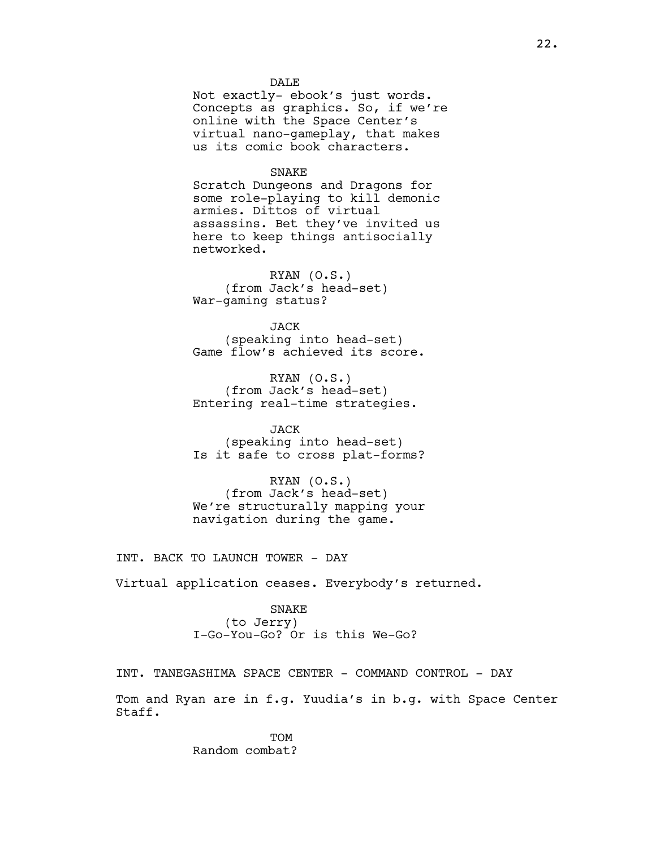DALE Not exactly- ebook's just words. Concepts as graphics. So, if we're online with the Space Center's virtual nano-gameplay, that makes us its comic book characters.

#### SNAKE

Scratch Dungeons and Dragons for some role-playing to kill demonic armies. Dittos of virtual assassins. Bet they've invited us here to keep things antisocially networked.

RYAN (O.S.) (from Jack's head-set) War-gaming status?

**JACK** (speaking into head-set) Game flow's achieved its score.

RYAN (O.S.) (from Jack's head-set) Entering real-time strategies.

JACK (speaking into head-set) Is it safe to cross plat-forms?

RYAN (O.S.) (from Jack's head-set) We're structurally mapping your navigation during the game.

INT. BACK TO LAUNCH TOWER - DAY

Virtual application ceases. Everybody's returned.

SNAKE (to Jerry) I-Go-You-Go? Or is this We-Go?

INT. TANEGASHIMA SPACE CENTER - COMMAND CONTROL - DAY Tom and Ryan are in f.g. Yuudia's in b.g. with Space Center Staff.

> TOM Random combat?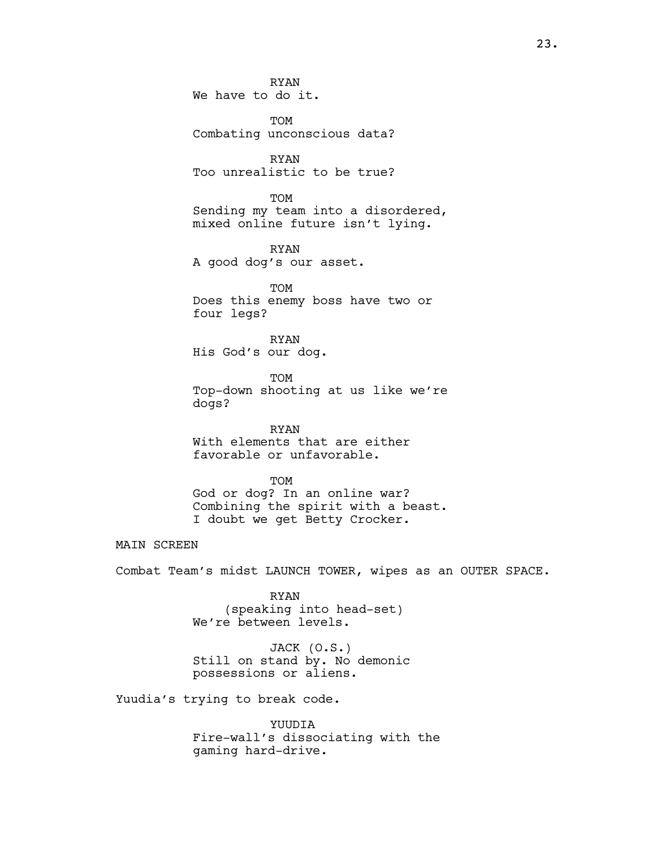RYAN We have to do it.

TOM Combating unconscious data?

RYAN Too unrealistic to be true?

**TOM** Sending my team into a disordered, mixed online future isn't lying.

RYAN A good dog's our asset.

TOM Does this enemy boss have two or four legs?

RYAN His God's our dog.

TOM Top-down shooting at us like we're dogs?

RYAN With elements that are either favorable or unfavorable.

TOM God or dog? In an online war?

Combining the spirit with a beast. I doubt we get Betty Crocker.

MAIN SCREEN

Combat Team's midst LAUNCH TOWER, wipes as an OUTER SPACE.

RYAN (speaking into head-set) We're between levels.

JACK (O.S.) Still on stand by. No demonic possessions or aliens.

Yuudia's trying to break code.

YUUDIA Fire-wall's dissociating with the gaming hard-drive.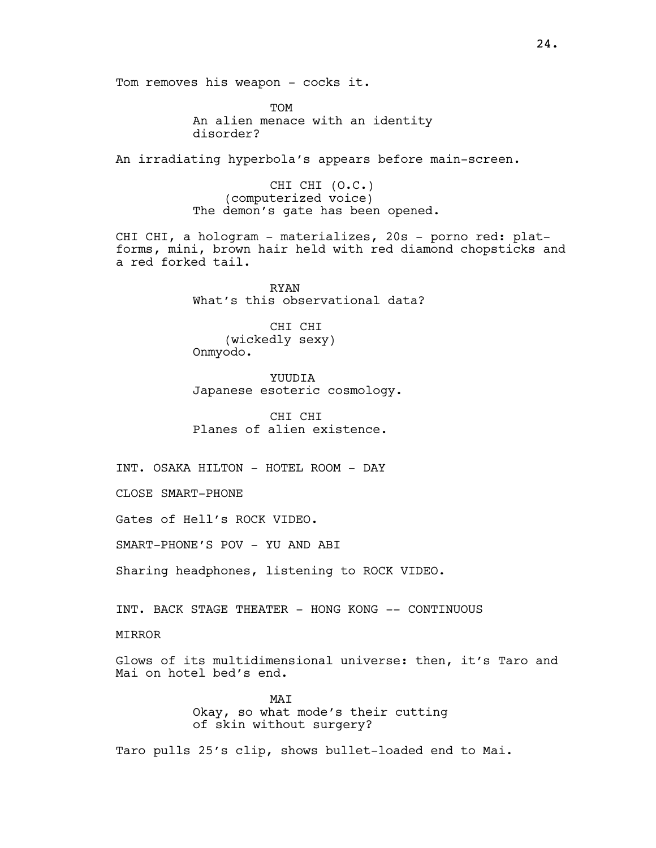Tom removes his weapon - cocks it.

TOM An alien menace with an identity disorder?

An irradiating hyperbola's appears before main-screen.

CHI CHI (O.C.) (computerized voice) The demon's gate has been opened.

CHI CHI, a hologram - materializes, 20s - porno red: platforms, mini, brown hair held with red diamond chopsticks and a red forked tail.

> RYAN What's this observational data?

CHI CHI (wickedly sexy) Onmyodo.

YUUDIA Japanese esoteric cosmology.

CHI CHI Planes of alien existence.

INT. OSAKA HILTON - HOTEL ROOM - DAY

CLOSE SMART-PHONE

Gates of Hell's ROCK VIDEO.

SMART-PHONE'S POV - YU AND ABI

Sharing headphones, listening to ROCK VIDEO.

INT. BACK STAGE THEATER - HONG KONG -- CONTINUOUS

MIRROR

Glows of its multidimensional universe: then, it's Taro and Mai on hotel bed's end.

> MAT Okay, so what mode's their cutting of skin without surgery?

Taro pulls 25's clip, shows bullet-loaded end to Mai.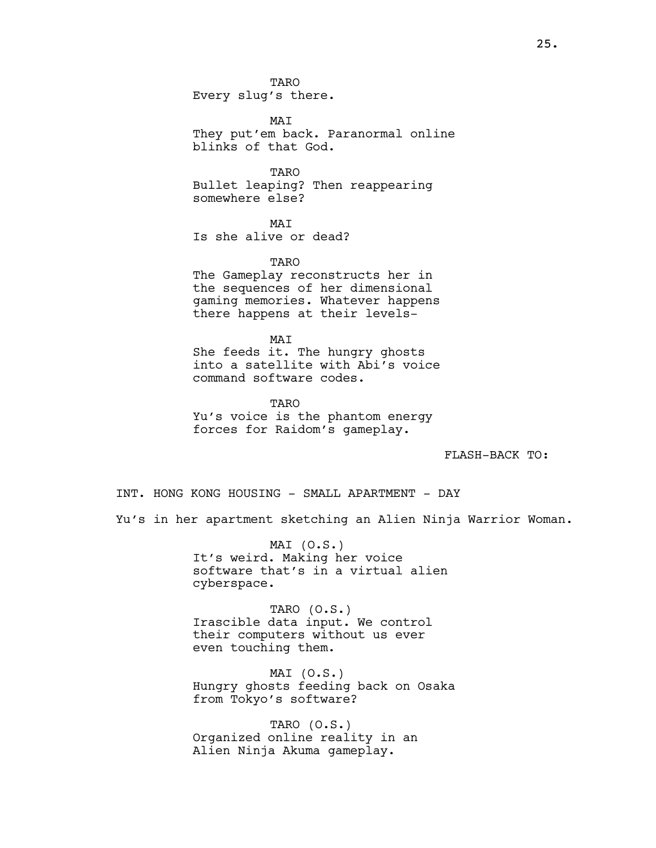MAI They put'em back. Paranormal online blinks of that God.

TARO Bullet leaping? Then reappearing somewhere else?

MAT Is she alive or dead?

TARO The Gameplay reconstructs her in the sequences of her dimensional gaming memories. Whatever happens there happens at their levels-

MAI She feeds it. The hungry ghosts into a satellite with Abi's voice command software codes.

TARO Yu's voice is the phantom energy forces for Raidom's gameplay.

FLASH-BACK TO:

INT. HONG KONG HOUSING - SMALL APARTMENT - DAY Yu's in her apartment sketching an Alien Ninja Warrior Woman.

> MAI (O.S.) It's weird. Making her voice software that's in a virtual alien cyberspace.

TARO (O.S.) Irascible data input. We control their computers without us ever even touching them.

MAI (O.S.) Hungry ghosts feeding back on Osaka from Tokyo's software?

TARO (O.S.) Organized online reality in an Alien Ninja Akuma gameplay.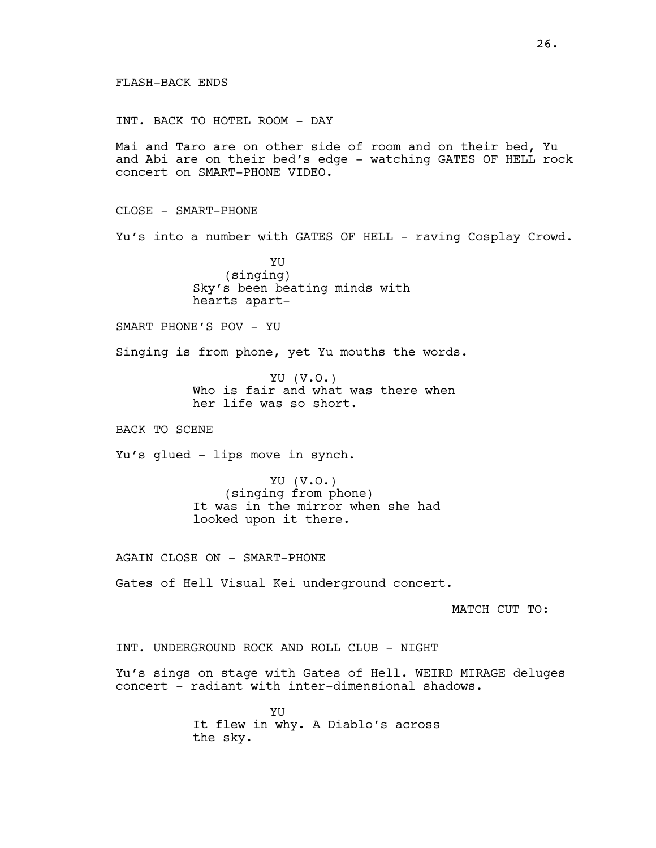## FLASH-BACK ENDS

INT. BACK TO HOTEL ROOM - DAY

Mai and Taro are on other side of room and on their bed, Yu and Abi are on their bed's edge - watching GATES OF HELL rock concert on SMART-PHONE VIDEO.

CLOSE - SMART-PHONE

Yu's into a number with GATES OF HELL - raving Cosplay Crowd.

YU (singing) Sky's been beating minds with hearts apart-

SMART PHONE'S POV - YU

Singing is from phone, yet Yu mouths the words.

YU (V.O.) Who is fair and what was there when her life was so short.

BACK TO SCENE

Yu's glued - lips move in synch.

YU (V.O.) (singing from phone) It was in the mirror when she had looked upon it there.

AGAIN CLOSE ON - SMART-PHONE

Gates of Hell Visual Kei underground concert.

MATCH CUT TO:

INT. UNDERGROUND ROCK AND ROLL CLUB - NIGHT

Yu's sings on stage with Gates of Hell. WEIRD MIRAGE deluges concert - radiant with inter-dimensional shadows.

> YU It flew in why. A Diablo's across the sky.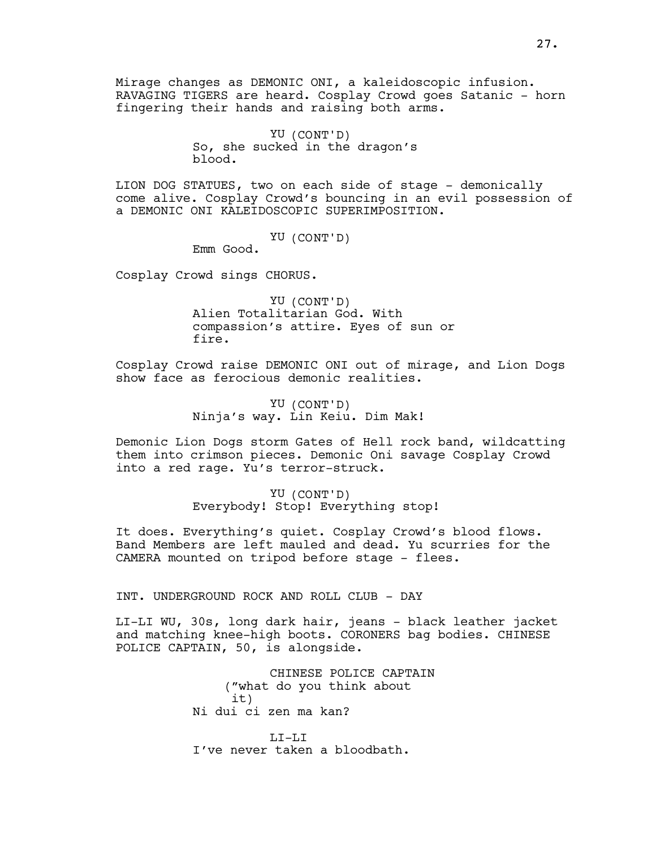Mirage changes as DEMONIC ONI, a kaleidoscopic infusion. RAVAGING TIGERS are heard. Cosplay Crowd goes Satanic - horn fingering their hands and raising both arms.

> YU (CONT'D) So, she sucked in the dragon's blood.

LION DOG STATUES, two on each side of stage - demonically come alive. Cosplay Crowd's bouncing in an evil possession of a DEMONIC ONI KALEIDOSCOPIC SUPERIMPOSITION.

YU (CONT'D)

Emm Good.

Cosplay Crowd sings CHORUS.

YU (CONT'D) Alien Totalitarian God. With compassion's attire. Eyes of sun or fire.

Cosplay Crowd raise DEMONIC ONI out of mirage, and Lion Dogs show face as ferocious demonic realities.

> YU (CONT'D) Ninja's way. Lin Keiu. Dim Mak!

Demonic Lion Dogs storm Gates of Hell rock band, wildcatting them into crimson pieces. Demonic Oni savage Cosplay Crowd into a red rage. Yu's terror-struck.

> YU (CONT'D) Everybody! Stop! Everything stop!

It does. Everything's quiet. Cosplay Crowd's blood flows. Band Members are left mauled and dead. Yu scurries for the CAMERA mounted on tripod before stage - flees.

INT. UNDERGROUND ROCK AND ROLL CLUB - DAY

LI-LI WU, 30s, long dark hair, jeans - black leather jacket and matching knee-high boots. CORONERS bag bodies. CHINESE POLICE CAPTAIN, 50, is alongside.

> CHINESE POLICE CAPTAIN ("what do you think about it) Ni dui ci zen ma kan?

LI-LI I've never taken a bloodbath.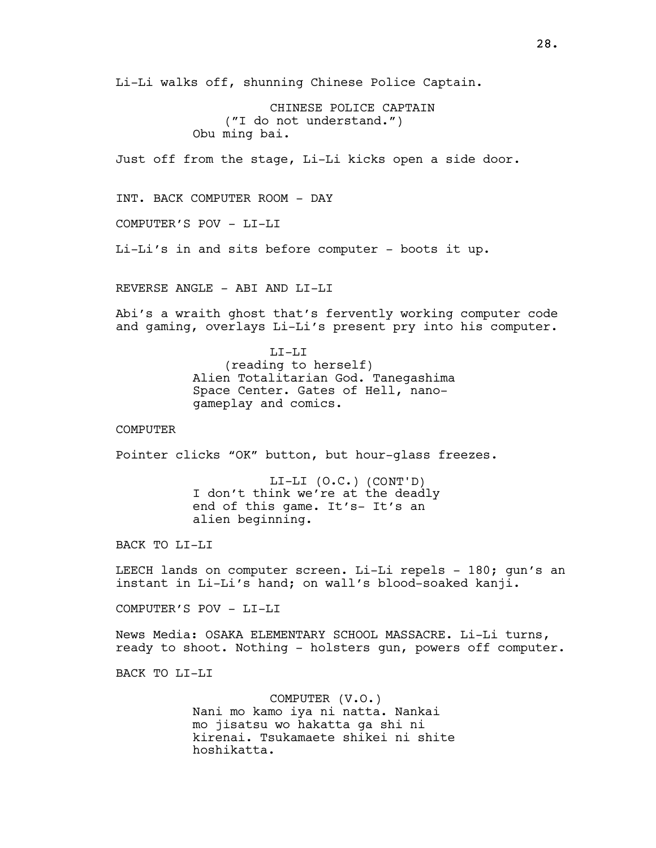Li-Li walks off, shunning Chinese Police Captain.

CHINESE POLICE CAPTAIN ("I do not understand.") Obu ming bai.

Just off from the stage, Li-Li kicks open a side door.

INT. BACK COMPUTER ROOM - DAY

COMPUTER'S POV - LI-LI

Li-Li's in and sits before computer - boots it up.

REVERSE ANGLE - ABI AND LI-LI

Abi's a wraith ghost that's fervently working computer code and gaming, overlays Li-Li's present pry into his computer.

> LI-LI (reading to herself) Alien Totalitarian God. Tanegashima Space Center. Gates of Hell, nanogameplay and comics.

COMPUTER

Pointer clicks "OK" button, but hour-glass freezes.

LI-LI (O.C.) (CONT'D) I don't think we're at the deadly end of this game. It's- It's an alien beginning.

BACK TO LI-LI

LEECH lands on computer screen. Li-Li repels - 180; gun's an instant in Li-Li's hand; on wall's blood-soaked kanji.

COMPUTER'S POV - LI-LI

News Media: OSAKA ELEMENTARY SCHOOL MASSACRE. Li-Li turns, ready to shoot. Nothing - holsters gun, powers off computer.

BACK TO LI-LI

COMPUTER (V.O.) Nani mo kamo iya ni natta. Nankai mo jisatsu wo hakatta ga shi ni kirenai. Tsukamaete shikei ni shite hoshikatta.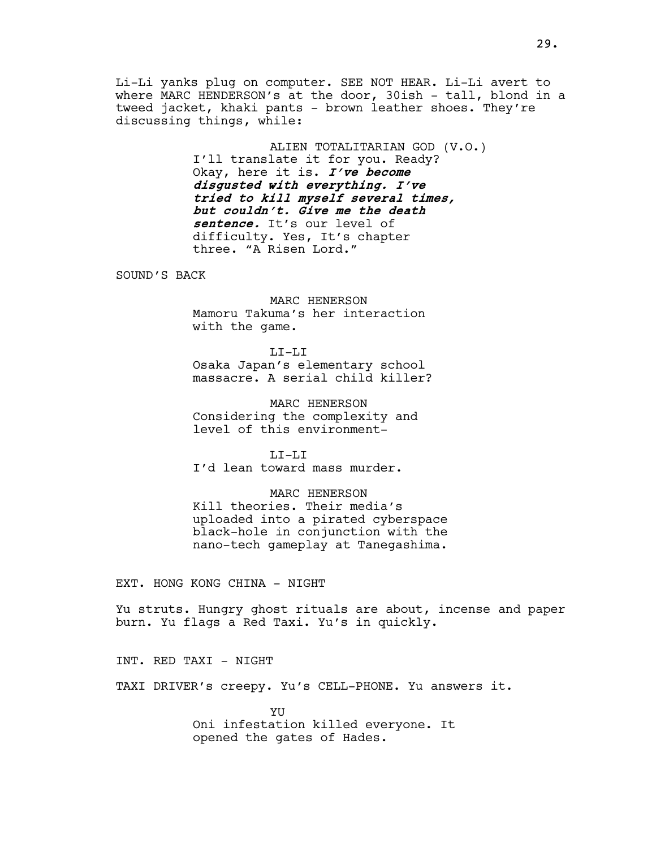Li-Li yanks plug on computer. SEE NOT HEAR. Li-Li avert to where MARC HENDERSON's at the door, 30ish - tall, blond in a tweed jacket, khaki pants - brown leather shoes. They're discussing things, while:

> ALIEN TOTALITARIAN GOD (V.O.) I'll translate it for you. Ready? Okay, here it is. I've become disgusted with everything. I've tried to kill myself several times, but couldn't. Give me the death sentence. It's our level of difficulty. Yes, It's chapter three. "A Risen Lord."

SOUND'S BACK

MARC HENERSON Mamoru Takuma's her interaction with the game.

LI-LI Osaka Japan's elementary school massacre. A serial child killer?

MARC HENERSON Considering the complexity and level of this environment-

LI-LI I'd lean toward mass murder.

MARC HENERSON Kill theories. Their media's uploaded into a pirated cyberspace black-hole in conjunction with the nano-tech gameplay at Tanegashima.

EXT. HONG KONG CHINA - NIGHT

Yu struts. Hungry ghost rituals are about, incense and paper burn. Yu flags a Red Taxi. Yu's in quickly.

INT. RED TAXI - NIGHT

TAXI DRIVER's creepy. Yu's CELL-PHONE. Yu answers it.

YU Oni infestation killed everyone. It opened the gates of Hades.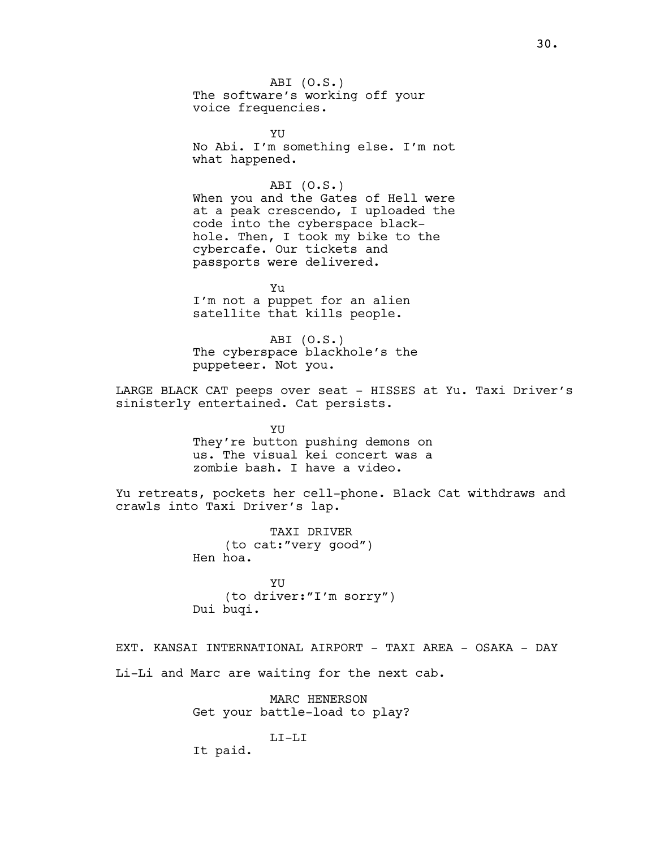ABI (O.S.) The software's working off your voice frequencies.

**YII** No Abi. I'm something else. I'm not what happened.

ABI (O.S.) When you and the Gates of Hell were at a peak crescendo, I uploaded the code into the cyberspace blackhole. Then, I took my bike to the cybercafe. Our tickets and passports were delivered.

Yu I'm not a puppet for an alien satellite that kills people.

ABI (O.S.) The cyberspace blackhole's the puppeteer. Not you.

LARGE BLACK CAT peeps over seat - HISSES at Yu. Taxi Driver's sinisterly entertained. Cat persists.

> YU They're button pushing demons on us. The visual kei concert was a zombie bash. I have a video.

Yu retreats, pockets her cell-phone. Black Cat withdraws and crawls into Taxi Driver's lap.

> TAXI DRIVER (to cat:"very good") Hen hoa.

YU (to driver:"I'm sorry") Dui buqi.

EXT. KANSAI INTERNATIONAL AIRPORT - TAXI AREA - OSAKA - DAY Li-Li and Marc are waiting for the next cab.

> MARC HENERSON Get your battle-load to play?

> > LI-LI

It paid.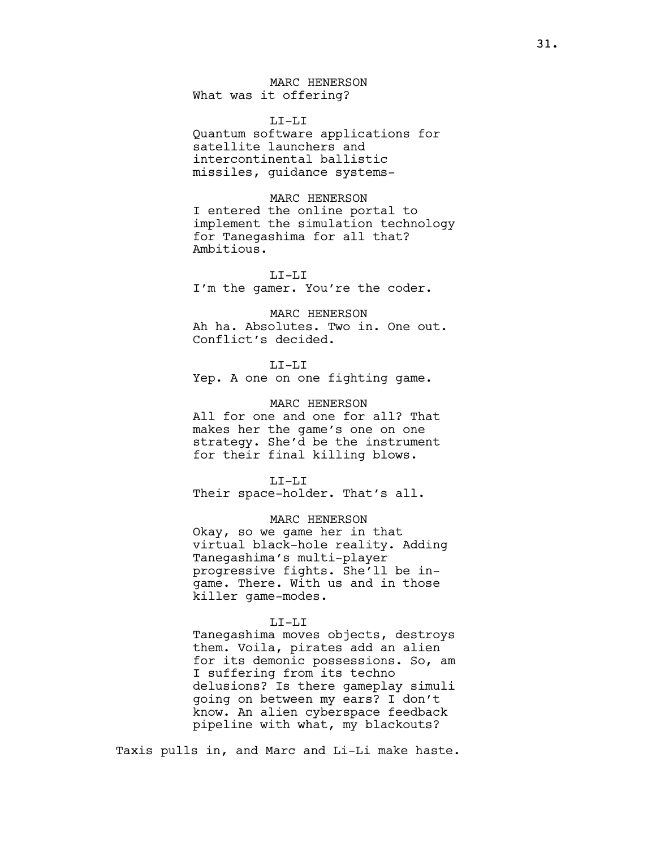MARC HENERSON What was it offering?

LI-LI

Quantum software applications for satellite launchers and intercontinental ballistic missiles, guidance systems-

MARC HENERSON

I entered the online portal to implement the simulation technology for Tanegashima for all that? Ambitious.

 $T_{\rm t}T_{\rm t}-T_{\rm t}T_{\rm t}$ I'm the gamer. You're the coder.

MARC HENERSON Ah ha. Absolutes. Two in. One out. Conflict's decided.

LI-LI

Yep. A one on one fighting game.

MARC HENERSON

All for one and one for all? That makes her the game's one on one strategy. She'd be the instrument for their final killing blows.

LI-LI

Their space-holder. That's all.

MARC HENERSON

Okay, so we game her in that virtual black-hole reality. Adding Tanegashima's multi-player progressive fights. She'll be ingame. There. With us and in those killer game-modes.

## LI-LI

Tanegashima moves objects, destroys them. Voila, pirates add an alien for its demonic possessions. So, am I suffering from its techno delusions? Is there gameplay simuli going on between my ears? I don't know. An alien cyberspace feedback pipeline with what, my blackouts?

Taxis pulls in, and Marc and Li-Li make haste.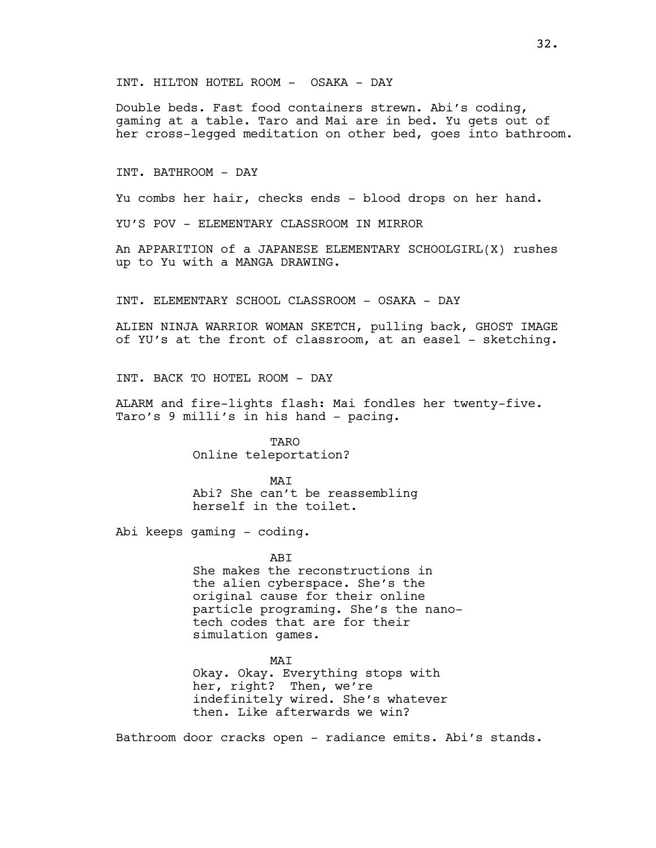INT. HILTON HOTEL ROOM - OSAKA - DAY

Double beds. Fast food containers strewn. Abi's coding, gaming at a table. Taro and Mai are in bed. Yu gets out of her cross-legged meditation on other bed, goes into bathroom.

INT. BATHROOM - DAY

Yu combs her hair, checks ends - blood drops on her hand.

YU'S POV - ELEMENTARY CLASSROOM IN MIRROR

An APPARITION of a JAPANESE ELEMENTARY SCHOOLGIRL(X) rushes up to Yu with a MANGA DRAWING.

INT. ELEMENTARY SCHOOL CLASSROOM - OSAKA - DAY

ALIEN NINJA WARRIOR WOMAN SKETCH, pulling back, GHOST IMAGE of YU's at the front of classroom, at an easel - sketching.

INT. BACK TO HOTEL ROOM - DAY

ALARM and fire-lights flash: Mai fondles her twenty-five. Taro's 9 milli's in his hand - pacing.

> **TARO** Online teleportation?

MAT Abi? She can't be reassembling herself in the toilet.

Abi keeps gaming - coding.

**ABT** She makes the reconstructions in the alien cyberspace. She's the original cause for their online particle programing. She's the nanotech codes that are for their simulation games.

MAI Okay. Okay. Everything stops with her, right? Then, we're indefinitely wired. She's whatever then. Like afterwards we win?

Bathroom door cracks open - radiance emits. Abi's stands.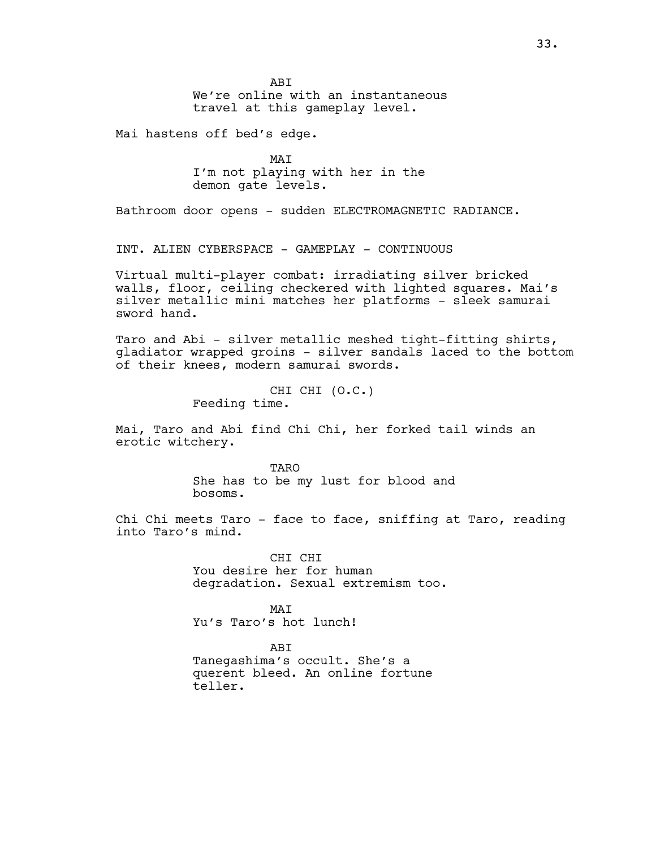**ABT** We're online with an instantaneous travel at this gameplay level.

Mai hastens off bed's edge.

MAI I'm not playing with her in the demon gate levels.

Bathroom door opens - sudden ELECTROMAGNETIC RADIANCE.

INT. ALIEN CYBERSPACE - GAMEPLAY - CONTINUOUS

Virtual multi-player combat: irradiating silver bricked walls, floor, ceiling checkered with lighted squares. Mai's silver metallic mini matches her platforms - sleek samurai sword hand.

Taro and Abi - silver metallic meshed tight-fitting shirts, gladiator wrapped groins - silver sandals laced to the bottom of their knees, modern samurai swords.

> CHI CHI (O.C.) Feeding time.

Mai, Taro and Abi find Chi Chi, her forked tail winds an erotic witchery.

> **TARO** She has to be my lust for blood and bosoms.

Chi Chi meets Taro - face to face, sniffing at Taro, reading into Taro's mind.

> CHI CHI You desire her for human degradation. Sexual extremism too.

**MAT** Yu's Taro's hot lunch!

ABI Tanegashima's occult. She's a querent bleed. An online fortune teller.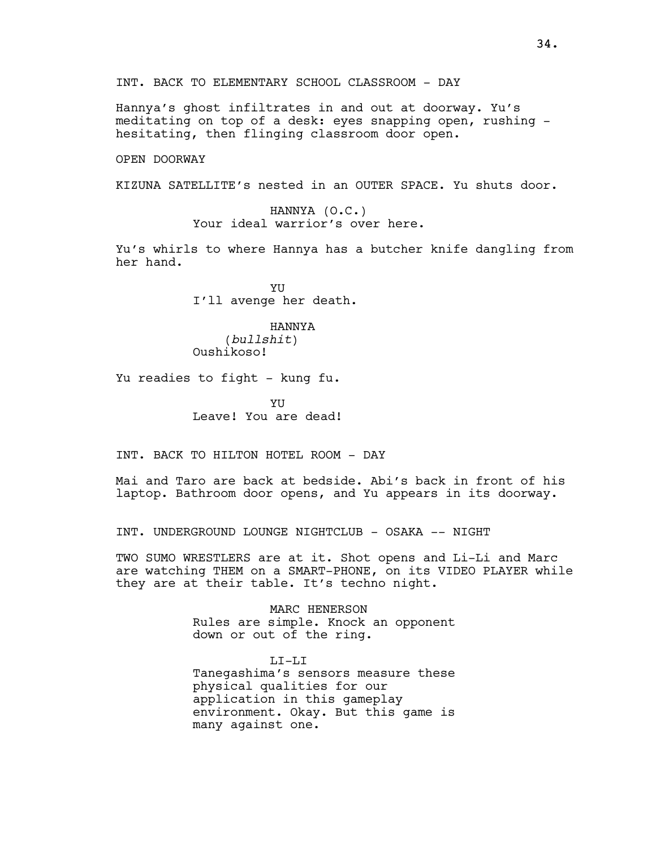INT. BACK TO ELEMENTARY SCHOOL CLASSROOM - DAY

Hannya's ghost infiltrates in and out at doorway. Yu's meditating on top of a desk: eyes snapping open, rushing hesitating, then flinging classroom door open.

OPEN DOORWAY

KIZUNA SATELLITE's nested in an OUTER SPACE. Yu shuts door.

HANNYA (O.C.) Your ideal warrior's over here.

Yu's whirls to where Hannya has a butcher knife dangling from her hand.

> YU I'll avenge her death.

HANNYA (bullshit) Oushikoso!

Yu readies to fight - kung fu.

YU Leave! You are dead!

INT. BACK TO HILTON HOTEL ROOM - DAY

Mai and Taro are back at bedside. Abi's back in front of his laptop. Bathroom door opens, and Yu appears in its doorway.

INT. UNDERGROUND LOUNGE NIGHTCLUB - OSAKA -- NIGHT

TWO SUMO WRESTLERS are at it. Shot opens and Li-Li and Marc are watching THEM on a SMART-PHONE, on its VIDEO PLAYER while they are at their table. It's techno night.

> MARC HENERSON Rules are simple. Knock an opponent down or out of the ring.

> LI-LI Tanegashima's sensors measure these physical qualities for our application in this gameplay environment. Okay. But this game is many against one.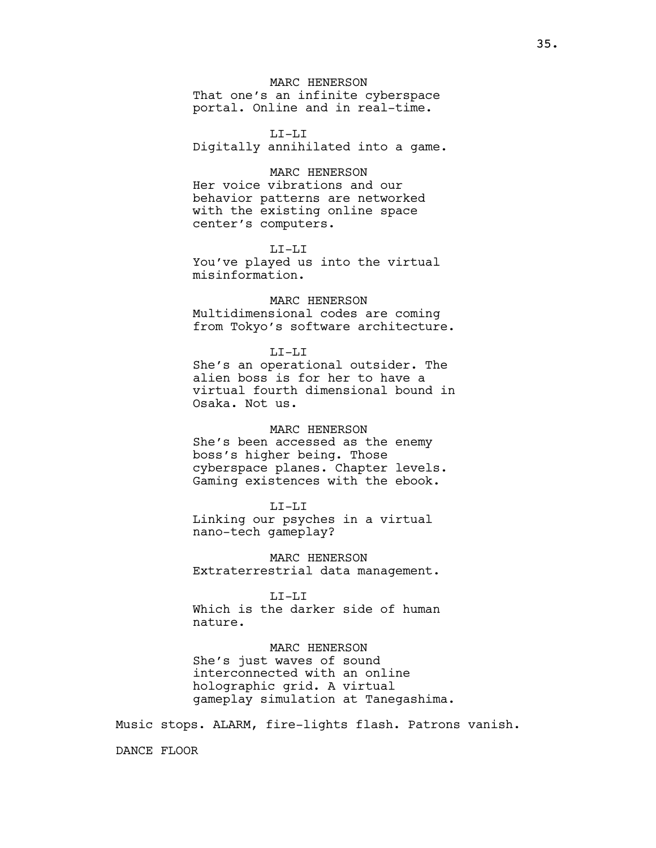## MARC HENERSON

That one's an infinite cyberspace portal. Online and in real-time.

#### LI-LI

Digitally annihilated into a game.

#### MARC HENERSON

Her voice vibrations and our behavior patterns are networked with the existing online space center's computers.

## LI-LI

You've played us into the virtual misinformation.

## MARC HENERSON

Multidimensional codes are coming from Tokyo's software architecture.

## LI-LI

She's an operational outsider. The alien boss is for her to have a virtual fourth dimensional bound in Osaka. Not us.

## MARC HENERSON

She's been accessed as the enemy boss's higher being. Those cyberspace planes. Chapter levels. Gaming existences with the ebook.

## LI-LI

Linking our psyches in a virtual nano-tech gameplay?

MARC HENERSON Extraterrestrial data management.

#### LI-LI

Which is the darker side of human nature.

## MARC HENERSON

She's just waves of sound interconnected with an online holographic grid. A virtual gameplay simulation at Tanegashima.

Music stops. ALARM, fire-lights flash. Patrons vanish.

DANCE FLOOR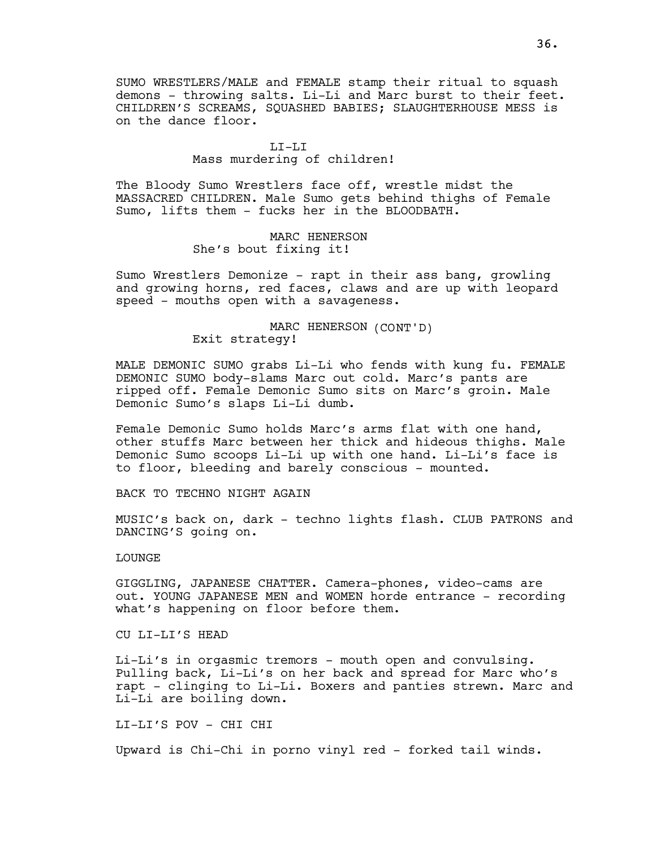SUMO WRESTLERS/MALE and FEMALE stamp their ritual to squash demons - throwing salts. Li-Li and Marc burst to their feet. CHILDREN'S SCREAMS, SQUASHED BABIES; SLAUGHTERHOUSE MESS is on the dance floor.

#### LI-LI

## Mass murdering of children!

The Bloody Sumo Wrestlers face off, wrestle midst the MASSACRED CHILDREN. Male Sumo gets behind thighs of Female Sumo, lifts them - fucks her in the BLOODBATH.

> MARC HENERSON She's bout fixing it!

Sumo Wrestlers Demonize - rapt in their ass bang, growling and growing horns, red faces, claws and are up with leopard speed - mouths open with a savageness.

> MARC HENERSON (CONT'D) Exit strategy!

MALE DEMONIC SUMO grabs Li-Li who fends with kung fu. FEMALE DEMONIC SUMO body-slams Marc out cold. Marc's pants are ripped off. Female Demonic Sumo sits on Marc's groin. Male Demonic Sumo's slaps Li-Li dumb.

Female Demonic Sumo holds Marc's arms flat with one hand, other stuffs Marc between her thick and hideous thighs. Male Demonic Sumo scoops Li-Li up with one hand. Li-Li's face is to floor, bleeding and barely conscious - mounted.

BACK TO TECHNO NIGHT AGAIN

MUSIC's back on, dark - techno lights flash. CLUB PATRONS and DANCING'S going on.

LOUNGE

GIGGLING, JAPANESE CHATTER. Camera-phones, video-cams are out. YOUNG JAPANESE MEN and WOMEN horde entrance - recording what's happening on floor before them.

CU LI-LI'S HEAD

Li-Li's in orgasmic tremors - mouth open and convulsing. Pulling back, Li-Li's on her back and spread for Marc who's rapt - clinging to Li-Li. Boxers and panties strewn. Marc and Li-Li are boiling down.

LI-LI'S POV - CHI CHI

Upward is Chi-Chi in porno vinyl red - forked tail winds.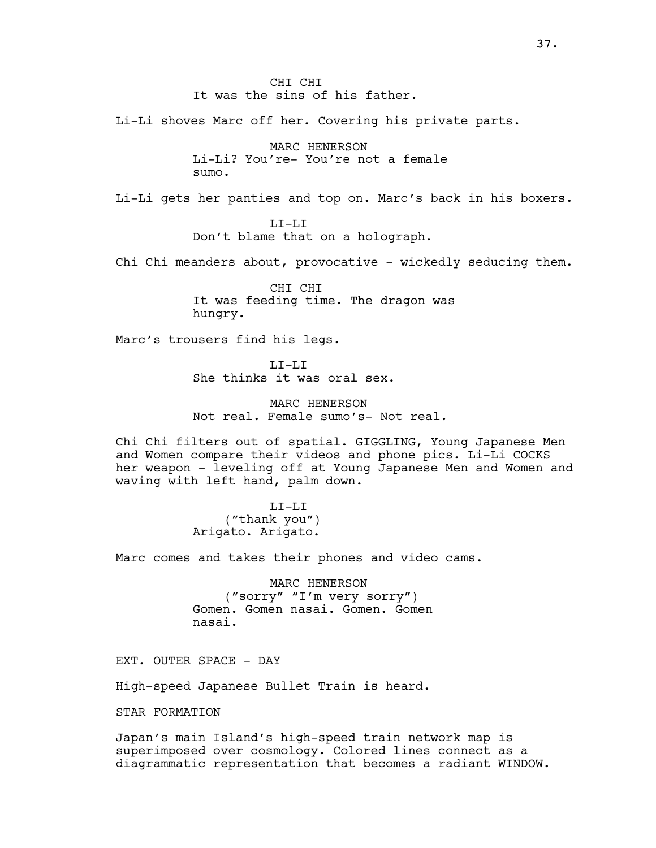CHI CHI It was the sins of his father.

Li-Li shoves Marc off her. Covering his private parts.

MARC HENERSON Li-Li? You're- You're not a female sumo.

Li-Li gets her panties and top on. Marc's back in his boxers.

LI-LI Don't blame that on a holograph.

Chi Chi meanders about, provocative - wickedly seducing them.

CHI CHI It was feeding time. The dragon was hungry.

Marc's trousers find his legs.

 $T_{\rm L}T_{\rm -}T_{\rm L}T_{\rm L}$ She thinks it was oral sex.

MARC HENERSON Not real. Female sumo's- Not real.

Chi Chi filters out of spatial. GIGGLING, Young Japanese Men and Women compare their videos and phone pics. Li-Li COCKS her weapon - leveling off at Young Japanese Men and Women and waving with left hand, palm down.

> LI-LI ("thank you") Arigato. Arigato.

Marc comes and takes their phones and video cams.

MARC HENERSON ("sorry" "I'm very sorry") Gomen. Gomen nasai. Gomen. Gomen nasai.

EXT. OUTER SPACE - DAY

High-speed Japanese Bullet Train is heard.

STAR FORMATION

Japan's main Island's high-speed train network map is superimposed over cosmology. Colored lines connect as a diagrammatic representation that becomes a radiant WINDOW.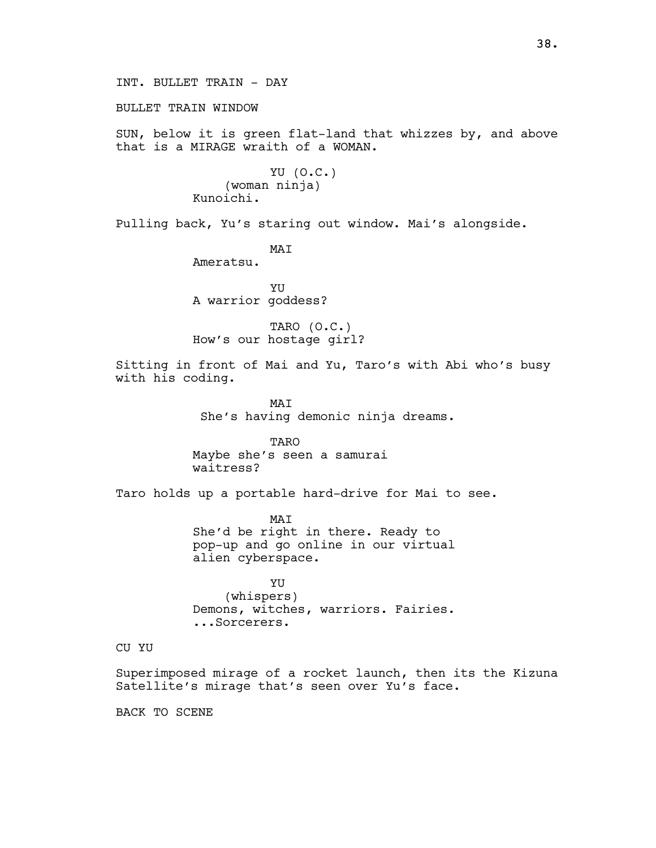BULLET TRAIN WINDOW

SUN, below it is green flat-land that whizzes by, and above that is a MIRAGE wraith of a WOMAN.

> YU (O.C.) (woman ninja) Kunoichi.

Pulling back, Yu's staring out window. Mai's alongside.

MAI

Ameratsu.

YU A warrior goddess?

TARO (O.C.) How's our hostage girl?

Sitting in front of Mai and Yu, Taro's with Abi who's busy with his coding.

> MAI She's having demonic ninja dreams.

TARO Maybe she's seen a samurai waitress?

Taro holds up a portable hard-drive for Mai to see.

MAI She'd be right in there. Ready to pop-up and go online in our virtual alien cyberspace.

YU (whispers) Demons, witches, warriors. Fairies. ...Sorcerers.

# CU YU

Superimposed mirage of a rocket launch, then its the Kizuna Satellite's mirage that's seen over Yu's face.

BACK TO SCENE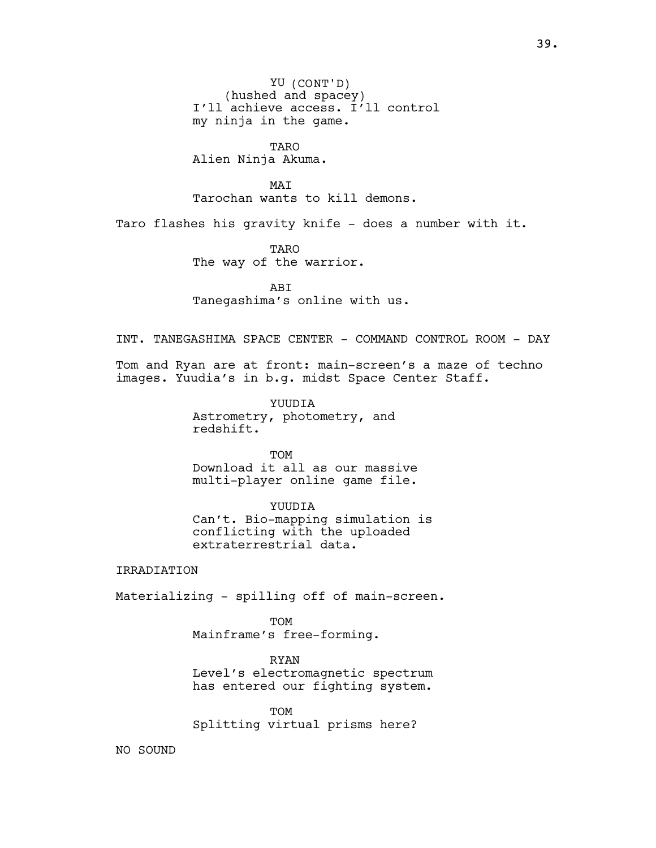YU (CONT'D) (hushed and spacey) I'll achieve access. I'll control my ninja in the game.

TARO

Alien Ninja Akuma.

MAT Tarochan wants to kill demons.

Taro flashes his gravity knife - does a number with it.

TARO The way of the warrior.

ABI Tanegashima's online with us.

INT. TANEGASHIMA SPACE CENTER - COMMAND CONTROL ROOM - DAY

Tom and Ryan are at front: main-screen's a maze of techno images. Yuudia's in b.g. midst Space Center Staff.

> YUUDIA Astrometry, photometry, and redshift.

TOM Download it all as our massive multi-player online game file.

YUUDIA Can't. Bio-mapping simulation is conflicting with the uploaded extraterrestrial data.

## IRRADIATION

Materializing - spilling off of main-screen.

TOM Mainframe's free-forming.

RYAN Level's electromagnetic spectrum has entered our fighting system.

TOM Splitting virtual prisms here?

NO SOUND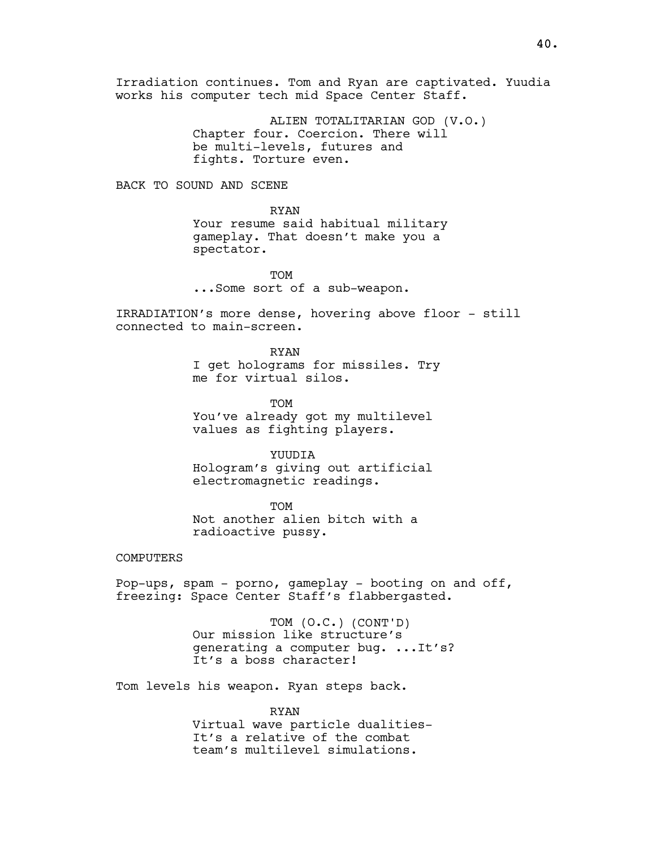Irradiation continues. Tom and Ryan are captivated. Yuudia works his computer tech mid Space Center Staff.

> ALIEN TOTALITARIAN GOD (V.O.) Chapter four. Coercion. There will be multi-levels, futures and fights. Torture even.

BACK TO SOUND AND SCENE

RYAN Your resume said habitual military gameplay. That doesn't make you a spectator.

**TOM** ...Some sort of a sub-weapon.

IRRADIATION's more dense, hovering above floor - still connected to main-screen.

> RYAN I get holograms for missiles. Try me for virtual silos.

**TOM** You've already got my multilevel values as fighting players.

YUUDIA

Hologram's giving out artificial electromagnetic readings.

**TOM** Not another alien bitch with a radioactive pussy.

# COMPUTERS

Pop-ups, spam - porno, gameplay - booting on and off, freezing: Space Center Staff's flabbergasted.

> TOM (O.C.) (CONT'D) Our mission like structure's generating a computer bug. ...It's? It's a boss character!

Tom levels his weapon. Ryan steps back.

RYAN Virtual wave particle dualities-It's a relative of the combat team's multilevel simulations.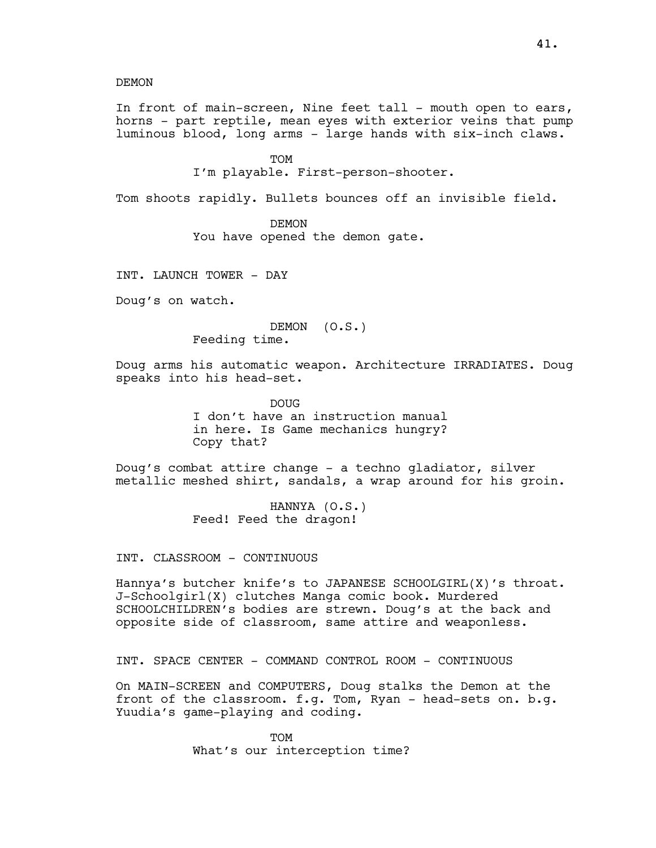DEMON

In front of main-screen, Nine feet tall - mouth open to ears, horns - part reptile, mean eyes with exterior veins that pump luminous blood, long arms - large hands with six-inch claws.

## **TOM**

I'm playable. First-person-shooter.

Tom shoots rapidly. Bullets bounces off an invisible field.

DEMON

You have opened the demon gate.

INT. LAUNCH TOWER - DAY

Doug's on watch.

DEMON (O.S.) Feeding time.

Doug arms his automatic weapon. Architecture IRRADIATES. Doug speaks into his head-set.

> **DOUG** I don't have an instruction manual in here. Is Game mechanics hungry? Copy that?

Doug's combat attire change - a techno gladiator, silver metallic meshed shirt, sandals, a wrap around for his groin.

> HANNYA (O.S.) Feed! Feed the dragon!

INT. CLASSROOM - CONTINUOUS

Hannya's butcher knife's to JAPANESE SCHOOLGIRL(X)'s throat. J-Schoolgirl(X) clutches Manga comic book. Murdered SCHOOLCHILDREN's bodies are strewn. Doug's at the back and opposite side of classroom, same attire and weaponless.

INT. SPACE CENTER - COMMAND CONTROL ROOM - CONTINUOUS

On MAIN-SCREEN and COMPUTERS, Doug stalks the Demon at the front of the classroom. f.g. Tom, Ryan - head-sets on. b.g. Yuudia's game-playing and coding.

> TOM What's our interception time?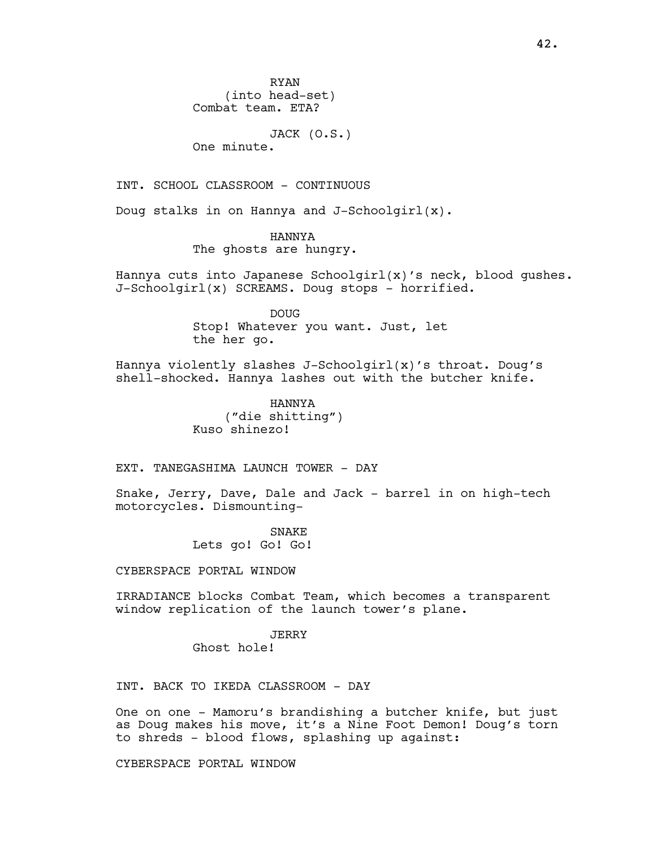JACK (O.S.)

One minute.

INT. SCHOOL CLASSROOM - CONTINUOUS

Doug stalks in on Hannya and J-Schoolgirl(x).

HANNYA The ghosts are hungry.

Hannya cuts into Japanese Schoolgirl(x)'s neck, blood gushes. J-Schoolgirl(x) SCREAMS. Doug stops - horrified.

> DOUG Stop! Whatever you want. Just, let the her go.

Hannya violently slashes J-Schoolgirl(x)'s throat. Doug's shell-shocked. Hannya lashes out with the butcher knife.

> HANNYA ("die shitting") Kuso shinezo!

EXT. TANEGASHIMA LAUNCH TOWER - DAY

Snake, Jerry, Dave, Dale and Jack - barrel in on high-tech motorcycles. Dismounting-

> SNAKE Lets go! Go! Go!

CYBERSPACE PORTAL WINDOW

IRRADIANCE blocks Combat Team, which becomes a transparent window replication of the launch tower's plane.

JERRY

Ghost hole!

INT. BACK TO IKEDA CLASSROOM - DAY

One on one - Mamoru's brandishing a butcher knife, but just as Doug makes his move, it's a Nine Foot Demon! Doug's torn to shreds - blood flows, splashing up against:

CYBERSPACE PORTAL WINDOW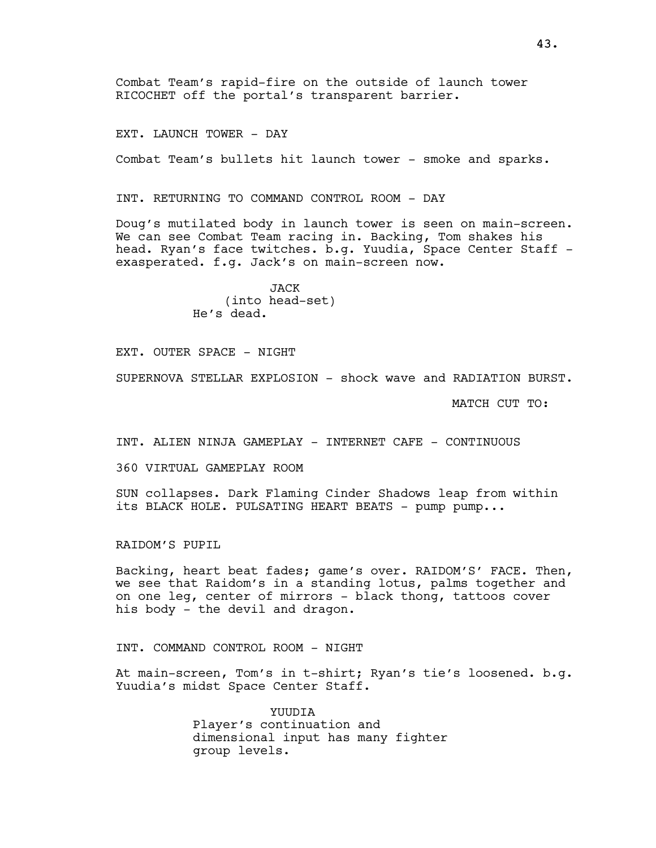Combat Team's rapid-fire on the outside of launch tower RICOCHET off the portal's transparent barrier.

EXT. LAUNCH TOWER - DAY

Combat Team's bullets hit launch tower - smoke and sparks.

INT. RETURNING TO COMMAND CONTROL ROOM - DAY

Doug's mutilated body in launch tower is seen on main-screen. We can see Combat Team racing in. Backing, Tom shakes his head. Ryan's face twitches. b.g. Yuudia, Space Center Staff exasperated. f.g. Jack's on main-screen now.

> JACK (into head-set) He's dead.

EXT. OUTER SPACE - NIGHT

SUPERNOVA STELLAR EXPLOSION - shock wave and RADIATION BURST.

MATCH CUT TO:

INT. ALIEN NINJA GAMEPLAY - INTERNET CAFE - CONTINUOUS

360 VIRTUAL GAMEPLAY ROOM

SUN collapses. Dark Flaming Cinder Shadows leap from within its BLACK HOLE. PULSATING HEART BEATS - pump pump...

RAIDOM'S PUPIL

Backing, heart beat fades; game's over. RAIDOM'S' FACE. Then, we see that Raidom's in a standing lotus, palms together and on one leg, center of mirrors - black thong, tattoos cover his body - the devil and dragon.

INT. COMMAND CONTROL ROOM - NIGHT

At main-screen, Tom's in t-shirt; Ryan's tie's loosened. b.g. Yuudia's midst Space Center Staff.

> YUUDIA Player's continuation and dimensional input has many fighter group levels.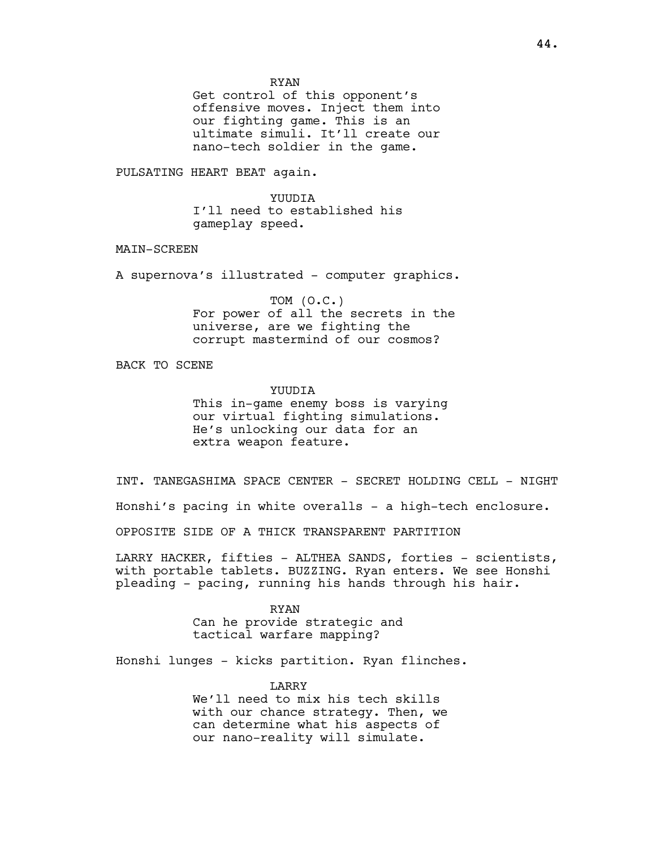RYAN

Get control of this opponent's offensive moves. Inject them into our fighting game. This is an ultimate simuli. It'll create our nano-tech soldier in the game.

PULSATING HEART BEAT again.

YUUDIA I'll need to established his gameplay speed.

MAIN-SCREEN

A supernova's illustrated - computer graphics.

TOM (O.C.) For power of all the secrets in the universe, are we fighting the corrupt mastermind of our cosmos?

BACK TO SCENE

YUUDIA

This in-game enemy boss is varying our virtual fighting simulations. He's unlocking our data for an extra weapon feature.

INT. TANEGASHIMA SPACE CENTER - SECRET HOLDING CELL - NIGHT

Honshi's pacing in white overalls - a high-tech enclosure.

OPPOSITE SIDE OF A THICK TRANSPARENT PARTITION

LARRY HACKER, fifties - ALTHEA SANDS, forties - scientists, with portable tablets. BUZZING. Ryan enters. We see Honshi pleading - pacing, running his hands through his hair.

> RYAN Can he provide strategic and tactical warfare mapping?

Honshi lunges - kicks partition. Ryan flinches.

LARRY We'll need to mix his tech skills with our chance strategy. Then, we can determine what his aspects of our nano-reality will simulate.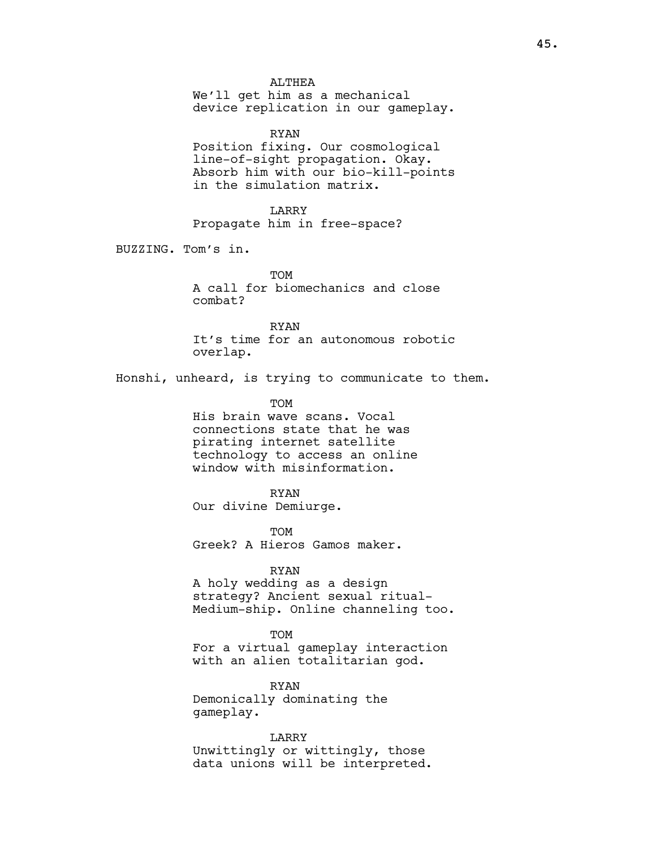ALTHEA We'll get him as a mechanical device replication in our gameplay.

RYAN Position fixing. Our cosmological line-of-sight propagation. Okay. Absorb him with our bio-kill-points in the simulation matrix.

LARRY Propagate him in free-space?

BUZZING. Tom's in.

**TOM** A call for biomechanics and close combat?

RYAN It's time for an autonomous robotic overlap.

Honshi, unheard, is trying to communicate to them.

TOM His brain wave scans. Vocal connections state that he was pirating internet satellite technology to access an online window with misinformation.

RYAN Our divine Demiurge.

TOM Greek? A Hieros Gamos maker.

## RYAN

A holy wedding as a design strategy? Ancient sexual ritual-Medium-ship. Online channeling too.

#### **TOM**

For a virtual gameplay interaction with an alien totalitarian god.

RYAN Demonically dominating the gameplay.

LARRY Unwittingly or wittingly, those data unions will be interpreted.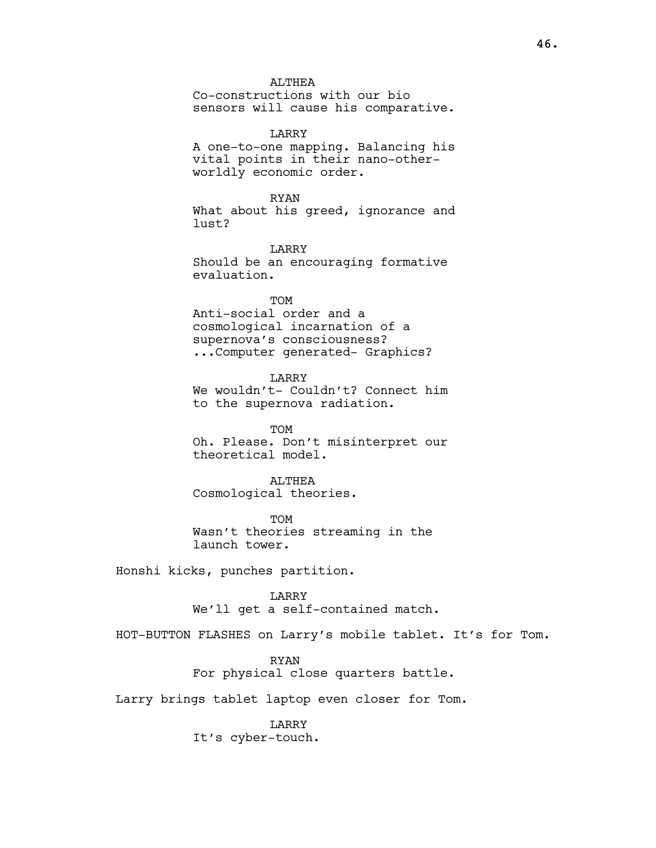ALTHEA Co-constructions with our bio sensors will cause his comparative.

LARRY A one-to-one mapping. Balancing his vital points in their nano-otherworldly economic order.

RYAN What about his greed, ignorance and lust?

LARRY Should be an encouraging formative evaluation.

**TOM** Anti-social order and a cosmological incarnation of a supernova's consciousness? ...Computer generated- Graphics?

LARRY We wouldn't- Couldn't? Connect him to the supernova radiation.

TOM Oh. Please. Don't misinterpret our theoretical model.

**ALTHEA** Cosmological theories.

TOM Wasn't theories streaming in the launch tower.

Honshi kicks, punches partition.

LARRY We'll get a self-contained match.

HOT-BUTTON FLASHES on Larry's mobile tablet. It's for Tom.

RYAN For physical close quarters battle.

Larry brings tablet laptop even closer for Tom.

LARRY It's cyber-touch.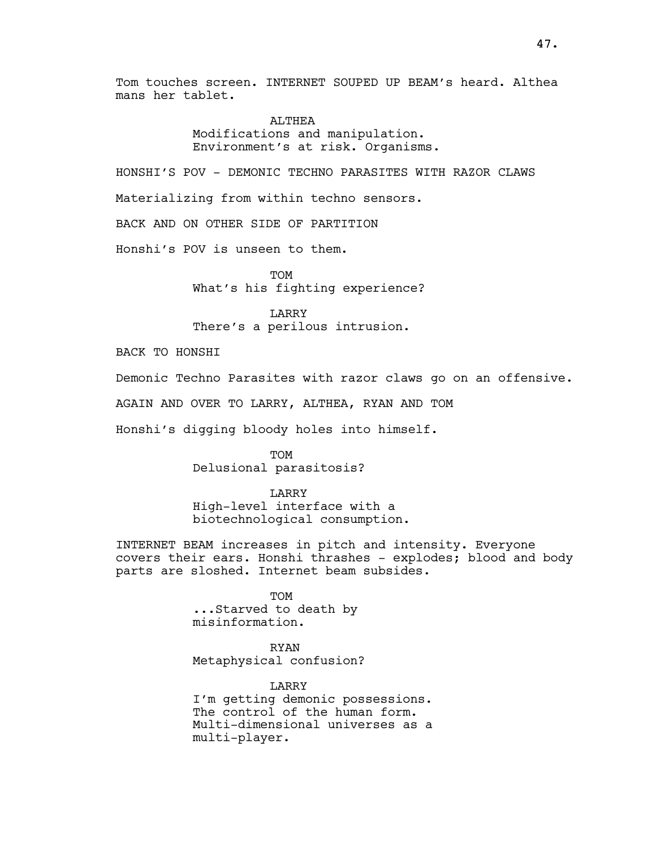Tom touches screen. INTERNET SOUPED UP BEAM's heard. Althea mans her tablet.

> ALTHEA Modifications and manipulation. Environment's at risk. Organisms.

HONSHI'S POV - DEMONIC TECHNO PARASITES WITH RAZOR CLAWS Materializing from within techno sensors.

BACK AND ON OTHER SIDE OF PARTITION

Honshi's POV is unseen to them.

**TOM** What's his fighting experience?

LARRY There's a perilous intrusion.

BACK TO HONSHI

Demonic Techno Parasites with razor claws go on an offensive.

AGAIN AND OVER TO LARRY, ALTHEA, RYAN AND TOM

Honshi's digging bloody holes into himself.

TOM Delusional parasitosis?

LARRY

High-level interface with a biotechnological consumption.

INTERNET BEAM increases in pitch and intensity. Everyone covers their ears. Honshi thrashes - explodes; blood and body parts are sloshed. Internet beam subsides.

> TOM ...Starved to death by misinformation.

RYAN Metaphysical confusion?

LARRY I'm getting demonic possessions. The control of the human form. Multi-dimensional universes as a multi-player.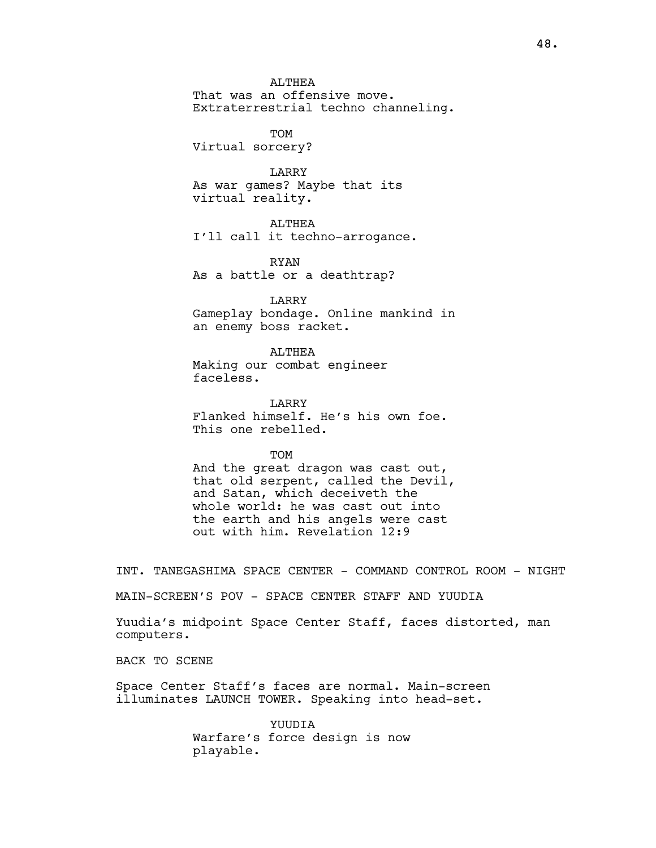ALTHEA

That was an offensive move. Extraterrestrial techno channeling.

TOM Virtual sorcery?

LARRY As war games? Maybe that its virtual reality.

**ALTHEA** I'll call it techno-arrogance.

RYAN As a battle or a deathtrap?

LARRY Gameplay bondage. Online mankind in an enemy boss racket.

ALTHEA Making our combat engineer faceless.

LARRY Flanked himself. He's his own foe. This one rebelled.

TOM

And the great dragon was cast out, that old serpent, called the Devil, and Satan, which deceiveth the whole world: he was cast out into the earth and his angels were cast out with him. Revelation 12:9

INT. TANEGASHIMA SPACE CENTER - COMMAND CONTROL ROOM - NIGHT

MAIN-SCREEN'S POV - SPACE CENTER STAFF AND YUUDIA

Yuudia's midpoint Space Center Staff, faces distorted, man computers.

BACK TO SCENE

Space Center Staff's faces are normal. Main-screen illuminates LAUNCH TOWER. Speaking into head-set.

> YUUDIA Warfare's force design is now playable.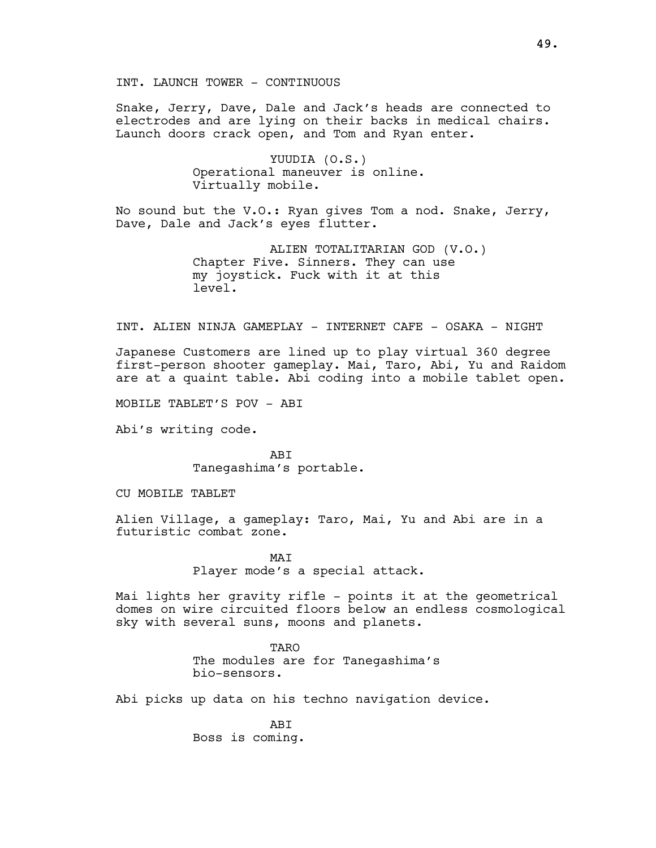Snake, Jerry, Dave, Dale and Jack's heads are connected to electrodes and are lying on their backs in medical chairs. Launch doors crack open, and Tom and Ryan enter.

> YUUDIA (O.S.) Operational maneuver is online. Virtually mobile.

No sound but the V.O.: Ryan gives Tom a nod. Snake, Jerry, Dave, Dale and Jack's eyes flutter.

> ALIEN TOTALITARIAN GOD (V.O.) Chapter Five. Sinners. They can use my joystick. Fuck with it at this level.

INT. ALIEN NINJA GAMEPLAY - INTERNET CAFE - OSAKA - NIGHT

Japanese Customers are lined up to play virtual 360 degree first-person shooter gameplay. Mai, Taro, Abi, Yu and Raidom are at a quaint table. Abi coding into a mobile tablet open.

MOBILE TABLET'S POV - ABI

Abi's writing code.

ABI Tanegashima's portable.

CU MOBILE TABLET

Alien Village, a gameplay: Taro, Mai, Yu and Abi are in a futuristic combat zone.

> MAT Player mode's a special attack.

Mai lights her gravity rifle - points it at the geometrical domes on wire circuited floors below an endless cosmological sky with several suns, moons and planets.

> TARO The modules are for Tanegashima's bio-sensors.

Abi picks up data on his techno navigation device.

**ABT** Boss is coming.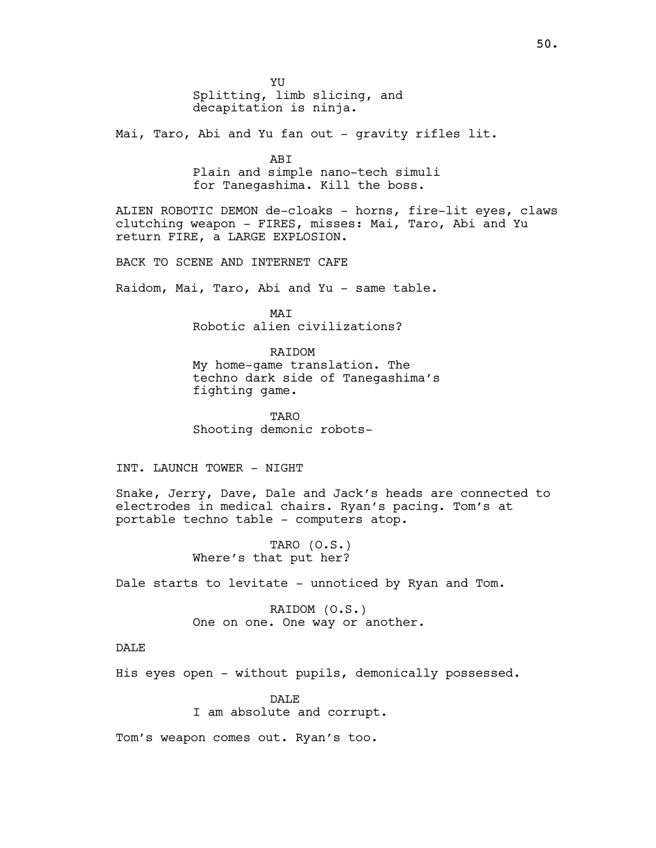YU Splitting, limb slicing, and decapitation is ninja.

Mai, Taro, Abi and Yu fan out - gravity rifles lit.

ABI Plain and simple nano-tech simuli for Tanegashima. Kill the boss.

ALIEN ROBOTIC DEMON de-cloaks - horns, fire-lit eyes, claws clutching weapon - FIRES, misses: Mai, Taro, Abi and Yu return FIRE, a LARGE EXPLOSION.

BACK TO SCENE AND INTERNET CAFE

Raidom, Mai, Taro, Abi and Yu - same table.

MAI Robotic alien civilizations?

RAIDOM

My home-game translation. The techno dark side of Tanegashima's fighting game.

TARO Shooting demonic robots-

INT. LAUNCH TOWER - NIGHT

Snake, Jerry, Dave, Dale and Jack's heads are connected to electrodes in medical chairs. Ryan's pacing. Tom's at portable techno table - computers atop.

> TARO (O.S.) Where's that put her?

Dale starts to levitate - unnoticed by Ryan and Tom.

RAIDOM (O.S.) One on one. One way or another.

DALE

His eyes open - without pupils, demonically possessed.

DALE<sup>®</sup> I am absolute and corrupt.

Tom's weapon comes out. Ryan's too.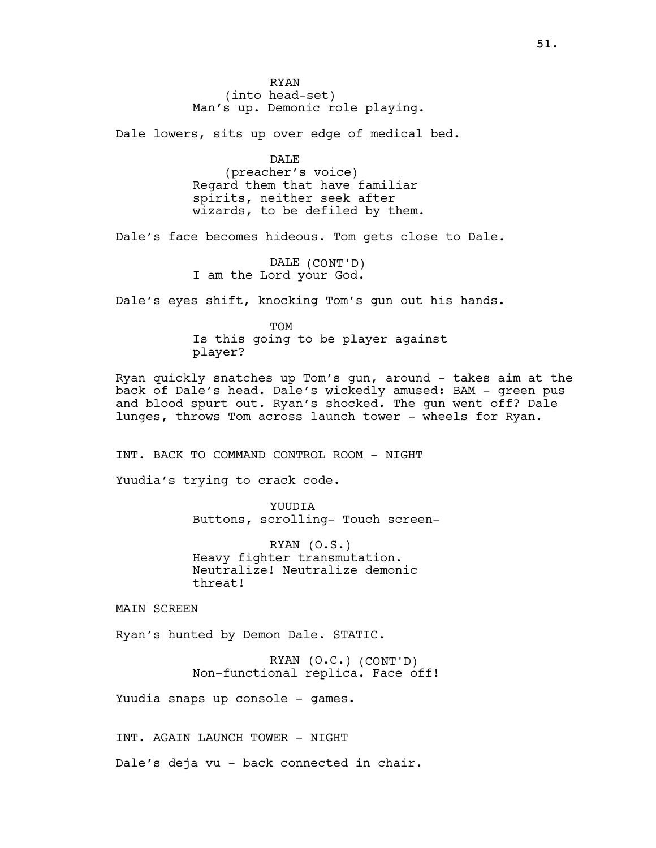RYAN (into head-set) Man's up. Demonic role playing.

Dale lowers, sits up over edge of medical bed.

DALE (preacher's voice) Regard them that have familiar spirits, neither seek after wizards, to be defiled by them.

Dale's face becomes hideous. Tom gets close to Dale.

DALE (CONT'D) I am the Lord your God.

Dale's eyes shift, knocking Tom's gun out his hands.

**TOM** Is this going to be player against player?

Ryan quickly snatches up Tom's gun, around - takes aim at the back of Dale's head. Dale's wickedly amused: BAM - green pus and blood spurt out. Ryan's shocked. The gun went off? Dale lunges, throws Tom across launch tower - wheels for Ryan.

INT. BACK TO COMMAND CONTROL ROOM - NIGHT

Yuudia's trying to crack code.

YUUDIA Buttons, scrolling- Touch screen-

RYAN (O.S.) Heavy fighter transmutation. Neutralize! Neutralize demonic threat!

MAIN SCREEN

Ryan's hunted by Demon Dale. STATIC.

RYAN (O.C.) (CONT'D) Non-functional replica. Face off!

Yuudia snaps up console - games.

INT. AGAIN LAUNCH TOWER - NIGHT

Dale's deja vu - back connected in chair.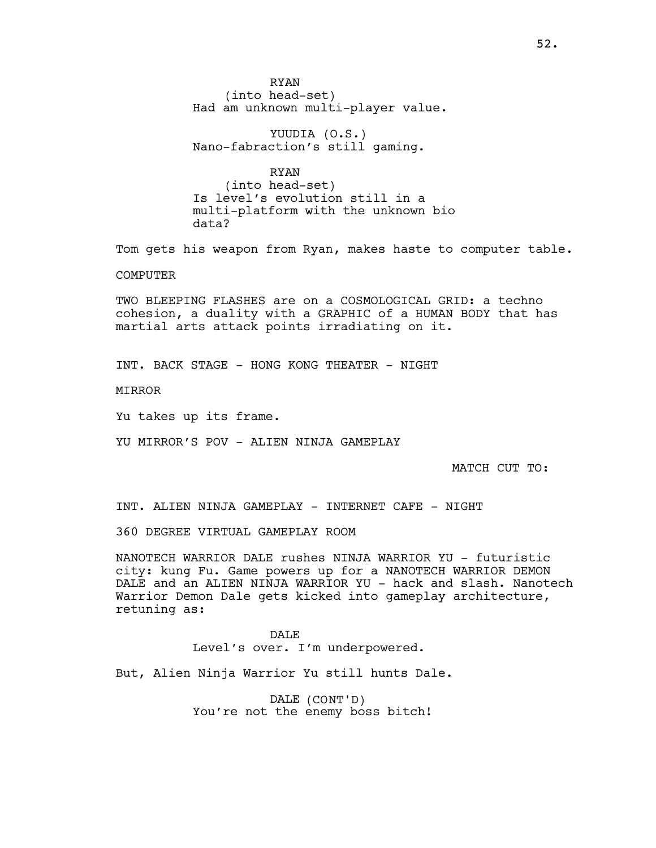RYAN (into head-set) Had am unknown multi-player value.

YUUDIA (O.S.) Nano-fabraction's still gaming.

RYAN (into head-set) Is level's evolution still in a multi-platform with the unknown bio data?

Tom gets his weapon from Ryan, makes haste to computer table.

**COMPUTER** 

TWO BLEEPING FLASHES are on a COSMOLOGICAL GRID: a techno cohesion, a duality with a GRAPHIC of a HUMAN BODY that has martial arts attack points irradiating on it.

INT. BACK STAGE - HONG KONG THEATER - NIGHT

MIRROR

Yu takes up its frame.

YU MIRROR'S POV - ALIEN NINJA GAMEPLAY

MATCH CUT TO:

INT. ALIEN NINJA GAMEPLAY - INTERNET CAFE - NIGHT

360 DEGREE VIRTUAL GAMEPLAY ROOM

NANOTECH WARRIOR DALE rushes NINJA WARRIOR YU - futuristic city: kung Fu. Game powers up for a NANOTECH WARRIOR DEMON DALE and an ALIEN NINJA WARRIOR YU - hack and slash. Nanotech Warrior Demon Dale gets kicked into gameplay architecture, retuning as:

> DALE. Level's over. I'm underpowered.

But, Alien Ninja Warrior Yu still hunts Dale.

DALE (CONT'D) You're not the enemy boss bitch!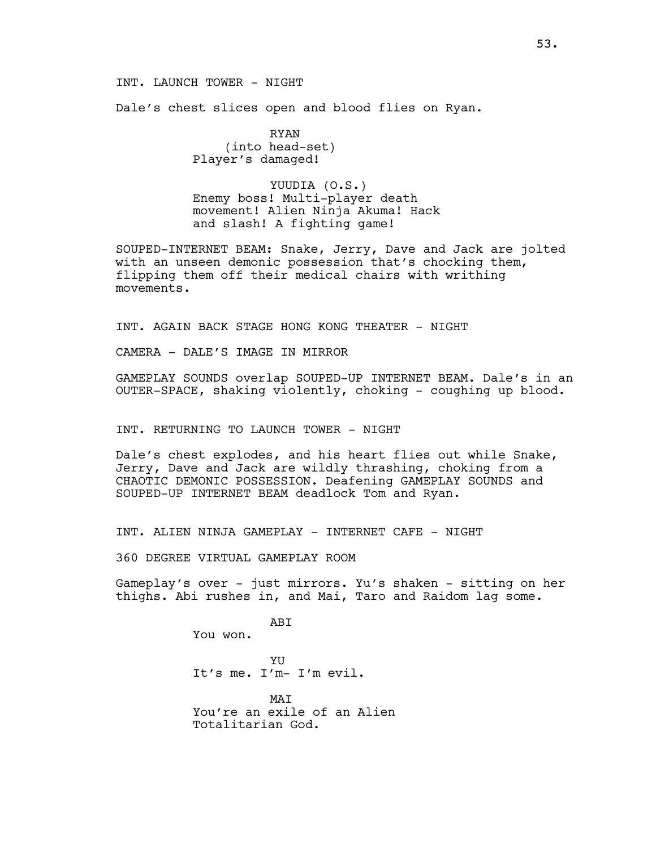## INT. LAUNCH TOWER - NIGHT

Dale's chest slices open and blood flies on Ryan.

RYAN (into head-set) Player's damaged!

YUUDIA (O.S.) Enemy boss! Multi-player death movement! Alien Ninja Akuma! Hack and slash! A fighting game!

SOUPED-INTERNET BEAM: Snake, Jerry, Dave and Jack are jolted with an unseen demonic possession that's chocking them, flipping them off their medical chairs with writhing movements.

INT. AGAIN BACK STAGE HONG KONG THEATER - NIGHT

CAMERA - DALE'S IMAGE IN MIRROR

GAMEPLAY SOUNDS overlap SOUPED-UP INTERNET BEAM. Dale's in an OUTER-SPACE, shaking violently, choking - coughing up blood.

## INT. RETURNING TO LAUNCH TOWER - NIGHT

Dale's chest explodes, and his heart flies out while Snake, Jerry, Dave and Jack are wildly thrashing, choking from a CHAOTIC DEMONIC POSSESSION. Deafening GAMEPLAY SOUNDS and SOUPED-UP INTERNET BEAM deadlock Tom and Ryan.

INT. ALIEN NINJA GAMEPLAY - INTERNET CAFE - NIGHT

360 DEGREE VIRTUAL GAMEPLAY ROOM

Gameplay's over - just mirrors. Yu's shaken - sitting on her thighs. Abi rushes in, and Mai, Taro and Raidom lag some.

**ABT** 

You won.

**YU** It's me. I'm- I'm evil.

MAT You're an exile of an Alien Totalitarian God.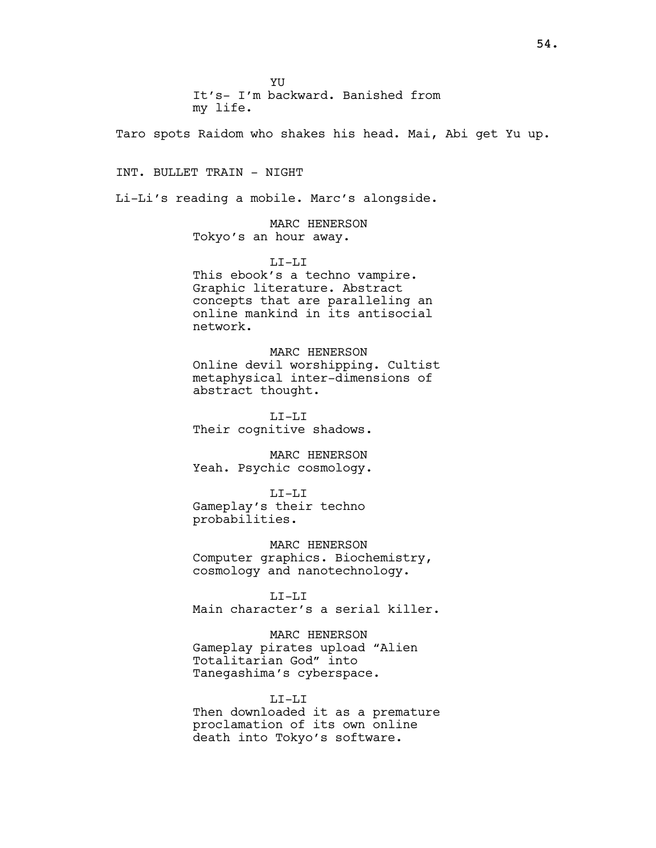**YU** It's- I'm backward. Banished from

my life.

Taro spots Raidom who shakes his head. Mai, Abi get Yu up.

INT. BULLET TRAIN - NIGHT

Li-Li's reading a mobile. Marc's alongside.

MARC HENERSON Tokyo's an hour away.

LI-LI This ebook's a techno vampire. Graphic literature. Abstract concepts that are paralleling an online mankind in its antisocial network.

MARC HENERSON Online devil worshipping. Cultist metaphysical inter-dimensions of abstract thought.

LI-LI Their cognitive shadows.

MARC HENERSON Yeah. Psychic cosmology.

LI-LI Gameplay's their techno probabilities.

MARC HENERSON Computer graphics. Biochemistry, cosmology and nanotechnology.

LI-LI

Main character's a serial killer.

MARC HENERSON

Gameplay pirates upload "Alien Totalitarian God" into Tanegashima's cyberspace.

 $T_{\rm L}T_{\rm -}T_{\rm L}T_{\rm L}$ 

Then downloaded it as a premature proclamation of its own online death into Tokyo's software.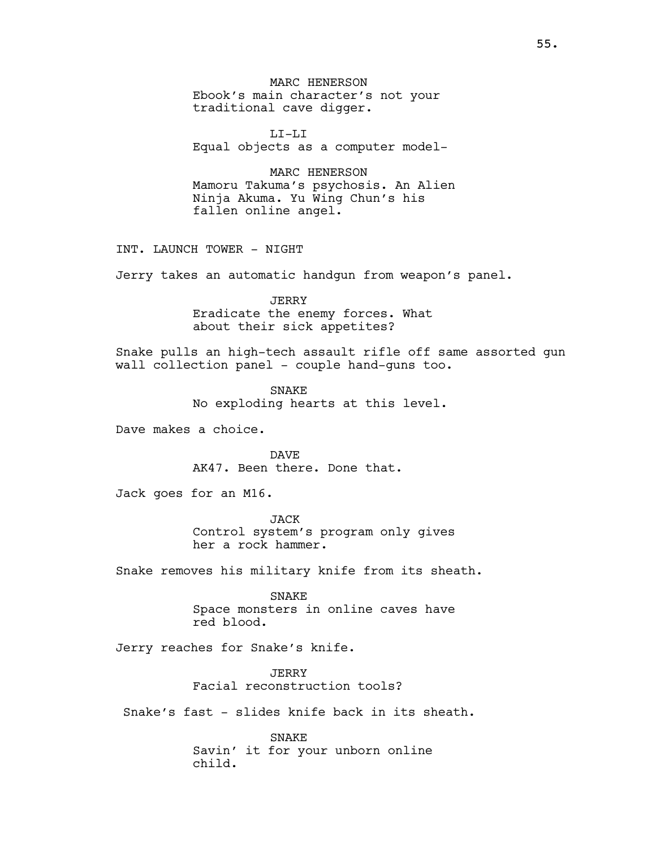MARC HENERSON Ebook's main character's not your traditional cave digger.

LI-LI Equal objects as a computer model-

MARC HENERSON Mamoru Takuma's psychosis. An Alien Ninja Akuma. Yu Wing Chun's his fallen online angel.

INT. LAUNCH TOWER - NIGHT

Jerry takes an automatic handgun from weapon's panel.

**JERRY** Eradicate the enemy forces. What about their sick appetites?

Snake pulls an high-tech assault rifle off same assorted gun wall collection panel - couple hand-quns too.

> SNAKE No exploding hearts at this level.

Dave makes a choice.

DAVE AK47. Been there. Done that.

Jack goes for an M16.

JACK Control system's program only gives her a rock hammer.

Snake removes his military knife from its sheath.

SNAKE Space monsters in online caves have red blood.

Jerry reaches for Snake's knife.

JERRY Facial reconstruction tools?

Snake's fast - slides knife back in its sheath.

SNAKE Savin' it for your unborn online child.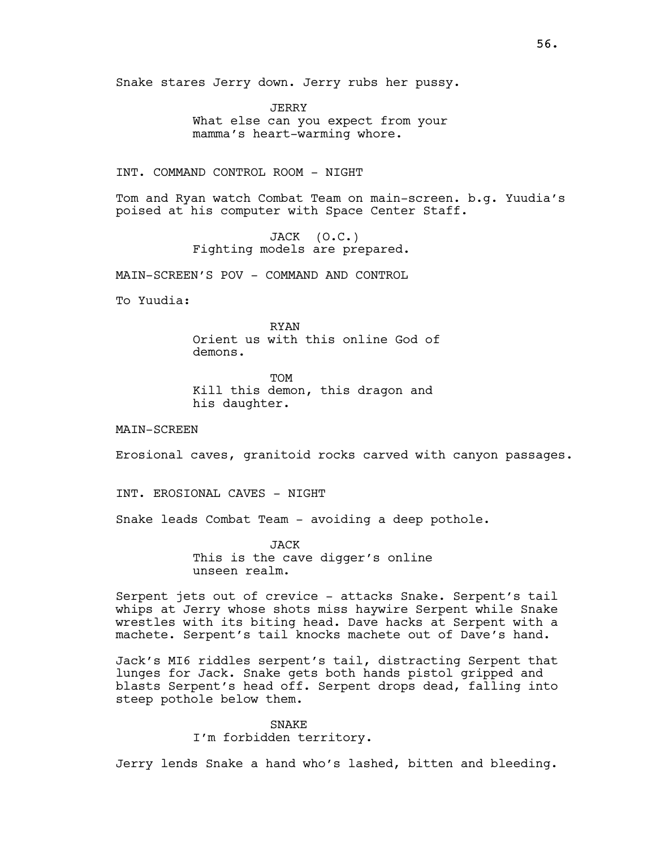Snake stares Jerry down. Jerry rubs her pussy.

JERRY What else can you expect from your mamma's heart-warming whore.

INT. COMMAND CONTROL ROOM - NIGHT

Tom and Ryan watch Combat Team on main-screen. b.g. Yuudia's poised at his computer with Space Center Staff.

> JACK (O.C.) Fighting models are prepared.

MAIN-SCREEN'S POV - COMMAND AND CONTROL

To Yuudia:

RYAN Orient us with this online God of demons.

**TOM** Kill this demon, this dragon and his daughter.

MAIN-SCREEN

Erosional caves, granitoid rocks carved with canyon passages.

INT. EROSIONAL CAVES - NIGHT

Snake leads Combat Team - avoiding a deep pothole.

JACK This is the cave digger's online unseen realm.

Serpent jets out of crevice - attacks Snake. Serpent's tail whips at Jerry whose shots miss haywire Serpent while Snake wrestles with its biting head. Dave hacks at Serpent with a machete. Serpent's tail knocks machete out of Dave's hand.

Jack's MI6 riddles serpent's tail, distracting Serpent that lunges for Jack. Snake gets both hands pistol gripped and blasts Serpent's head off. Serpent drops dead, falling into steep pothole below them.

> SNAKE I'm forbidden territory.

Jerry lends Snake a hand who's lashed, bitten and bleeding.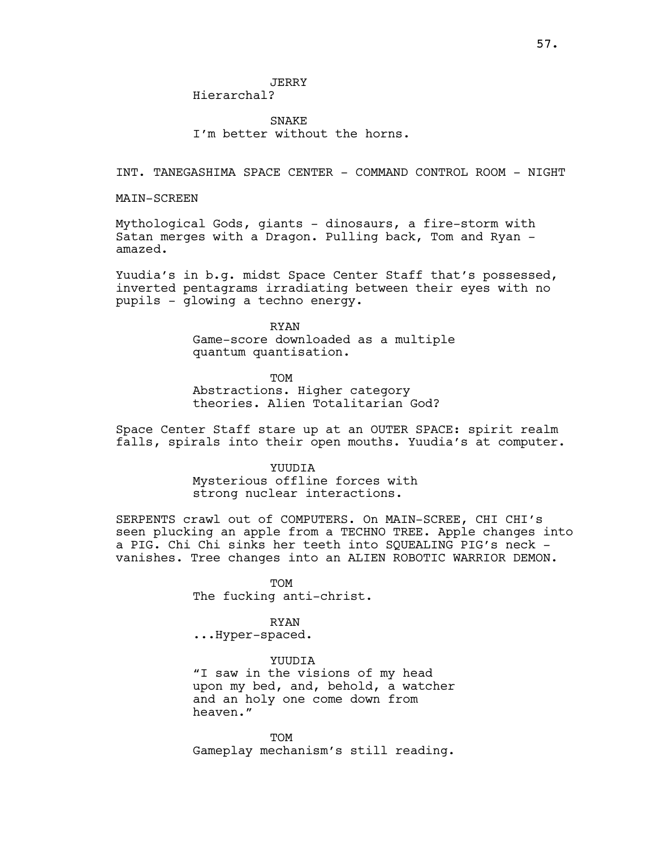JERRY

Hierarchal?

SNAKE I'm better without the horns.

INT. TANEGASHIMA SPACE CENTER - COMMAND CONTROL ROOM - NIGHT

MAIN-SCREEN

Mythological Gods, giants - dinosaurs, a fire-storm with Satan merges with a Dragon. Pulling back, Tom and Ryan amazed.

Yuudia's in b.g. midst Space Center Staff that's possessed, inverted pentagrams irradiating between their eyes with no pupils - glowing a techno energy.

> RYAN Game-score downloaded as a multiple quantum quantisation.

TOM Abstractions. Higher category theories. Alien Totalitarian God?

Space Center Staff stare up at an OUTER SPACE: spirit realm falls, spirals into their open mouths. Yuudia's at computer.

> **YUUDIA** Mysterious offline forces with strong nuclear interactions.

SERPENTS crawl out of COMPUTERS. On MAIN-SCREE, CHI CHI's seen plucking an apple from a TECHNO TREE. Apple changes into a PIG. Chi Chi sinks her teeth into SOUEALING PIG's neck vanishes. Tree changes into an ALIEN ROBOTIC WARRIOR DEMON.

> TOM The fucking anti-christ.

> > RYAN

...Hyper-spaced.

YUUDIA "I saw in the visions of my head upon my bed, and, behold, a watcher and an holy one come down from heaven."

TOM Gameplay mechanism's still reading.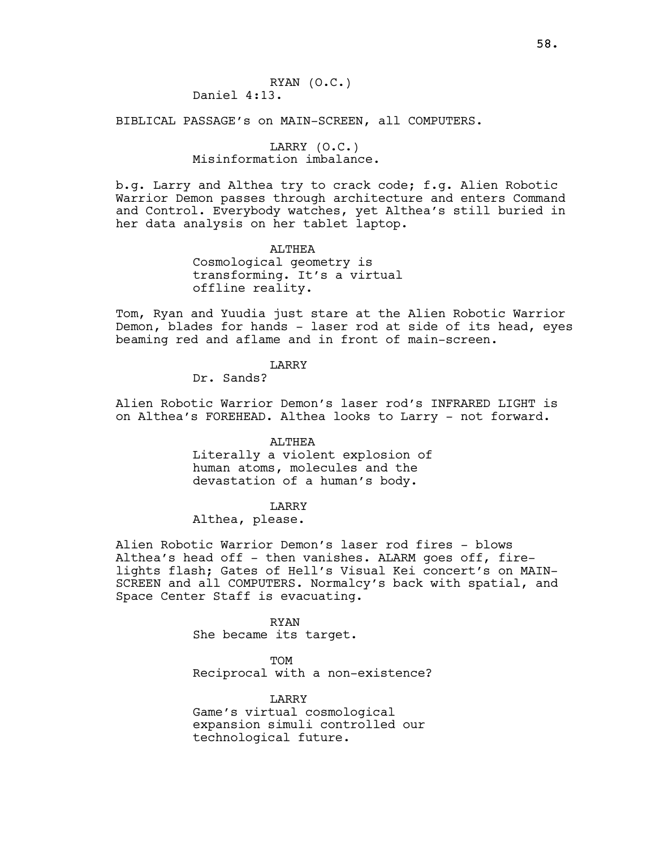RYAN (O.C.) Daniel 4:13.

BIBLICAL PASSAGE's on MAIN-SCREEN, all COMPUTERS.

# LARRY (O.C.)

# Misinformation imbalance.

b.g. Larry and Althea try to crack code; f.g. Alien Robotic Warrior Demon passes through architecture and enters Command and Control. Everybody watches, yet Althea's still buried in her data analysis on her tablet laptop.

> ALTHEA Cosmological geometry is transforming. It's a virtual offline reality.

Tom, Ryan and Yuudia just stare at the Alien Robotic Warrior Demon, blades for hands - laser rod at side of its head, eyes beaming red and aflame and in front of main-screen.

# LARRY

Dr. Sands?

Alien Robotic Warrior Demon's laser rod's INFRARED LIGHT is on Althea's FOREHEAD. Althea looks to Larry - not forward.

#### ALTHEA

Literally a violent explosion of human atoms, molecules and the devastation of a human's body.

## LARRY

# Althea, please.

Alien Robotic Warrior Demon's laser rod fires - blows Althea's head off - then vanishes. ALARM goes off, firelights flash; Gates of Hell's Visual Kei concert's on MAIN-SCREEN and all COMPUTERS. Normalcy's back with spatial, and Space Center Staff is evacuating.

> RYAN She became its target.

TOM Reciprocal with a non-existence?

LARRY Game's virtual cosmological expansion simuli controlled our technological future.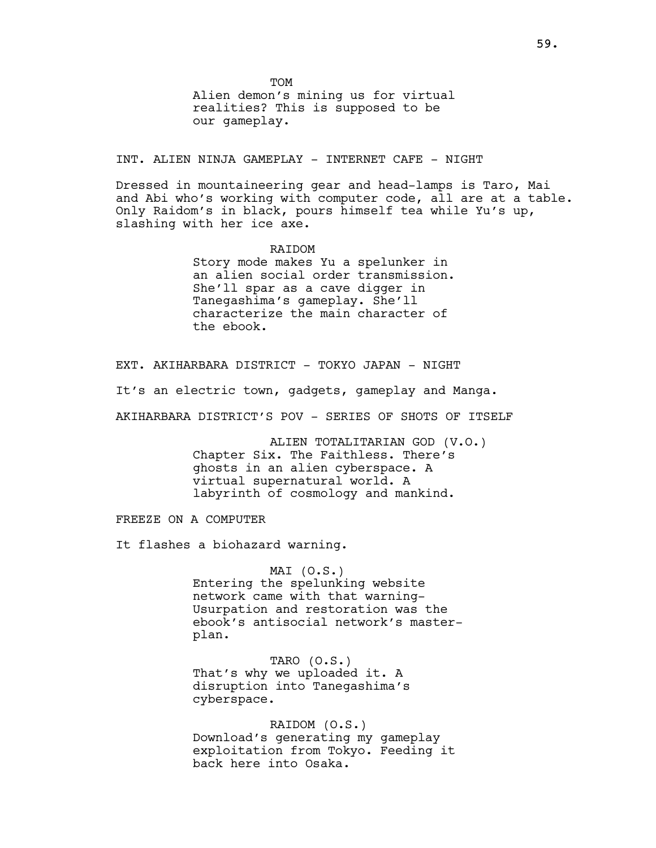**TOM** 

Alien demon's mining us for virtual realities? This is supposed to be our gameplay.

INT. ALIEN NINJA GAMEPLAY - INTERNET CAFE - NIGHT

Dressed in mountaineering gear and head-lamps is Taro, Mai and Abi who's working with computer code, all are at a table. Only Raidom's in black, pours himself tea while Yu's up, slashing with her ice axe.

> RAIDOM Story mode makes Yu a spelunker in an alien social order transmission. She'll spar as a cave digger in Tanegashima's gameplay. She'll characterize the main character of the ebook.

EXT. AKIHARBARA DISTRICT - TOKYO JAPAN - NIGHT It's an electric town, gadgets, gameplay and Manga. AKIHARBARA DISTRICT'S POV - SERIES OF SHOTS OF ITSELF

> ALIEN TOTALITARIAN GOD (V.O.) Chapter Six. The Faithless. There's ghosts in an alien cyberspace. A virtual supernatural world. A labyrinth of cosmology and mankind.

FREEZE ON A COMPUTER

It flashes a biohazard warning.

# MAI (O.S.) Entering the spelunking website network came with that warning-Usurpation and restoration was the ebook's antisocial network's masterplan.

TARO (O.S.) That's why we uploaded it. A disruption into Tanegashima's cyberspace.

RAIDOM (O.S.) Download's generating my gameplay exploitation from Tokyo. Feeding it back here into Osaka.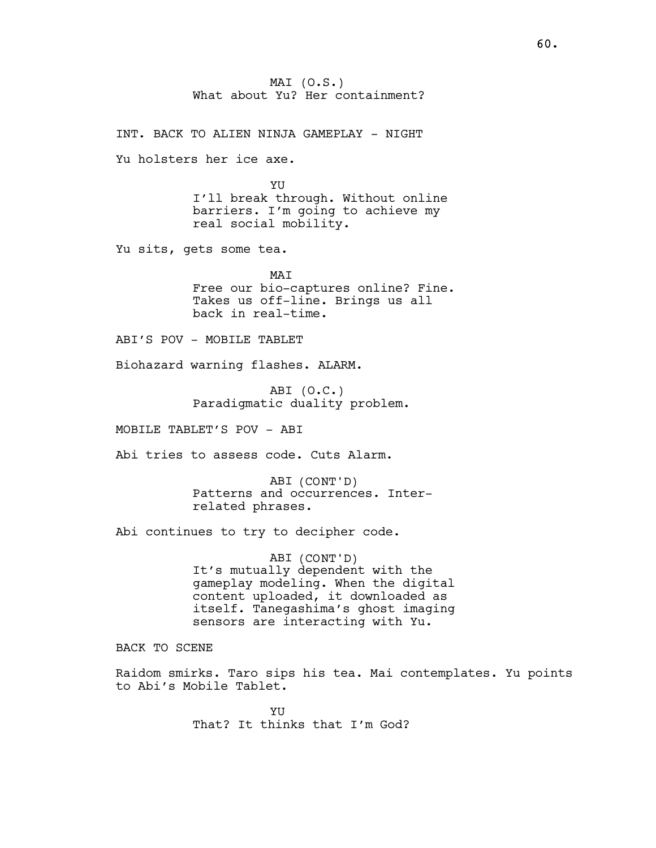MAI (O.S.) What about Yu? Her containment?

INT. BACK TO ALIEN NINJA GAMEPLAY - NIGHT

Yu holsters her ice axe.

YU I'll break through. Without online barriers. I'm going to achieve my real social mobility.

Yu sits, gets some tea.

MAT Free our bio-captures online? Fine. Takes us off-line. Brings us all back in real-time.

ABI'S POV - MOBILE TABLET

Biohazard warning flashes. ALARM.

ABI (O.C.) Paradigmatic duality problem.

MOBILE TABLET'S POV - ABI

Abi tries to assess code. Cuts Alarm.

ABI (CONT'D) Patterns and occurrences. Interrelated phrases.

Abi continues to try to decipher code.

ABI (CONT'D) It's mutually dependent with the gameplay modeling. When the digital content uploaded, it downloaded as itself. Tanegashima's ghost imaging sensors are interacting with Yu.

BACK TO SCENE

Raidom smirks. Taro sips his tea. Mai contemplates. Yu points to Abi's Mobile Tablet.

> YU That? It thinks that I'm God?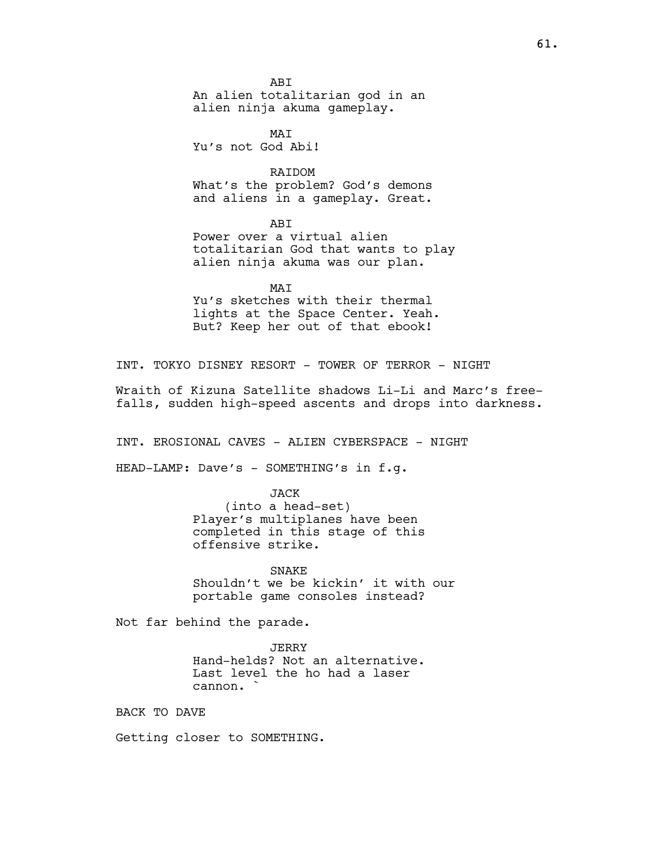ABI An alien totalitarian god in an alien ninja akuma gameplay.

MAT Yu's not God Abi!

RAIDOM What's the problem? God's demons and aliens in a gameplay. Great.

ABI Power over a virtual alien totalitarian God that wants to play alien ninja akuma was our plan.

MAI Yu's sketches with their thermal lights at the Space Center. Yeah. But? Keep her out of that ebook!

INT. TOKYO DISNEY RESORT - TOWER OF TERROR - NIGHT

Wraith of Kizuna Satellite shadows Li-Li and Marc's freefalls, sudden high-speed ascents and drops into darkness.

INT. EROSIONAL CAVES - ALIEN CYBERSPACE - NIGHT

HEAD-LAMP: Dave's - SOMETHING's in f.g.

JACK (into a head-set) Player's multiplanes have been completed in this stage of this offensive strike.

SNAKE Shouldn't we be kickin' it with our portable game consoles instead?

Not far behind the parade.

JERRY Hand-helds? Not an alternative. Last level the ho had a laser cannon. `

BACK TO DAVE

Getting closer to SOMETHING.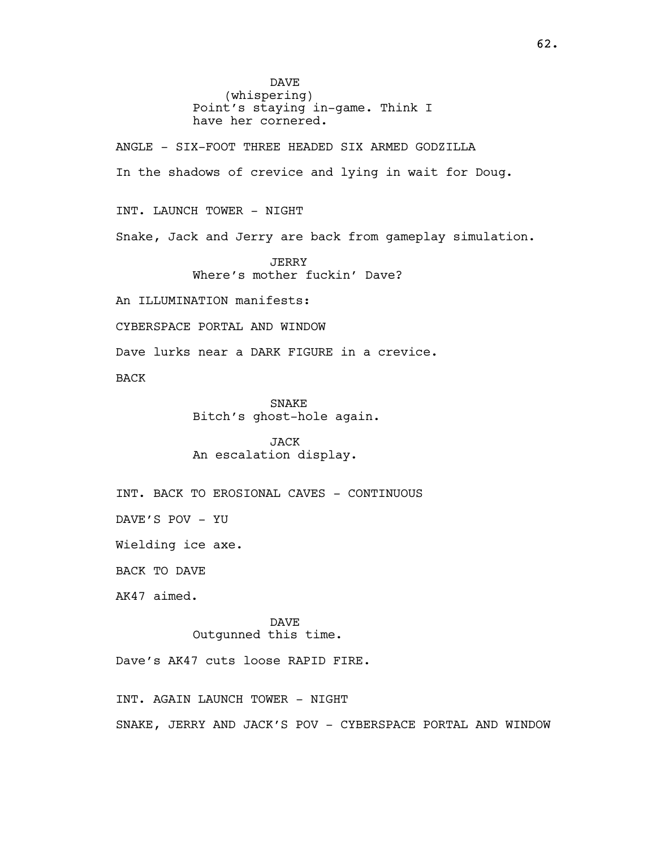DAVE (whispering) Point's staying in-game. Think I have her cornered.

ANGLE - SIX-FOOT THREE HEADED SIX ARMED GODZILLA In the shadows of crevice and lying in wait for Doug.

INT. LAUNCH TOWER - NIGHT

Snake, Jack and Jerry are back from gameplay simulation.

JERRY Where's mother fuckin' Dave?

An ILLUMINATION manifests:

CYBERSPACE PORTAL AND WINDOW

Dave lurks near a DARK FIGURE in a crevice.

BACK

SNAKE Bitch's ghost-hole again.

JACK An escalation display.

INT. BACK TO EROSIONAL CAVES - CONTINUOUS

DAVE'S POV - YU

Wielding ice axe.

BACK TO DAVE

AK47 aimed.

DAVE Outgunned this time.

Dave's AK47 cuts loose RAPID FIRE.

INT. AGAIN LAUNCH TOWER - NIGHT SNAKE, JERRY AND JACK'S POV - CYBERSPACE PORTAL AND WINDOW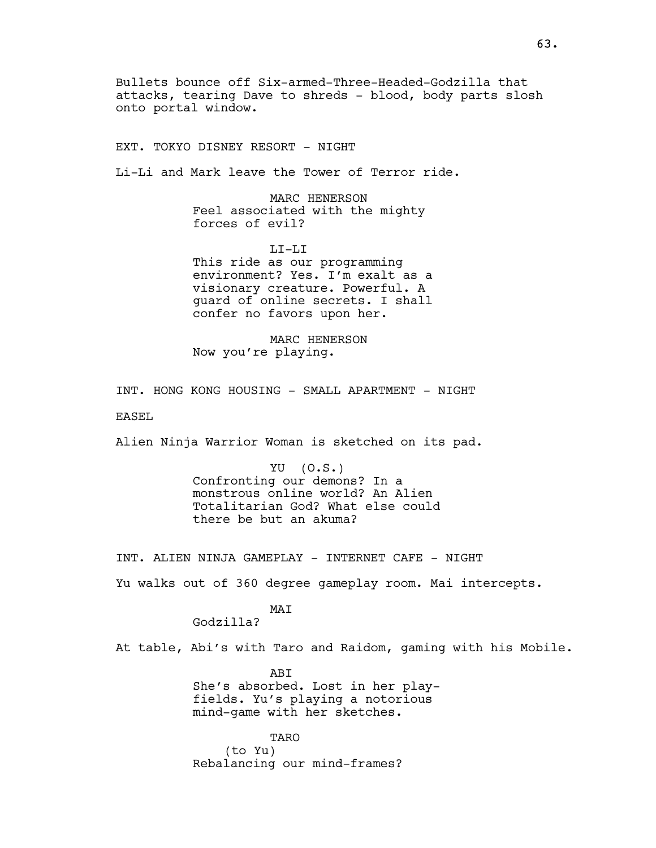Bullets bounce off Six-armed-Three-Headed-Godzilla that attacks, tearing Dave to shreds - blood, body parts slosh onto portal window.

EXT. TOKYO DISNEY RESORT - NIGHT

Li-Li and Mark leave the Tower of Terror ride.

MARC HENERSON Feel associated with the mighty forces of evil?

LI-LI This ride as our programming environment? Yes. I'm exalt as a visionary creature. Powerful. A guard of online secrets. I shall confer no favors upon her.

MARC HENERSON Now you're playing.

INT. HONG KONG HOUSING - SMALL APARTMENT - NIGHT

EASEL

Alien Ninja Warrior Woman is sketched on its pad.

YU (O.S.) Confronting our demons? In a monstrous online world? An Alien Totalitarian God? What else could there be but an akuma?

INT. ALIEN NINJA GAMEPLAY - INTERNET CAFE - NIGHT

Yu walks out of 360 degree gameplay room. Mai intercepts.

MAT

Godzilla?

At table, Abi's with Taro and Raidom, gaming with his Mobile.

ABI She's absorbed. Lost in her playfields. Yu's playing a notorious mind-game with her sketches.

TARO (to Yu) Rebalancing our mind-frames?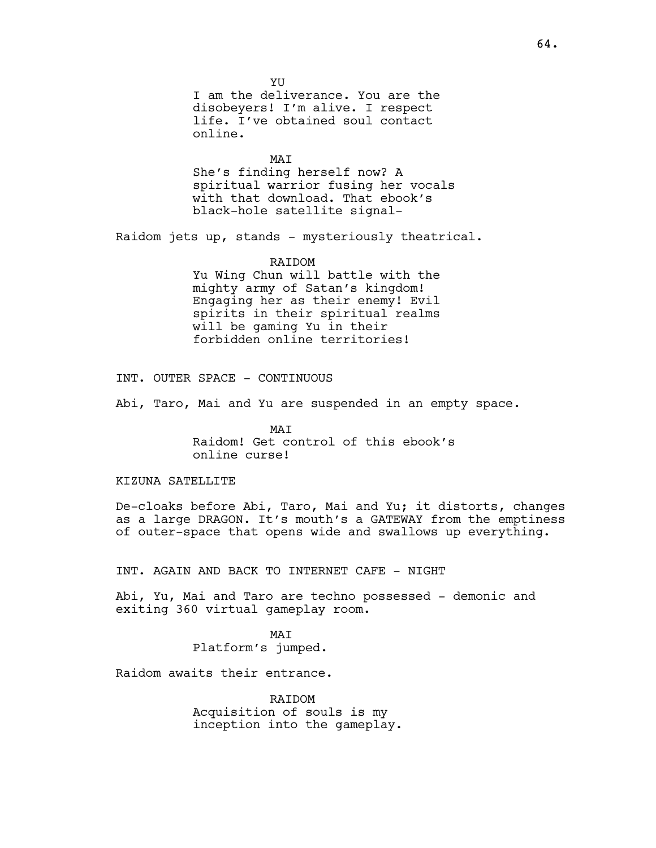**YU** I am the deliverance. You are the disobeyers! I'm alive. I respect life. I've obtained soul contact online.

MAT She's finding herself now? A spiritual warrior fusing her vocals with that download. That ebook's

Raidom jets up, stands - mysteriously theatrical.

black-hole satellite signal-

### RAIDOM

Yu Wing Chun will battle with the mighty army of Satan's kingdom! Engaging her as their enemy! Evil spirits in their spiritual realms will be gaming Yu in their forbidden online territories!

INT. OUTER SPACE - CONTINUOUS

Abi, Taro, Mai and Yu are suspended in an empty space.

MAI Raidom! Get control of this ebook's online curse!

## KIZUNA SATELLITE

De-cloaks before Abi, Taro, Mai and Yu; it distorts, changes as a large DRAGON. It's mouth's a GATEWAY from the emptiness of outer-space that opens wide and swallows up everything.

INT. AGAIN AND BACK TO INTERNET CAFE - NIGHT

Abi, Yu, Mai and Taro are techno possessed - demonic and exiting 360 virtual gameplay room.

> MAI Platform's jumped.

Raidom awaits their entrance.

RAIDOM Acquisition of souls is my inception into the gameplay.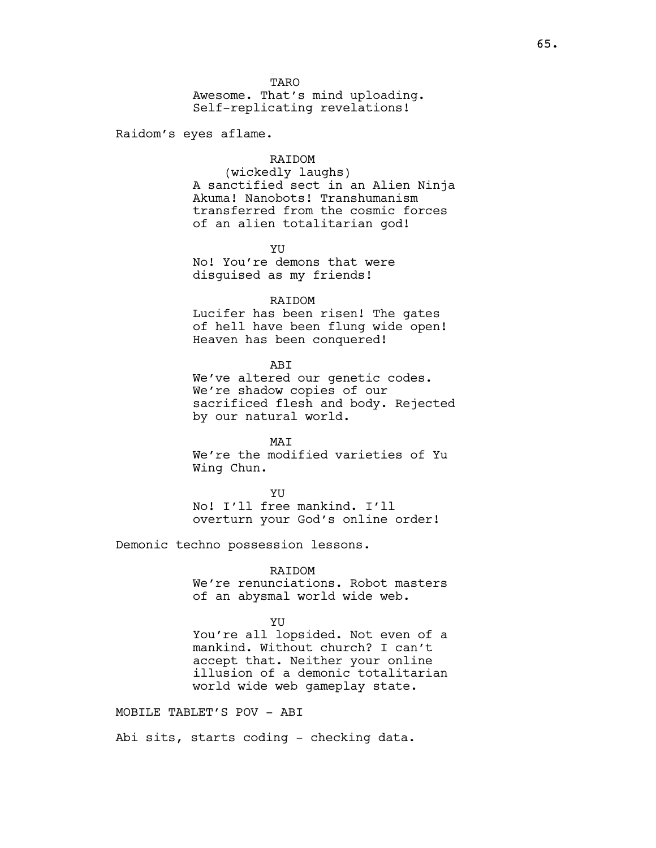**TARO** Awesome. That's mind uploading. Self-replicating revelations!

Raidom's eyes aflame.

# RAIDOM

(wickedly laughs) A sanctified sect in an Alien Ninja Akuma! Nanobots! Transhumanism transferred from the cosmic forces of an alien totalitarian god!

YU No! You're demons that were disguised as my friends!

#### RAIDOM

Lucifer has been risen! The gates of hell have been flung wide open! Heaven has been conquered!

ABI

We've altered our genetic codes. We're shadow copies of our sacrificed flesh and body. Rejected by our natural world.

MAT We're the modified varieties of Yu Wing Chun.

**YU** 

No! I'll free mankind. I'll overturn your God's online order!

Demonic techno possession lessons.

### RAIDOM

We're renunciations. Robot masters of an abysmal world wide web.

YU

You're all lopsided. Not even of a mankind. Without church? I can't accept that. Neither your online illusion of a demonic totalitarian world wide web gameplay state.

MOBILE TABLET'S POV - ABI

Abi sits, starts coding - checking data.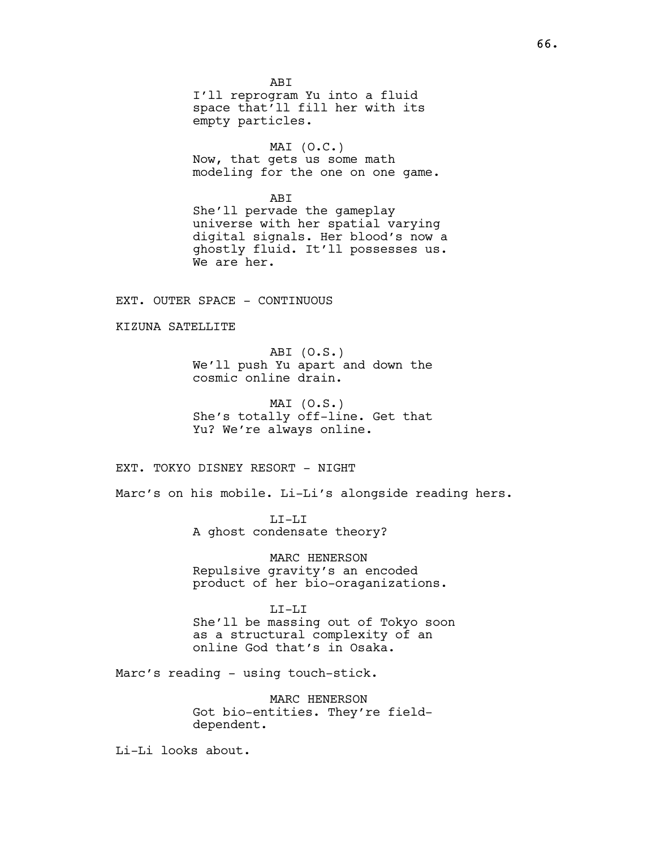ABI I'll reprogram Yu into a fluid space that'll fill her with its empty particles.

MAI  $(O.C.)$ Now, that gets us some math modeling for the one on one game.

ABI

She'll pervade the gameplay universe with her spatial varying digital signals. Her blood's now a ghostly fluid. It'll possesses us. We are her.

EXT. OUTER SPACE - CONTINUOUS

KIZUNA SATELLITE

ABI (O.S.) We'll push Yu apart and down the cosmic online drain.

MAI (O.S.) She's totally off-line. Get that Yu? We're always online.

EXT. TOKYO DISNEY RESORT - NIGHT

Marc's on his mobile. Li-Li's alongside reading hers.

LI-LI A ghost condensate theory?

MARC HENERSON Repulsive gravity's an encoded product of her bio-oraganizations.

LI-LI She'll be massing out of Tokyo soon as a structural complexity of an online God that's in Osaka.

Marc's reading - using touch-stick.

MARC HENERSON Got bio-entities. They're fielddependent.

Li-Li looks about.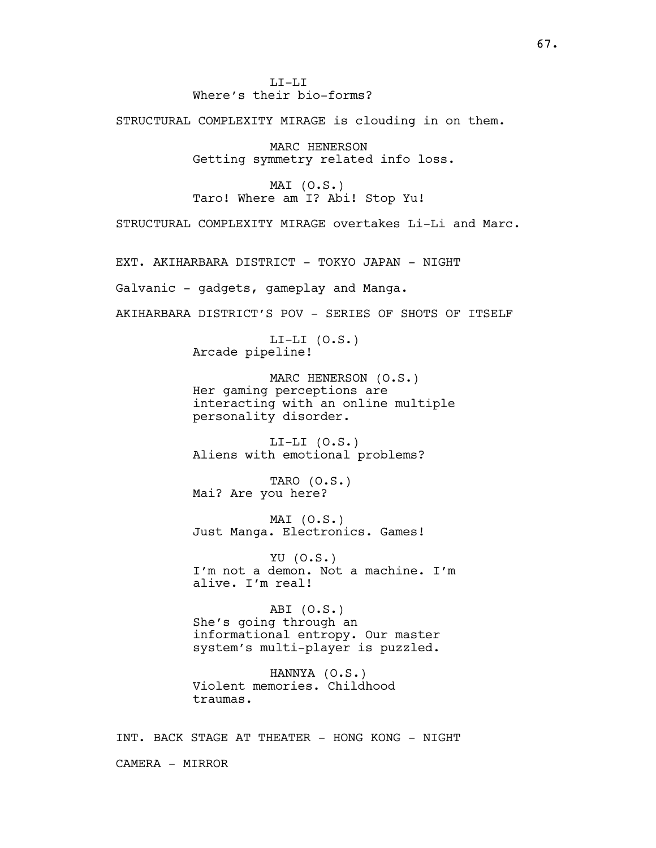LI-LI Where's their bio-forms?

STRUCTURAL COMPLEXITY MIRAGE is clouding in on them.

MARC HENERSON Getting symmetry related info loss.

MAI (O.S.) Taro! Where am I? Abi! Stop Yu!

STRUCTURAL COMPLEXITY MIRAGE overtakes Li-Li and Marc.

EXT. AKIHARBARA DISTRICT - TOKYO JAPAN - NIGHT

Galvanic - gadgets, gameplay and Manga.

AKIHARBARA DISTRICT'S POV - SERIES OF SHOTS OF ITSELF

 $LI-LI (0.S.)$ Arcade pipeline!

MARC HENERSON (O.S.) Her gaming perceptions are interacting with an online multiple personality disorder.

 $LI-LI (0.S.)$ Aliens with emotional problems?

TARO (O.S.) Mai? Are you here?

MAI (O.S.) Just Manga. Electronics. Games!

YU (O.S.) I'm not a demon. Not a machine. I'm alive. I'm real!

ABI (O.S.) She's going through an informational entropy. Our master system's multi-player is puzzled.

HANNYA (O.S.) Violent memories. Childhood traumas.

INT. BACK STAGE AT THEATER - HONG KONG - NIGHT CAMERA - MIRROR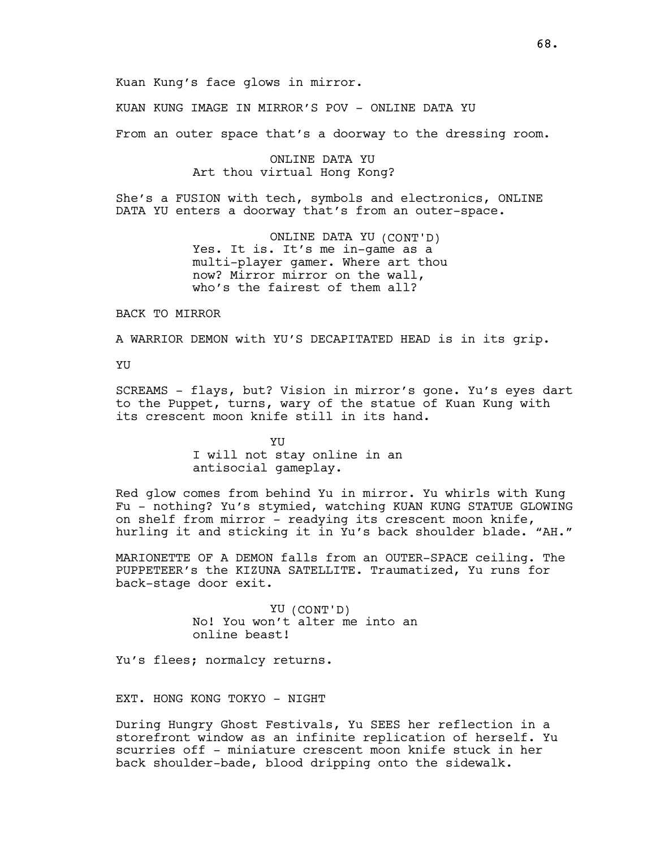KUAN KUNG IMAGE IN MIRROR'S POV - ONLINE DATA YU

From an outer space that's a doorway to the dressing room.

## ONLINE DATA YU Art thou virtual Hong Kong?

She's a FUSION with tech, symbols and electronics, ONLINE DATA YU enters a doorway that's from an outer-space.

> ONLINE DATA YU (CONT'D) Yes. It is. It's me in-game as a multi-player gamer. Where art thou now? Mirror mirror on the wall, who's the fairest of them all?

BACK TO MIRROR

A WARRIOR DEMON with YU'S DECAPITATED HEAD is in its grip.

YU

SCREAMS - flays, but? Vision in mirror's gone. Yu's eyes dart to the Puppet, turns, wary of the statue of Kuan Kung with its crescent moon knife still in its hand.

> YU I will not stay online in an antisocial gameplay.

Red glow comes from behind Yu in mirror. Yu whirls with Kung Fu - nothing? Yu's stymied, watching KUAN KUNG STATUE GLOWING on shelf from mirror - readying its crescent moon knife, hurling it and sticking it in Yu's back shoulder blade. "AH."

MARIONETTE OF A DEMON falls from an OUTER-SPACE ceiling. The PUPPETEER's the KIZUNA SATELLITE. Traumatized, Yu runs for back-stage door exit.

> YU (CONT'D) No! You won't alter me into an online beast!

Yu's flees; normalcy returns.

EXT. HONG KONG TOKYO - NIGHT

During Hungry Ghost Festivals, Yu SEES her reflection in a storefront window as an infinite replication of herself. Yu scurries off - miniature crescent moon knife stuck in her back shoulder-bade, blood dripping onto the sidewalk.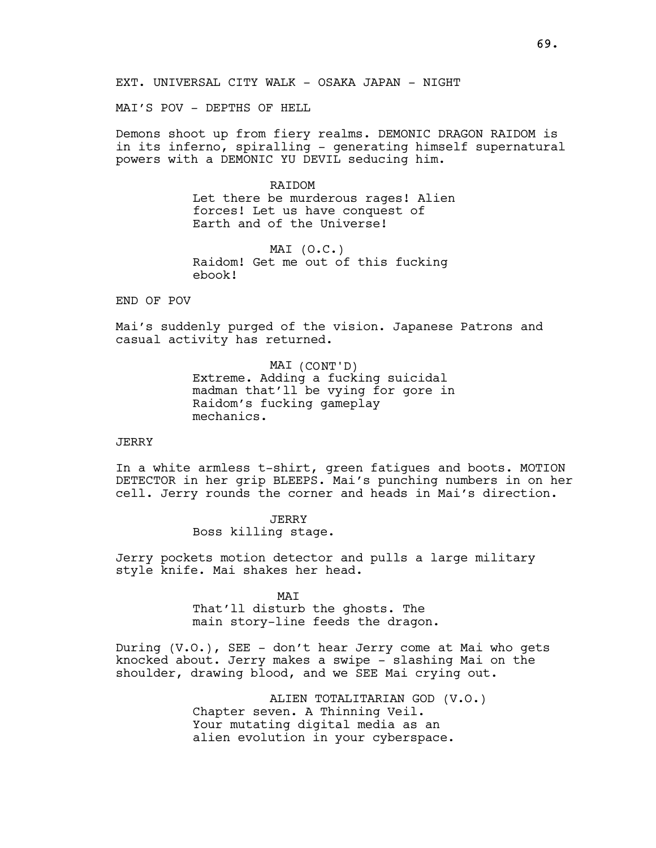MAI'S POV - DEPTHS OF HELL

Demons shoot up from fiery realms. DEMONIC DRAGON RAIDOM is in its inferno, spiralling - generating himself supernatural powers with a DEMONIC YU DEVIL seducing him.

#### **RATDOM**

Let there be murderous rages! Alien forces! Let us have conquest of Earth and of the Universe!

MAI (O.C.) Raidom! Get me out of this fucking ebook!

# END OF POV

Mai's suddenly purged of the vision. Japanese Patrons and casual activity has returned.

> MAI (CONT'D) Extreme. Adding a fucking suicidal madman that'll be vying for gore in Raidom's fucking gameplay mechanics.

## **JERRY**

In a white armless t-shirt, green fatigues and boots. MOTION DETECTOR in her grip BLEEPS. Mai's punching numbers in on her cell. Jerry rounds the corner and heads in Mai's direction.

> JERRY Boss killing stage.

Jerry pockets motion detector and pulls a large military style knife. Mai shakes her head.

> MAI That'll disturb the ghosts. The main story-line feeds the dragon.

During (V.O.), SEE - don't hear Jerry come at Mai who gets knocked about. Jerry makes a swipe - slashing Mai on the shoulder, drawing blood, and we SEE Mai crying out.

> ALIEN TOTALITARIAN GOD (V.O.) Chapter seven. A Thinning Veil. Your mutating digital media as an alien evolution in your cyberspace.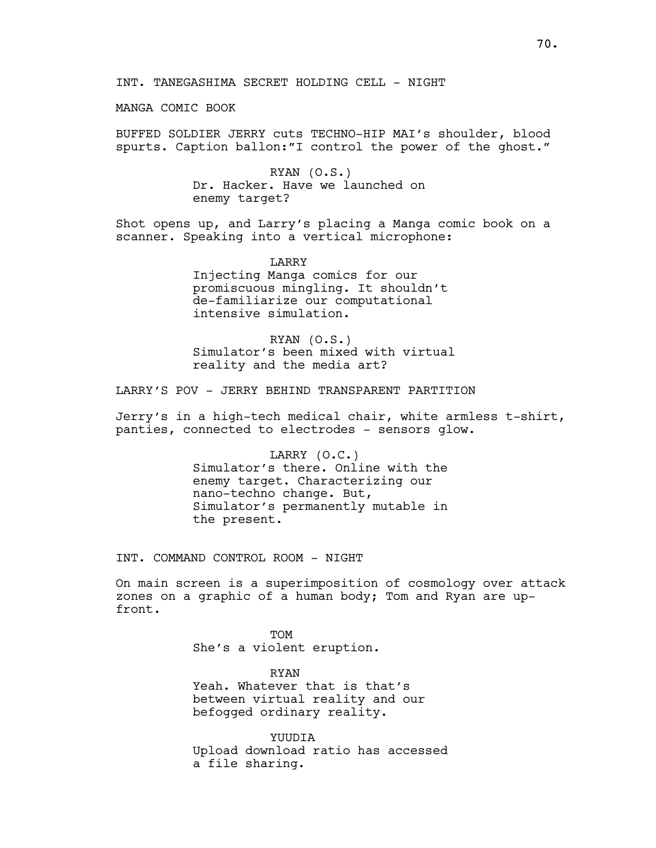INT. TANEGASHIMA SECRET HOLDING CELL - NIGHT

MANGA COMIC BOOK

BUFFED SOLDIER JERRY cuts TECHNO-HIP MAI's shoulder, blood spurts. Caption ballon:"I control the power of the ghost."

> RYAN (O.S.) Dr. Hacker. Have we launched on enemy target?

Shot opens up, and Larry's placing a Manga comic book on a scanner. Speaking into a vertical microphone:

> LARRY Injecting Manga comics for our promiscuous mingling. It shouldn't de-familiarize our computational intensive simulation.

RYAN (O.S.) Simulator's been mixed with virtual reality and the media art?

LARRY'S POV - JERRY BEHIND TRANSPARENT PARTITION

Jerry's in a high-tech medical chair, white armless t-shirt, panties, connected to electrodes - sensors glow.

> LARRY (O.C.) Simulator's there. Online with the enemy target. Characterizing our nano-techno change. But, Simulator's permanently mutable in the present.

INT. COMMAND CONTROL ROOM - NIGHT

On main screen is a superimposition of cosmology over attack zones on a graphic of a human body; Tom and Ryan are upfront.

> **TOM** She's a violent eruption.

RYAN Yeah. Whatever that is that's between virtual reality and our befogged ordinary reality.

YUUDIA Upload download ratio has accessed a file sharing.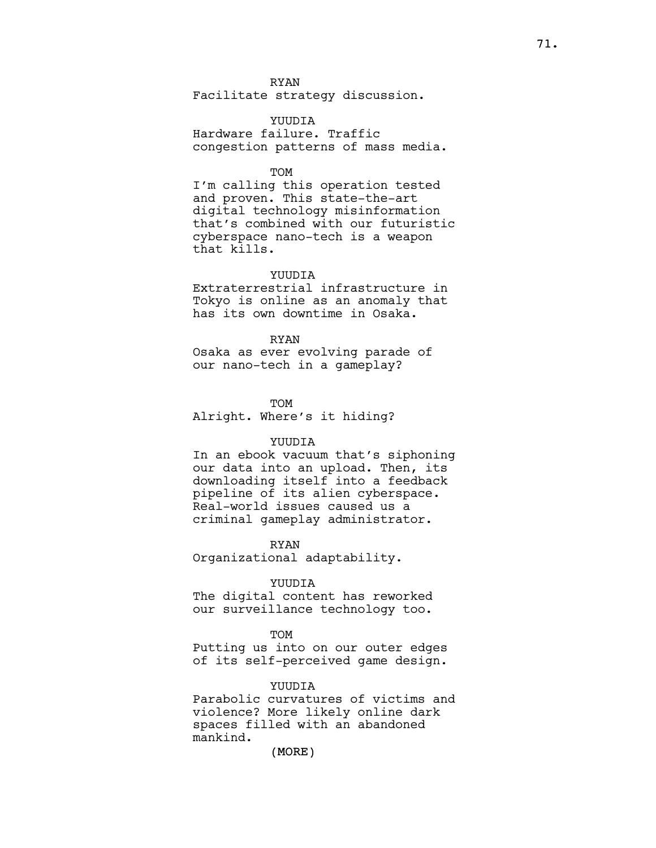RYAN Facilitate strategy discussion.

YUUDIA Hardware failure. Traffic congestion patterns of mass media.

#### TOM

I'm calling this operation tested and proven. This state-the-art digital technology misinformation that's combined with our futuristic cyberspace nano-tech is a weapon that kills.

## **YUUDIA**

Extraterrestrial infrastructure in Tokyo is online as an anomaly that has its own downtime in Osaka.

RYAN

Osaka as ever evolving parade of our nano-tech in a gameplay?

TOM

Alright. Where's it hiding?

### YUUDIA

In an ebook vacuum that's siphoning our data into an upload. Then, its downloading itself into a feedback pipeline of its alien cyberspace. Real-world issues caused us a criminal gameplay administrator.

RYAN

Organizational adaptability.

## YUUDIA

The digital content has reworked our surveillance technology too.

#### TOM

Putting us into on our outer edges of its self-perceived game design.

## YUUDIA

Parabolic curvatures of victims and violence? More likely online dark spaces filled with an abandoned mankind.

(MORE)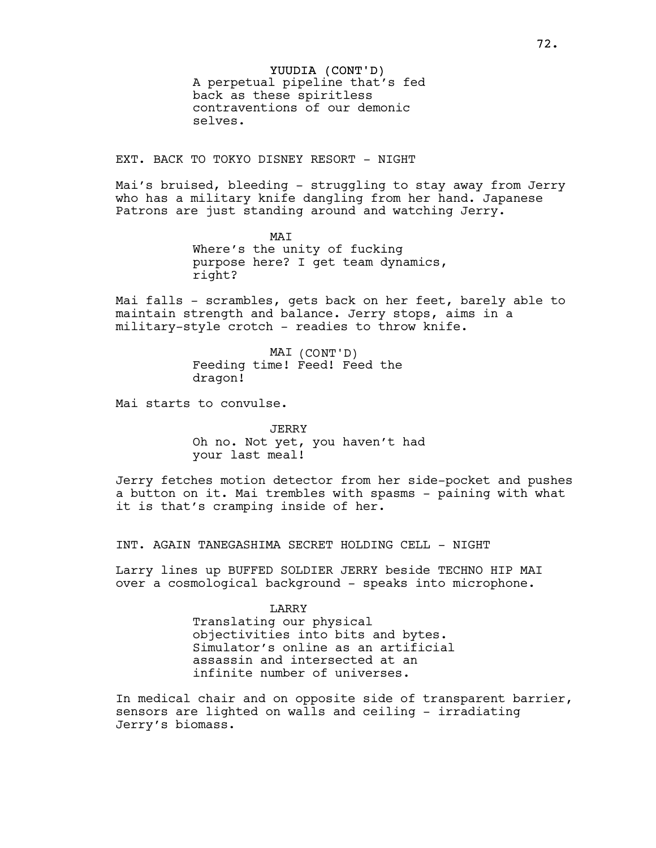YUUDIA (CONT'D) A perpetual pipeline that's fed back as these spiritless contraventions of our demonic selves.

EXT. BACK TO TOKYO DISNEY RESORT - NIGHT

Mai's bruised, bleeding - struggling to stay away from Jerry who has a military knife dangling from her hand. Japanese Patrons are just standing around and watching Jerry.

> MAI Where's the unity of fucking purpose here? I get team dynamics, right?

Mai falls - scrambles, gets back on her feet, barely able to maintain strength and balance. Jerry stops, aims in a military-style crotch - readies to throw knife.

> MAI (CONT'D) Feeding time! Feed! Feed the dragon!

Mai starts to convulse.

JERRY Oh no. Not yet, you haven't had your last meal!

Jerry fetches motion detector from her side-pocket and pushes a button on it. Mai trembles with spasms - paining with what it is that's cramping inside of her.

INT. AGAIN TANEGASHIMA SECRET HOLDING CELL - NIGHT

Larry lines up BUFFED SOLDIER JERRY beside TECHNO HIP MAI over a cosmological background - speaks into microphone.

> **LARRY** Translating our physical objectivities into bits and bytes. Simulator's online as an artificial assassin and intersected at an infinite number of universes.

In medical chair and on opposite side of transparent barrier, sensors are lighted on walls and ceiling - irradiating Jerry's biomass.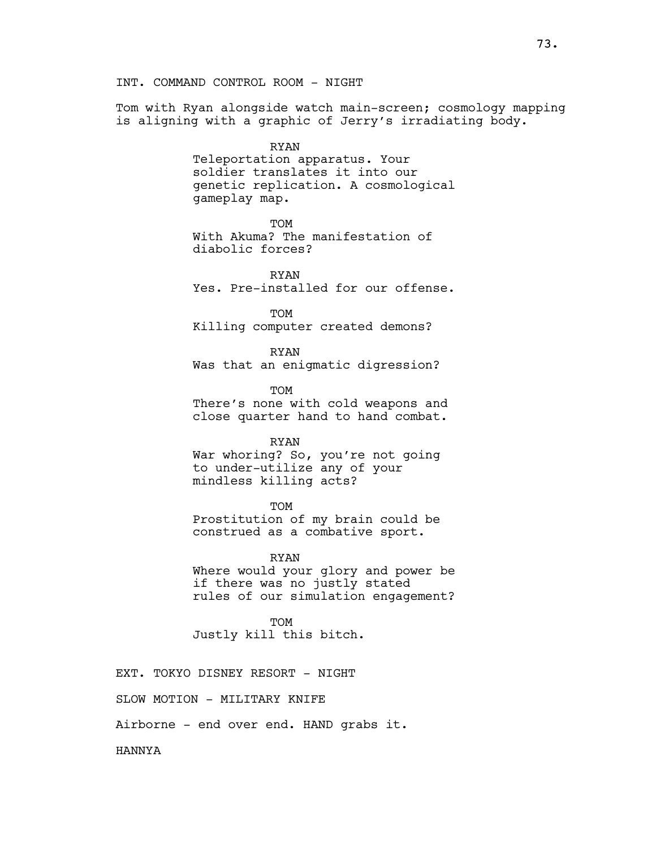Tom with Ryan alongside watch main-screen; cosmology mapping is aligning with a graphic of Jerry's irradiating body.

> RYAN Teleportation apparatus. Your soldier translates it into our genetic replication. A cosmological gameplay map.

> > **TOM**

With Akuma? The manifestation of diabolic forces?

RYAN Yes. Pre-installed for our offense.

TOM Killing computer created demons?

RYAN Was that an enigmatic digression?

TOM There's none with cold weapons and close quarter hand to hand combat.

### RYAN

War whoring? So, you're not going to under-utilize any of your mindless killing acts?

TOM

Prostitution of my brain could be construed as a combative sport.

RYAN Where would your glory and power be if there was no justly stated rules of our simulation engagement?

TOM Justly kill this bitch.

EXT. TOKYO DISNEY RESORT - NIGHT

SLOW MOTION - MILITARY KNIFE

Airborne - end over end. HAND grabs it.

HANNYA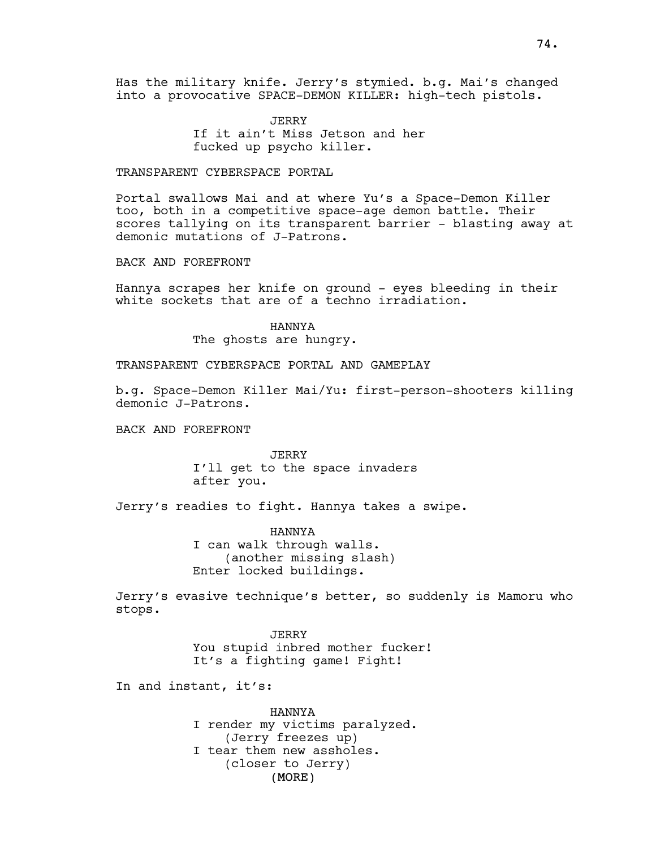Has the military knife. Jerry's stymied. b.g. Mai's changed into a provocative SPACE-DEMON KILLER: high-tech pistols.

> JERRY If it ain't Miss Jetson and her fucked up psycho killer.

### TRANSPARENT CYBERSPACE PORTAL

Portal swallows Mai and at where Yu's a Space-Demon Killer too, both in a competitive space-age demon battle. Their scores tallying on its transparent barrier - blasting away at demonic mutations of J-Patrons.

BACK AND FOREFRONT

Hannya scrapes her knife on ground - eyes bleeding in their white sockets that are of a techno irradiation.

### HANNYA

The ghosts are hungry.

## TRANSPARENT CYBERSPACE PORTAL AND GAMEPLAY

b.g. Space-Demon Killer Mai/Yu: first-person-shooters killing demonic J-Patrons.

BACK AND FOREFRONT

JERRY I'll get to the space invaders after you.

Jerry's readies to fight. Hannya takes a swipe.

HANNYA I can walk through walls. (another missing slash) Enter locked buildings.

Jerry's evasive technique's better, so suddenly is Mamoru who stops.

> JERRY You stupid inbred mother fucker! It's a fighting game! Fight!

In and instant, it's:

(MORE) HANNYA I render my victims paralyzed. (Jerry freezes up) I tear them new assholes. (closer to Jerry)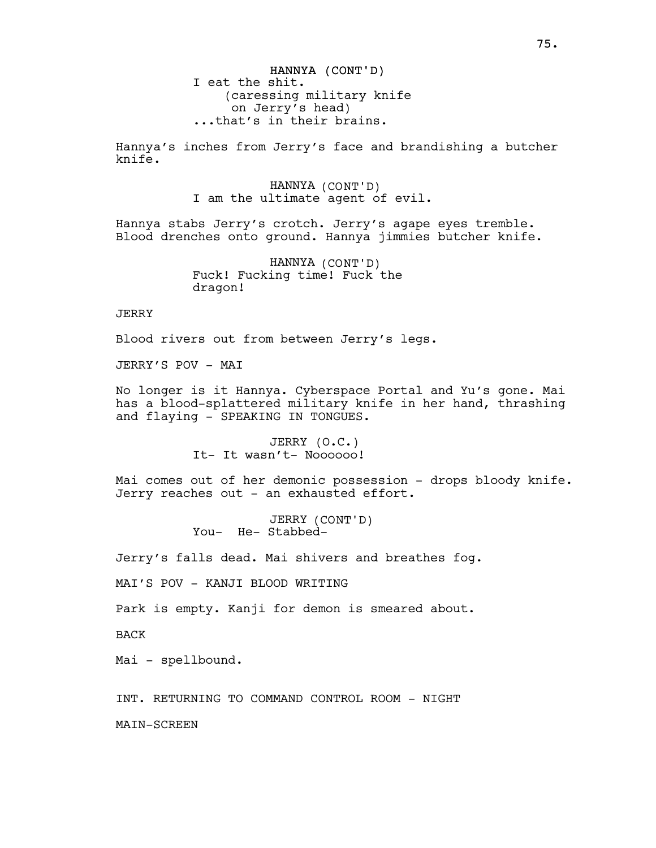Hannya's inches from Jerry's face and brandishing a butcher knife.

> HANNYA (CONT'D) I am the ultimate agent of evil.

Hannya stabs Jerry's crotch. Jerry's agape eyes tremble. Blood drenches onto ground. Hannya jimmies butcher knife.

> HANNYA (CONT'D) Fuck! Fucking time! Fuck the dragon!

**JERRY** 

Blood rivers out from between Jerry's legs.

JERRY'S POV - MAI

No longer is it Hannya. Cyberspace Portal and Yu's gone. Mai has a blood-splattered military knife in her hand, thrashing and flaying - SPEAKING IN TONGUES.

> JERRY (O.C.) It- It wasn't- Noooooo!

Mai comes out of her demonic possession - drops bloody knife. Jerry reaches out - an exhausted effort.

> JERRY (CONT'D) You- He- Stabbed-

Jerry's falls dead. Mai shivers and breathes fog.

MAI'S POV - KANJI BLOOD WRITING

Park is empty. Kanji for demon is smeared about.

BACK

Mai - spellbound.

INT. RETURNING TO COMMAND CONTROL ROOM - NIGHT

MAIN-SCREEN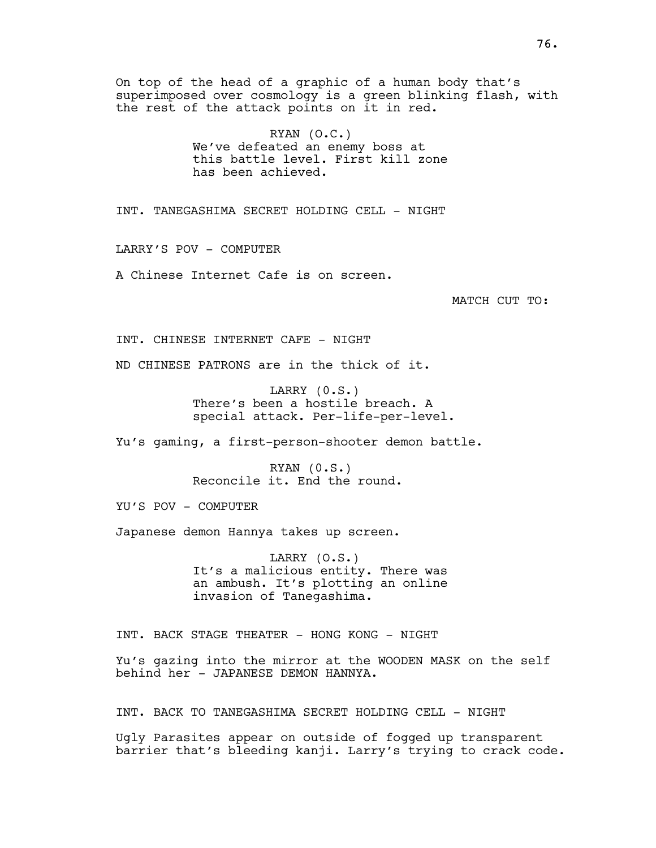On top of the head of a graphic of a human body that's superimposed over cosmology is a green blinking flash, with the rest of the attack points on it in red.

> RYAN (O.C.) We've defeated an enemy boss at this battle level. First kill zone has been achieved.

INT. TANEGASHIMA SECRET HOLDING CELL - NIGHT

LARRY'S POV - COMPUTER

A Chinese Internet Cafe is on screen.

MATCH CUT TO:

INT. CHINESE INTERNET CAFE - NIGHT

ND CHINESE PATRONS are in the thick of it.

LARRY (0.S.) There's been a hostile breach. A special attack. Per-life-per-level.

Yu's gaming, a first-person-shooter demon battle.

RYAN (0.S.) Reconcile it. End the round.

YU'S POV - COMPUTER

Japanese demon Hannya takes up screen.

LARRY (O.S.) It's a malicious entity. There was an ambush. It's plotting an online invasion of Tanegashima.

INT. BACK STAGE THEATER - HONG KONG - NIGHT

Yu's gazing into the mirror at the WOODEN MASK on the self behind her - JAPANESE DEMON HANNYA.

INT. BACK TO TANEGASHIMA SECRET HOLDING CELL - NIGHT

Ugly Parasites appear on outside of fogged up transparent barrier that's bleeding kanji. Larry's trying to crack code.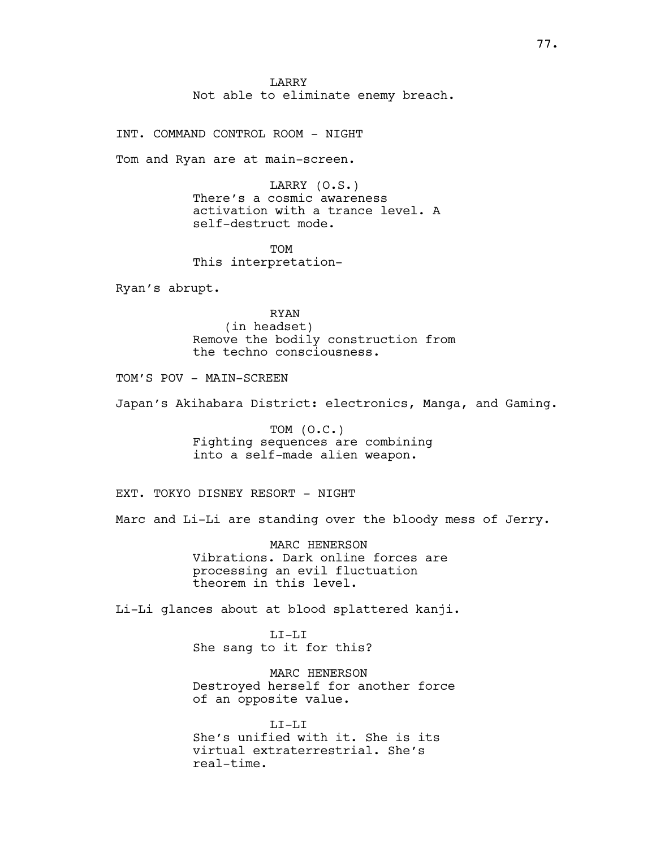LARRY Not able to eliminate enemy breach.

INT. COMMAND CONTROL ROOM - NIGHT

Tom and Ryan are at main-screen.

LARRY (O.S.) There's a cosmic awareness activation with a trance level. A self-destruct mode.

TOM This interpretation-

Ryan's abrupt.

RYAN (in headset) Remove the bodily construction from the techno consciousness.

TOM'S POV - MAIN-SCREEN

Japan's Akihabara District: electronics, Manga, and Gaming.

TOM (O.C.) Fighting sequences are combining into a self-made alien weapon.

EXT. TOKYO DISNEY RESORT - NIGHT

Marc and Li-Li are standing over the bloody mess of Jerry.

MARC HENERSON Vibrations. Dark online forces are processing an evil fluctuation theorem in this level.

Li-Li glances about at blood splattered kanji.

LI-LI She sang to it for this?

MARC HENERSON Destroyed herself for another force of an opposite value.

LI-LI She's unified with it. She is its virtual extraterrestrial. She's real-time.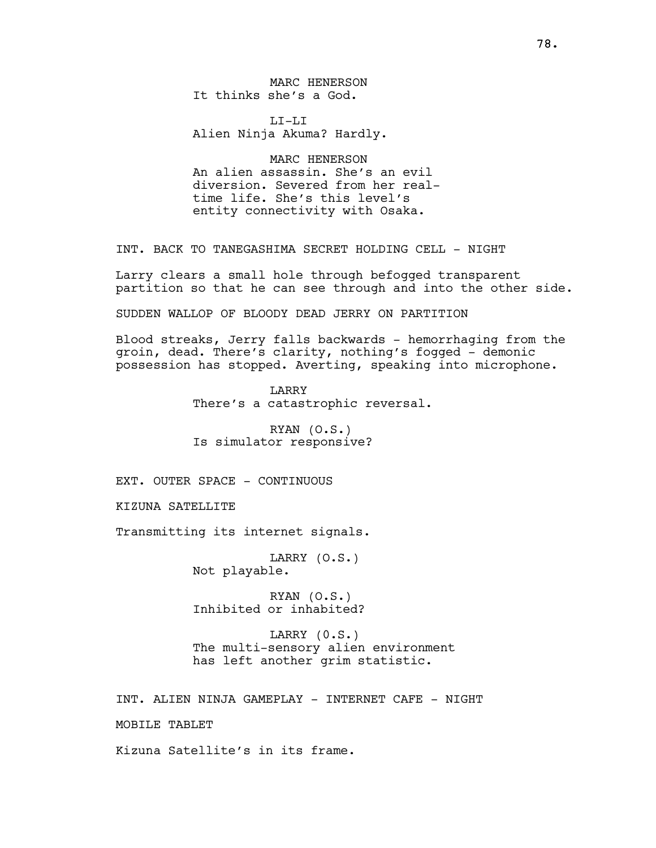MARC HENERSON It thinks she's a God.

 $T_{\rm L}T_{\rm -}T_{\rm L}T_{\rm L}$ Alien Ninja Akuma? Hardly.

MARC HENERSON An alien assassin. She's an evil diversion. Severed from her realtime life. She's this level's entity connectivity with Osaka.

INT. BACK TO TANEGASHIMA SECRET HOLDING CELL - NIGHT

Larry clears a small hole through befogged transparent partition so that he can see through and into the other side.

SUDDEN WALLOP OF BLOODY DEAD JERRY ON PARTITION

Blood streaks, Jerry falls backwards - hemorrhaging from the groin, dead. There's clarity, nothing's fogged - demonic possession has stopped. Averting, speaking into microphone.

> LARRY There's a catastrophic reversal.

RYAN (O.S.) Is simulator responsive?

EXT. OUTER SPACE - CONTINUOUS

KIZUNA SATELLITE

Transmitting its internet signals.

LARRY (O.S.) Not playable.

RYAN (O.S.) Inhibited or inhabited?

LARRY (0.S.) The multi-sensory alien environment has left another grim statistic.

INT. ALIEN NINJA GAMEPLAY - INTERNET CAFE - NIGHT

MOBILE TABLET

Kizuna Satellite's in its frame.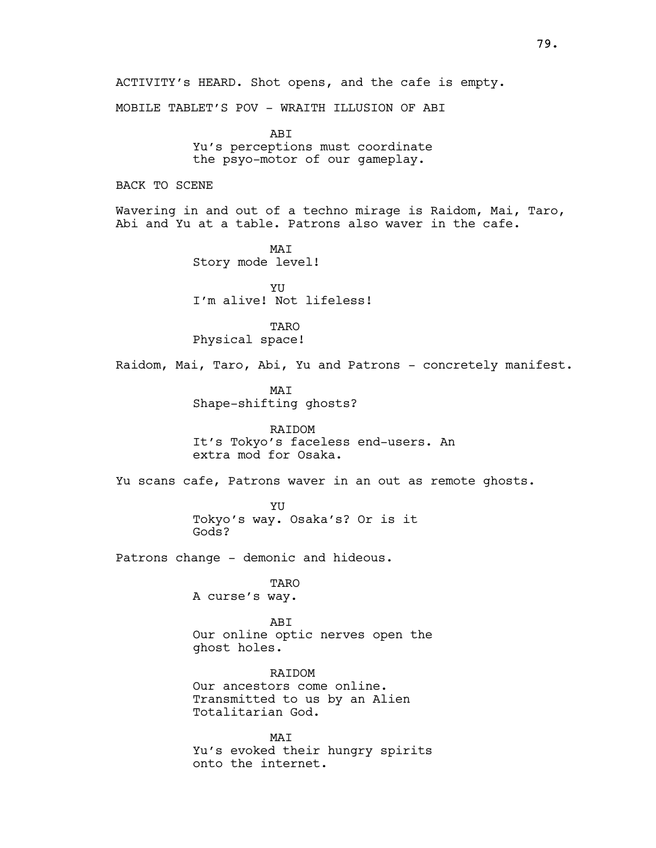ACTIVITY's HEARD. Shot opens, and the cafe is empty. MOBILE TABLET'S POV - WRAITH ILLUSION OF ABI **ABT** Yu's perceptions must coordinate the psyo-motor of our gameplay. BACK TO SCENE Wavering in and out of a techno mirage is Raidom, Mai, Taro, Abi and Yu at a table. Patrons also waver in the cafe. MAI Story mode level! **YU** I'm alive! Not lifeless! **TARO** Physical space! Raidom, Mai, Taro, Abi, Yu and Patrons - concretely manifest. MAI Shape-shifting ghosts? RAIDOM It's Tokyo's faceless end-users. An extra mod for Osaka. Yu scans cafe, Patrons waver in an out as remote ghosts. YU Tokyo's way. Osaka's? Or is it Gods? Patrons change - demonic and hideous. TARO A curse's way. ABI Our online optic nerves open the ghost holes. RAIDOM Our ancestors come online. Transmitted to us by an Alien Totalitarian God. MAI Yu's evoked their hungry spirits onto the internet.

79.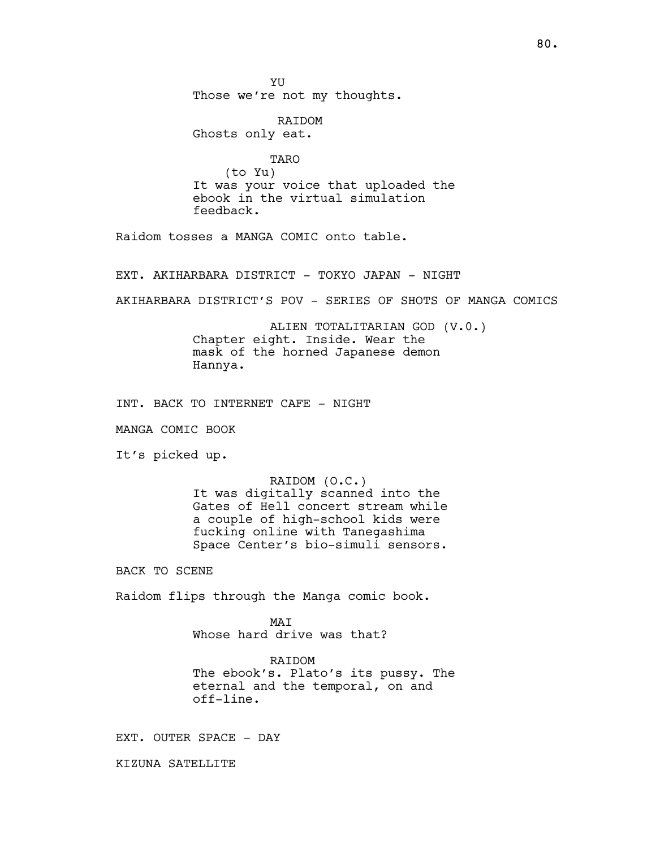YU Those we're not my thoughts.

 RAIDOM Ghosts only eat.

TARO (to Yu) It was your voice that uploaded the ebook in the virtual simulation feedback.

Raidom tosses a MANGA COMIC onto table.

EXT. AKIHARBARA DISTRICT - TOKYO JAPAN - NIGHT

AKIHARBARA DISTRICT'S POV - SERIES OF SHOTS OF MANGA COMICS

ALIEN TOTALITARIAN GOD (V.0.) Chapter eight. Inside. Wear the mask of the horned Japanese demon Hannya.

INT. BACK TO INTERNET CAFE - NIGHT

MANGA COMIC BOOK

It's picked up.

RAIDOM (O.C.) It was digitally scanned into the Gates of Hell concert stream while a couple of high-school kids were fucking online with Tanegashima Space Center's bio-simuli sensors.

BACK TO SCENE

Raidom flips through the Manga comic book.

MAI Whose hard drive was that?

RAIDOM The ebook's. Plato's its pussy. The eternal and the temporal, on and off-line.

EXT. OUTER SPACE - DAY

KIZUNA SATELLITE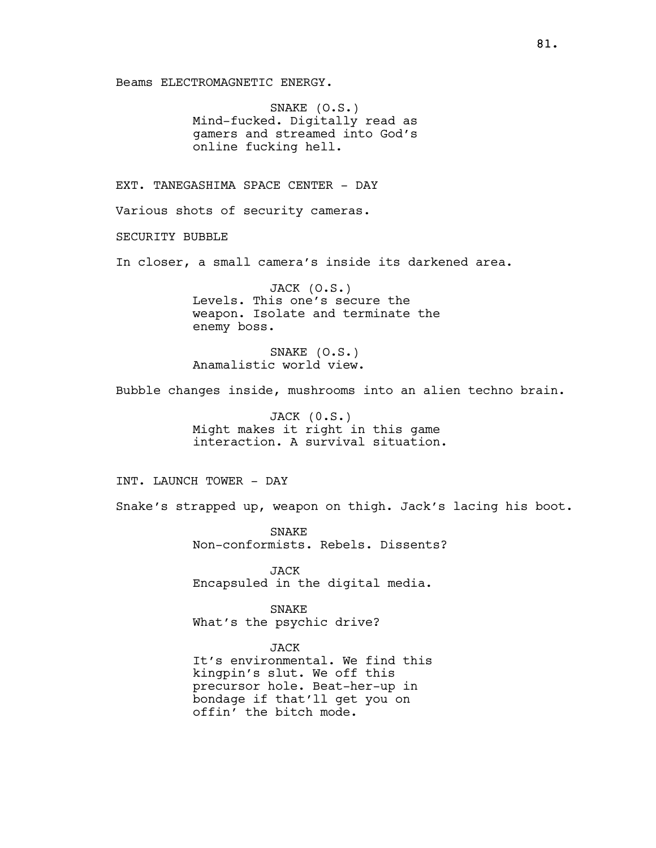Beams ELECTROMAGNETIC ENERGY.

SNAKE (O.S.) Mind-fucked. Digitally read as gamers and streamed into God's online fucking hell.

EXT. TANEGASHIMA SPACE CENTER - DAY

Various shots of security cameras.

SECURITY BUBBLE

In closer, a small camera's inside its darkened area.

JACK (O.S.) Levels. This one's secure the weapon. Isolate and terminate the enemy boss.

SNAKE (O.S.) Anamalistic world view.

Bubble changes inside, mushrooms into an alien techno brain.

JACK (0.S.) Might makes it right in this game interaction. A survival situation.

INT. LAUNCH TOWER - DAY

Snake's strapped up, weapon on thigh. Jack's lacing his boot.

SNAKE Non-conformists. Rebels. Dissents?

JACK Encapsuled in the digital media.

SNAKE What's the psychic drive?

JACK

It's environmental. We find this kingpin's slut. We off this precursor hole. Beat-her-up in bondage if that'll get you on offin' the bitch mode.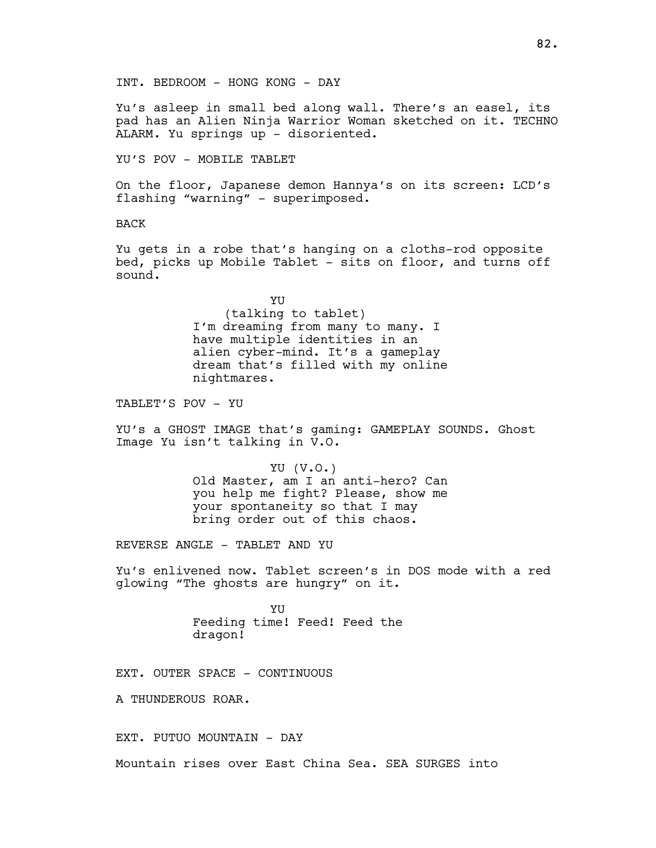INT. BEDROOM - HONG KONG - DAY

Yu's asleep in small bed along wall. There's an easel, its pad has an Alien Ninja Warrior Woman sketched on it. TECHNO ALARM. Yu springs up - disoriented.

YU'S POV - MOBILE TABLET

On the floor, Japanese demon Hannya's on its screen: LCD's flashing "warning" - superimposed.

BACK

Yu gets in a robe that's hanging on a cloths-rod opposite bed, picks up Mobile Tablet - sits on floor, and turns off sound.

> YU (talking to tablet) I'm dreaming from many to many. I have multiple identities in an alien cyber-mind. It's a gameplay dream that's filled with my online nightmares.

TABLET'S POV - YU

YU's a GHOST IMAGE that's gaming: GAMEPLAY SOUNDS. Ghost Image Yu isn't talking in V.O.

> YU (V.O.) Old Master, am I an anti-hero? Can you help me fight? Please, show me your spontaneity so that I may bring order out of this chaos.

REVERSE ANGLE - TABLET AND YU

Yu's enlivened now. Tablet screen's in DOS mode with a red glowing "The ghosts are hungry" on it.

> **YII** Feeding time! Feed! Feed the dragon!

EXT. OUTER SPACE - CONTINUOUS

A THUNDEROUS ROAR.

EXT. PUTUO MOUNTAIN - DAY

Mountain rises over East China Sea. SEA SURGES into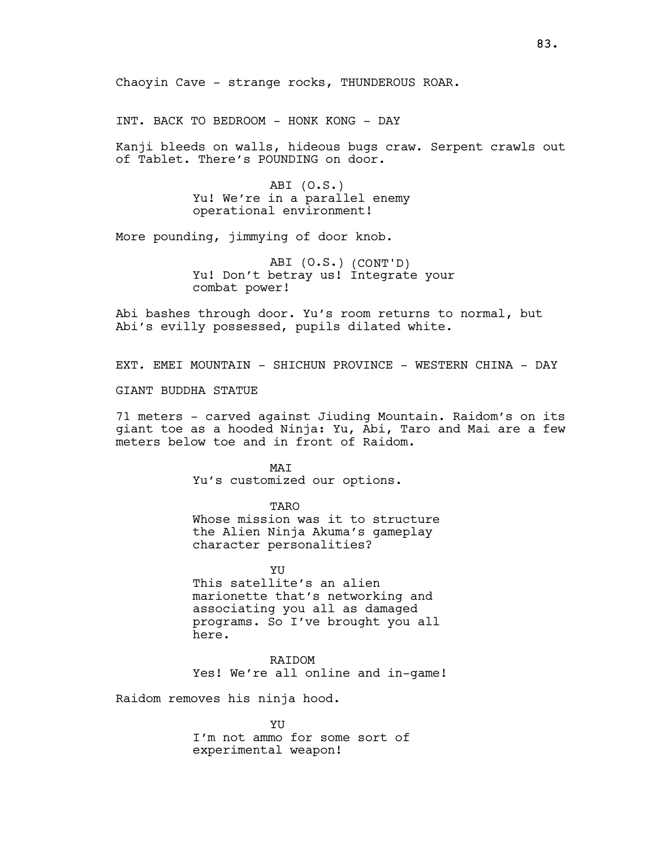INT. BACK TO BEDROOM - HONK KONG - DAY

Kanji bleeds on walls, hideous bugs craw. Serpent crawls out of Tablet. There's POUNDING on door.

> ABI (O.S.) Yu! We're in a parallel enemy operational environment!

More pounding, jimmying of door knob.

ABI (O.S.) (CONT'D) Yu! Don't betray us! Integrate your combat power!

Abi bashes through door. Yu's room returns to normal, but Abi's evilly possessed, pupils dilated white.

EXT. EMEI MOUNTAIN - SHICHUN PROVINCE - WESTERN CHINA - DAY

GIANT BUDDHA STATUE

71 meters - carved against Jiuding Mountain. Raidom's on its giant toe as a hooded Ninja: Yu, Abi, Taro and Mai are a few meters below toe and in front of Raidom.

> **MAT** Yu's customized our options.

> > TARO

Whose mission was it to structure the Alien Ninja Akuma's gameplay character personalities?

YU This satellite's an alien marionette that's networking and associating you all as damaged programs. So I've brought you all here.

RAIDOM Yes! We're all online and in-game!

Raidom removes his ninja hood.

YU I'm not ammo for some sort of experimental weapon!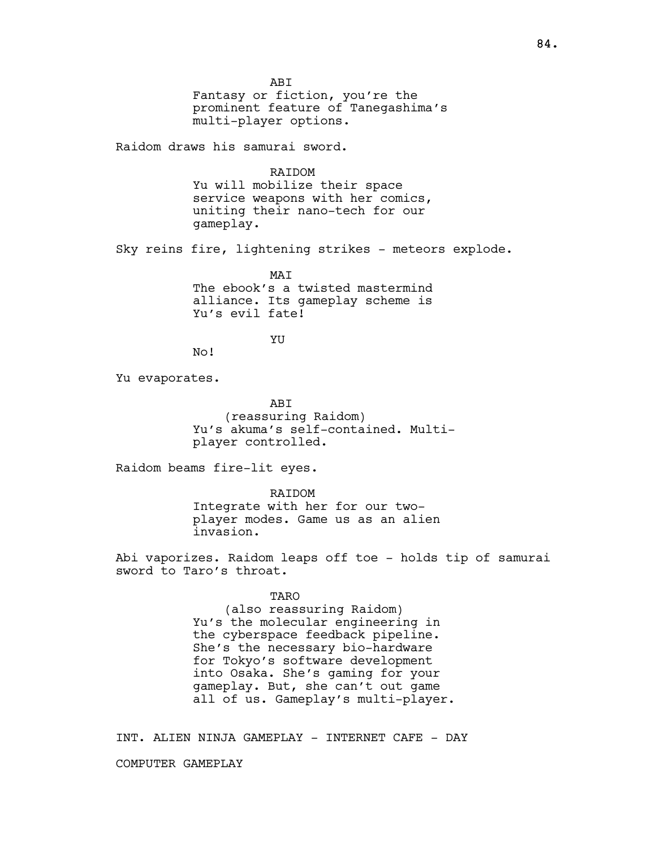ABI Fantasy or fiction, you're the prominent feature of Tanegashima's multi-player options. Raidom draws his samurai sword. RAIDOM Yu will mobilize their space service weapons with her comics, uniting their nano-tech for our gameplay. Sky reins fire, lightening strikes - meteors explode. MAT The ebook's a twisted mastermind alliance. Its gameplay scheme is Yu's evil fate! YU No! Yu evaporates. ABI (reassuring Raidom) Yu's akuma's self-contained. Multiplayer controlled. Raidom beams fire-lit eyes. RAIDOM Integrate with her for our twoplayer modes. Game us as an alien invasion. Abi vaporizes. Raidom leaps off toe - holds tip of samurai sword to Taro's throat. TARO (also reassuring Raidom) Yu's the molecular engineering in the cyberspace feedback pipeline. She's the necessary bio-hardware for Tokyo's software development into Osaka. She's gaming for your gameplay. But, she can't out game all of us. Gameplay's multi-player.

INT. ALIEN NINJA GAMEPLAY - INTERNET CAFE - DAY COMPUTER GAMEPLAY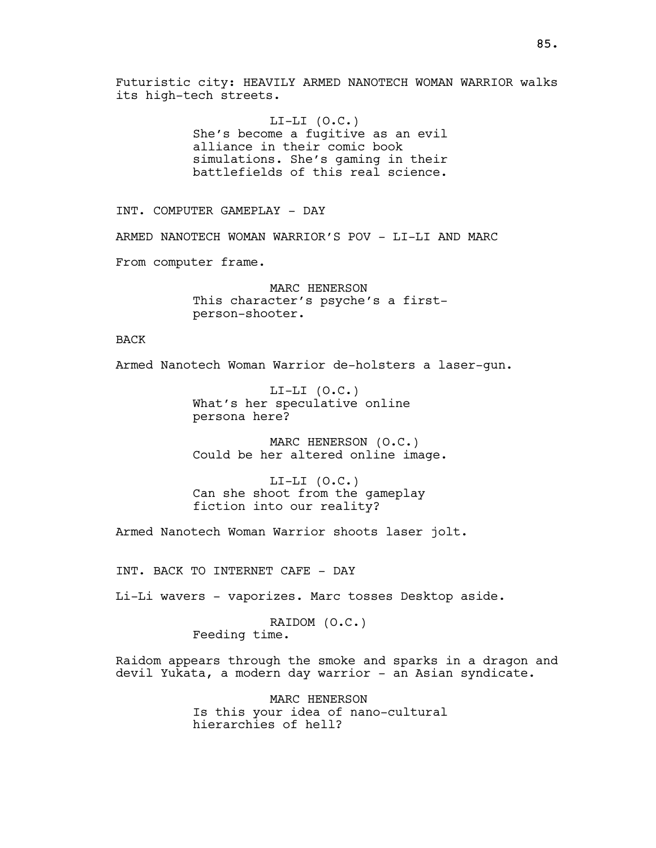Futuristic city: HEAVILY ARMED NANOTECH WOMAN WARRIOR walks its high-tech streets.

> $LI-LI$   $(O.C.)$ She's become a fugitive as an evil alliance in their comic book simulations. She's gaming in their battlefields of this real science.

INT. COMPUTER GAMEPLAY - DAY

ARMED NANOTECH WOMAN WARRIOR'S POV - LI-LI AND MARC

From computer frame.

MARC HENERSON This character's psyche's a firstperson-shooter.

BACK

Armed Nanotech Woman Warrior de-holsters a laser-gun.

 $LI-LI$   $(0.C.)$ What's her speculative online persona here?

MARC HENERSON (O.C.) Could be her altered online image.

 $LI-LI$   $(0.C.)$ Can she shoot from the gameplay fiction into our reality?

Armed Nanotech Woman Warrior shoots laser jolt.

INT. BACK TO INTERNET CAFE - DAY

Li-Li wavers - vaporizes. Marc tosses Desktop aside.

RAIDOM (O.C.) Feeding time.

Raidom appears through the smoke and sparks in a dragon and devil Yukata, a modern day warrior - an Asian syndicate.

> MARC HENERSON Is this your idea of nano-cultural hierarchies of hell?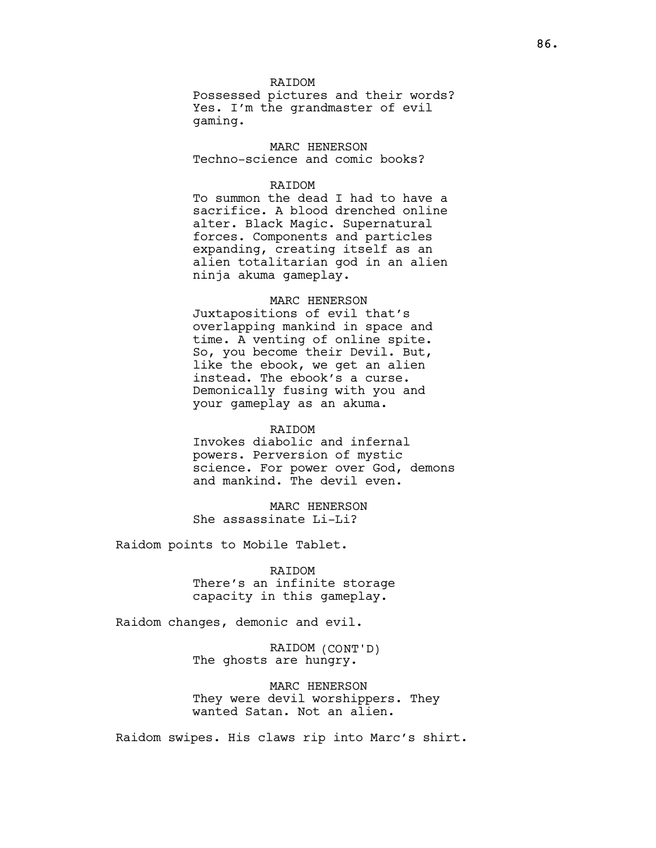RAIDOM Possessed pictures and their words? Yes. I'm the grandmaster of evil gaming.

MARC HENERSON Techno-science and comic books?

# **RAIDOM**

To summon the dead I had to have a sacrifice. A blood drenched online alter. Black Magic. Supernatural forces. Components and particles expanding, creating itself as an alien totalitarian god in an alien ninja akuma gameplay.

# MARC HENERSON

Juxtapositions of evil that's overlapping mankind in space and time. A venting of online spite. So, you become their Devil. But, like the ebook, we get an alien instead. The ebook's a curse. Demonically fusing with you and your gameplay as an akuma.

### RAIDOM

Invokes diabolic and infernal powers. Perversion of mystic science. For power over God, demons and mankind. The devil even.

MARC HENERSON She assassinate Li-Li?

Raidom points to Mobile Tablet.

## RAIDOM

There's an infinite storage capacity in this gameplay.

Raidom changes, demonic and evil.

RAIDOM (CONT'D) The ghosts are hungry.

MARC HENERSON They were devil worshippers. They wanted Satan. Not an alien.

Raidom swipes. His claws rip into Marc's shirt.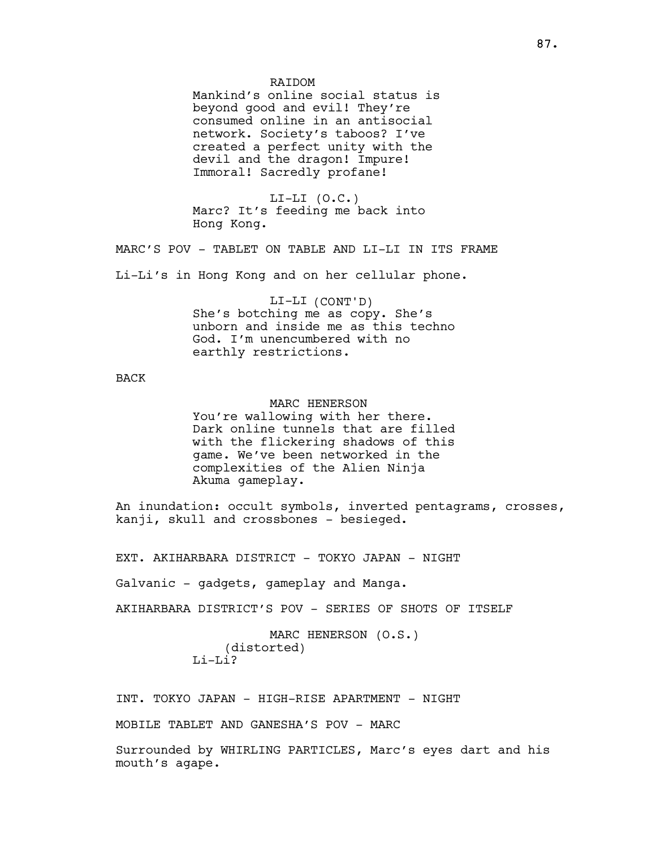Mankind's online social status is beyond good and evil! They're consumed online in an antisocial network. Society's taboos? I've created a perfect unity with the devil and the dragon! Impure! Immoral! Sacredly profane!

 $LI-LI$   $(0.C.)$ Marc? It's feeding me back into Hong Kong.

MARC'S POV - TABLET ON TABLE AND LI-LI IN ITS FRAME

Li-Li's in Hong Kong and on her cellular phone.

### LI-LI (CONT'D)

She's botching me as copy. She's unborn and inside me as this techno God. I'm unencumbered with no earthly restrictions.

# BACK

### MARC HENERSON

You're wallowing with her there. Dark online tunnels that are filled with the flickering shadows of this game. We've been networked in the complexities of the Alien Ninja Akuma gameplay.

An inundation: occult symbols, inverted pentagrams, crosses, kanji, skull and crossbones - besieged.

EXT. AKIHARBARA DISTRICT - TOKYO JAPAN - NIGHT

Galvanic - gadgets, gameplay and Manga.

AKIHARBARA DISTRICT'S POV - SERIES OF SHOTS OF ITSELF

MARC HENERSON (O.S.) (distorted) Li-Li?

INT. TOKYO JAPAN - HIGH-RISE APARTMENT - NIGHT

MOBILE TABLET AND GANESHA'S POV - MARC

Surrounded by WHIRLING PARTICLES, Marc's eyes dart and his mouth's agape.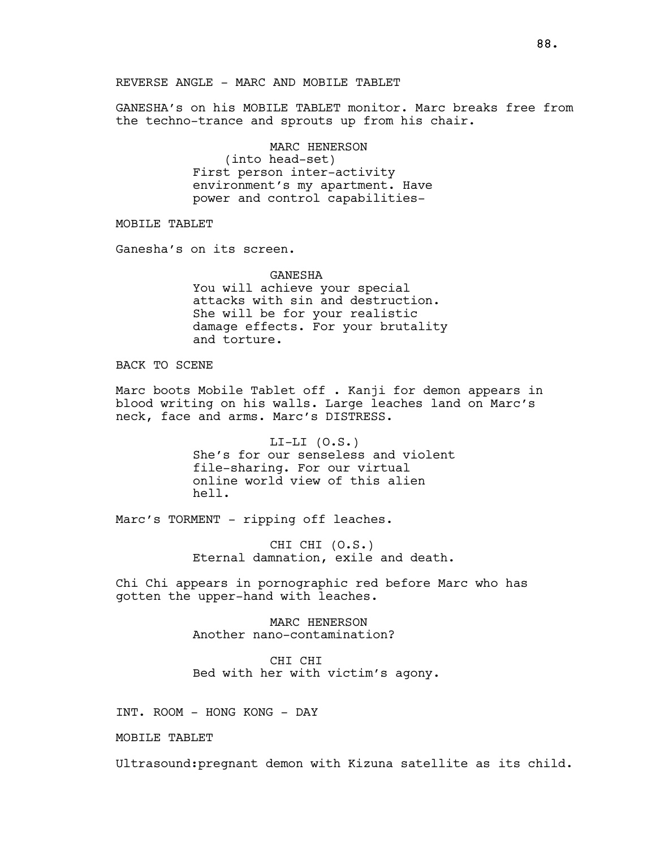GANESHA's on his MOBILE TABLET monitor. Marc breaks free from the techno-trance and sprouts up from his chair.

> MARC HENERSON (into head-set) First person inter-activity environment's my apartment. Have power and control capabilities-

MOBILE TABLET

Ganesha's on its screen.

GANESHA You will achieve your special attacks with sin and destruction. She will be for your realistic damage effects. For your brutality and torture.

BACK TO SCENE

Marc boots Mobile Tablet off . Kanji for demon appears in blood writing on his walls. Large leaches land on Marc's neck, face and arms. Marc's DISTRESS.

> $LI-LI (0.S.)$ She's for our senseless and violent file-sharing. For our virtual online world view of this alien hell.

Marc's TORMENT - ripping off leaches.

CHI CHI (O.S.) Eternal damnation, exile and death.

Chi Chi appears in pornographic red before Marc who has gotten the upper-hand with leaches.

> MARC HENERSON Another nano-contamination?

CHI CHI Bed with her with victim's agony.

INT. ROOM - HONG KONG - DAY

MOBILE TABLET

Ultrasound:pregnant demon with Kizuna satellite as its child.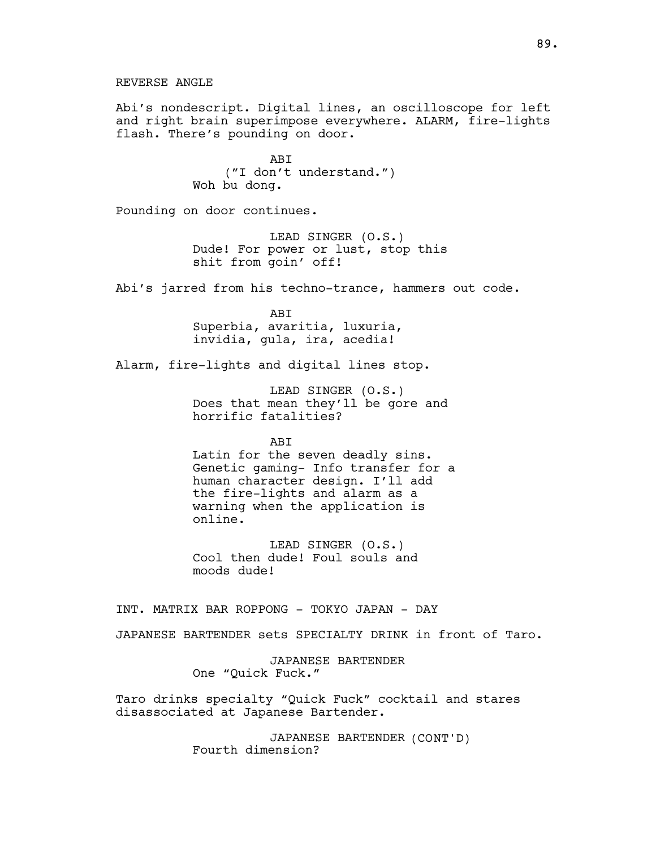Abi's nondescript. Digital lines, an oscilloscope for left and right brain superimpose everywhere. ALARM, fire-lights flash. There's pounding on door.

> **ABT** ("I don't understand.") Woh bu dong.

Pounding on door continues.

LEAD SINGER (O.S.) Dude! For power or lust, stop this shit from goin' off!

Abi's jarred from his techno-trance, hammers out code.

ABI Superbia, avaritia, luxuria, invidia, gula, ira, acedia!

Alarm, fire-lights and digital lines stop.

LEAD SINGER (O.S.) Does that mean they'll be gore and horrific fatalities?

**ABT** 

Latin for the seven deadly sins. Genetic gaming- Info transfer for a human character design. I'll add the fire-lights and alarm as a warning when the application is online.

LEAD SINGER (O.S.) Cool then dude! Foul souls and moods dude!

INT. MATRIX BAR ROPPONG - TOKYO JAPAN - DAY

JAPANESE BARTENDER sets SPECIALTY DRINK in front of Taro.

JAPANESE BARTENDER One "Quick Fuck."

Taro drinks specialty "Quick Fuck" cocktail and stares disassociated at Japanese Bartender.

> JAPANESE BARTENDER (CONT'D) Fourth dimension?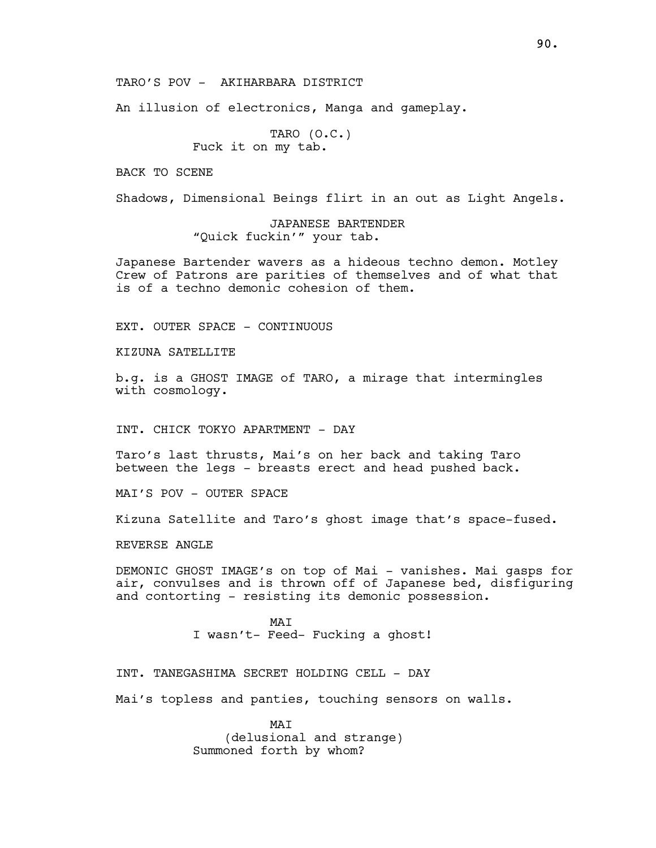### TARO'S POV - AKIHARBARA DISTRICT

An illusion of electronics, Manga and gameplay.

TARO (O.C.) Fuck it on my tab.

BACK TO SCENE

Shadows, Dimensional Beings flirt in an out as Light Angels.

JAPANESE BARTENDER "Quick fuckin'" your tab.

Japanese Bartender wavers as a hideous techno demon. Motley Crew of Patrons are parities of themselves and of what that is of a techno demonic cohesion of them.

EXT. OUTER SPACE - CONTINUOUS

KIZUNA SATELLITE

b.g. is a GHOST IMAGE of TARO, a mirage that intermingles with cosmology.

INT. CHICK TOKYO APARTMENT - DAY

Taro's last thrusts, Mai's on her back and taking Taro between the legs - breasts erect and head pushed back.

MAI'S POV - OUTER SPACE

Kizuna Satellite and Taro's ghost image that's space-fused.

REVERSE ANGLE

DEMONIC GHOST IMAGE's on top of Mai - vanishes. Mai gasps for air, convulses and is thrown off of Japanese bed, disfiguring and contorting - resisting its demonic possession.

> MAI I wasn't- Feed- Fucking a ghost!

INT. TANEGASHIMA SECRET HOLDING CELL - DAY

Mai's topless and panties, touching sensors on walls.

MAT (delusional and strange) Summoned forth by whom?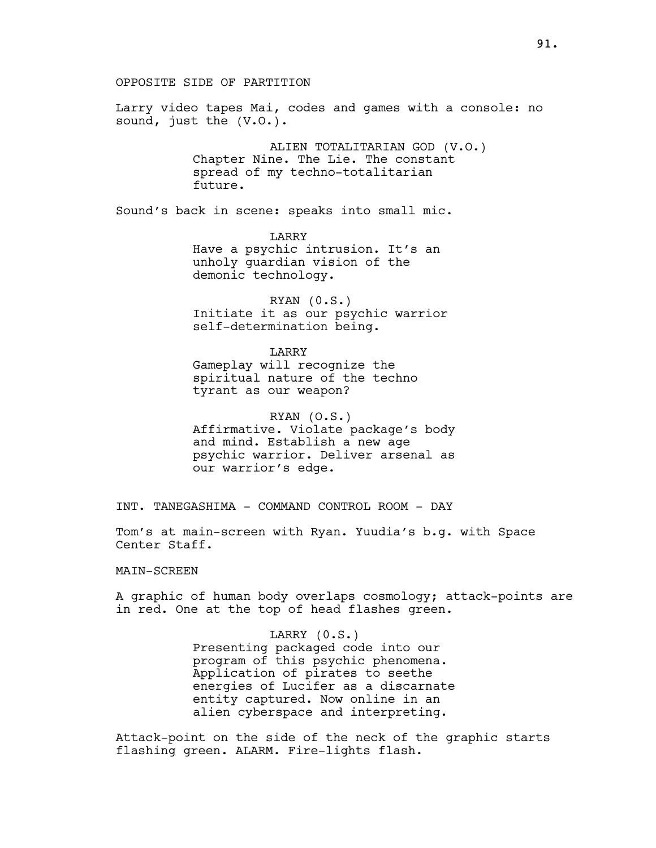OPPOSITE SIDE OF PARTITION

Larry video tapes Mai, codes and games with a console: no sound, just the  $(V.0.)$ .

> ALIEN TOTALITARIAN GOD (V.O.) Chapter Nine. The Lie. The constant spread of my techno-totalitarian future.

Sound's back in scene: speaks into small mic.

LARRY Have a psychic intrusion. It's an unholy guardian vision of the demonic technology.

RYAN (0.S.) Initiate it as our psychic warrior self-determination being.

LARRY Gameplay will recognize the spiritual nature of the techno tyrant as our weapon?

RYAN (O.S.) Affirmative. Violate package's body and mind. Establish a new age psychic warrior. Deliver arsenal as our warrior's edge.

INT. TANEGASHIMA - COMMAND CONTROL ROOM - DAY

Tom's at main-screen with Ryan. Yuudia's b.g. with Space Center Staff.

### MAIN-SCREEN

A graphic of human body overlaps cosmology; attack-points are in red. One at the top of head flashes green.

LARRY (0.S.)

Presenting packaged code into our program of this psychic phenomena. Application of pirates to seethe energies of Lucifer as a discarnate entity captured. Now online in an alien cyberspace and interpreting.

Attack-point on the side of the neck of the graphic starts flashing green. ALARM. Fire-lights flash.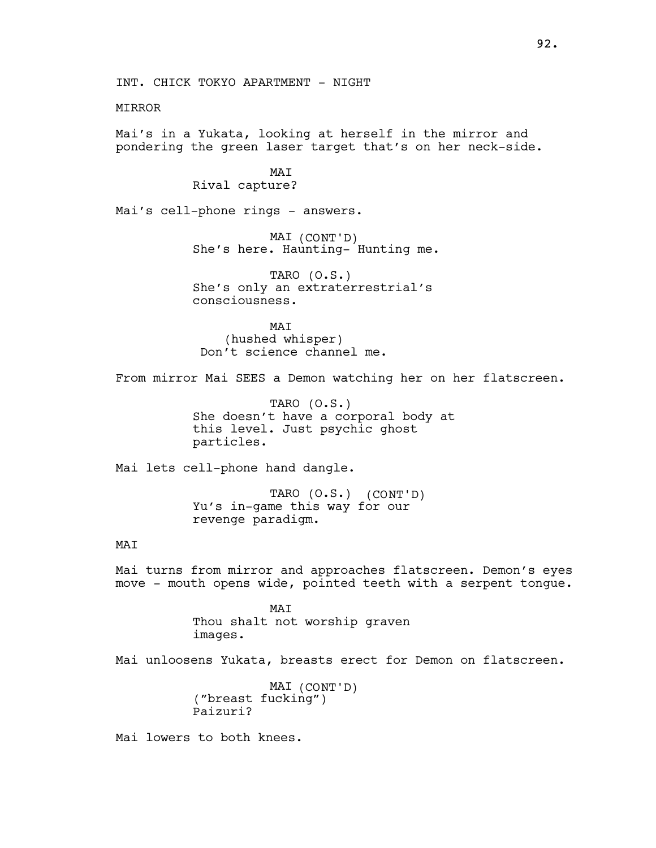## MIRROR

Mai's in a Yukata, looking at herself in the mirror and pondering the green laser target that's on her neck-side.

# MAI Rival capture?

Mai's cell-phone rings - answers.

MAI (CONT'D) She's here. Haunting- Hunting me.

TARO (O.S.) She's only an extraterrestrial's consciousness.

MAT (hushed whisper) Don't science channel me.

From mirror Mai SEES a Demon watching her on her flatscreen.

TARO (O.S.) She doesn't have a corporal body at this level. Just psychic ghost particles.

Mai lets cell-phone hand dangle.

TARO (O.S.) (CONT'D) Yu's in-game this way for our revenge paradigm.

# MAI

Mai turns from mirror and approaches flatscreen. Demon's eyes move - mouth opens wide, pointed teeth with a serpent tongue.

> MAT Thou shalt not worship graven images.

Mai unloosens Yukata, breasts erect for Demon on flatscreen.

MAI (CONT'D) ("breast fucking") Paizuri?

Mai lowers to both knees.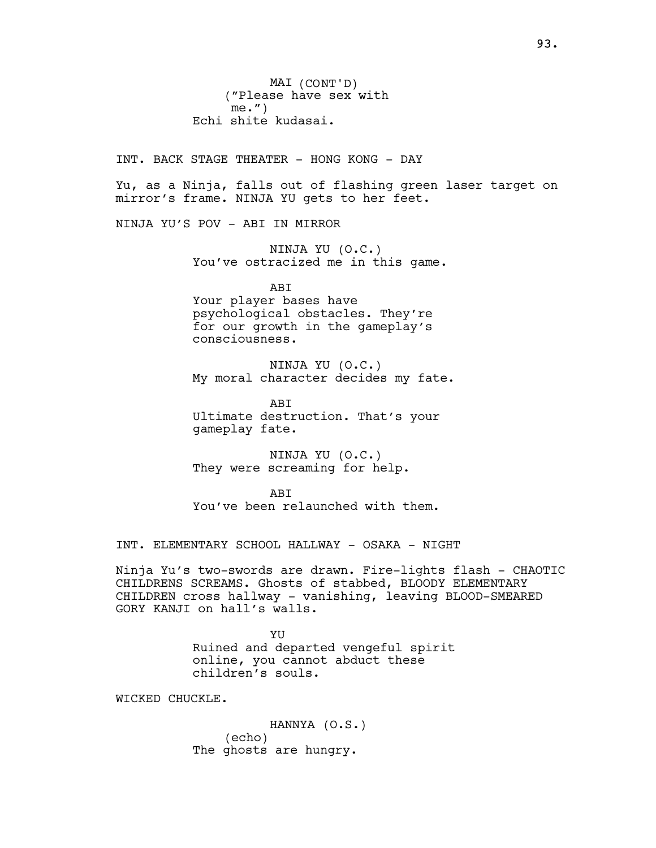MAI (CONT'D) ("Please have sex with me.") Echi shite kudasai.

INT. BACK STAGE THEATER - HONG KONG - DAY

Yu, as a Ninja, falls out of flashing green laser target on mirror's frame. NINJA YU gets to her feet.

NINJA YU'S POV - ABI IN MIRROR

NINJA YU (O.C.) You've ostracized me in this game.

ABI

Your player bases have psychological obstacles. They're for our growth in the gameplay's consciousness.

NINJA YU (O.C.) My moral character decides my fate.

ABI Ultimate destruction. That's your gameplay fate.

NINJA YU (O.C.) They were screaming for help.

**ABT** You've been relaunched with them.

INT. ELEMENTARY SCHOOL HALLWAY - OSAKA - NIGHT

Ninja Yu's two-swords are drawn. Fire-lights flash - CHAOTIC CHILDRENS SCREAMS. Ghosts of stabbed, BLOODY ELEMENTARY CHILDREN cross hallway - vanishing, leaving BLOOD-SMEARED GORY KANJI on hall's walls.

> YU Ruined and departed vengeful spirit online, you cannot abduct these children's souls.

WICKED CHUCKLE.

HANNYA (O.S.) (echo) The ghosts are hungry.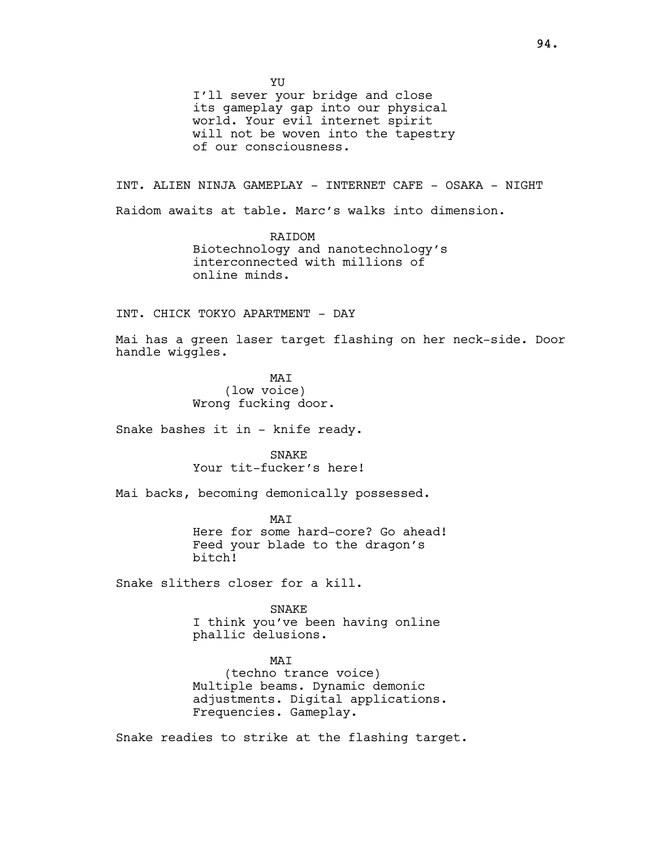YU

I'll sever your bridge and close its gameplay gap into our physical world. Your evil internet spirit will not be woven into the tapestry of our consciousness.

INT. ALIEN NINJA GAMEPLAY - INTERNET CAFE - OSAKA - NIGHT Raidom awaits at table. Marc's walks into dimension.

> RAIDOM Biotechnology and nanotechnology's interconnected with millions of online minds.

INT. CHICK TOKYO APARTMENT - DAY

Mai has a green laser target flashing on her neck-side. Door handle wiggles.

> MAI (low voice) Wrong fucking door.

Snake bashes it in - knife ready.

SNAKE Your tit-fucker's here!

Mai backs, becoming demonically possessed.

MAT Here for some hard-core? Go ahead! Feed your blade to the dragon's bitch!

Snake slithers closer for a kill.

SNAKE I think you've been having online phallic delusions.

MAI (techno trance voice) Multiple beams. Dynamic demonic adjustments. Digital applications. Frequencies. Gameplay.

Snake readies to strike at the flashing target.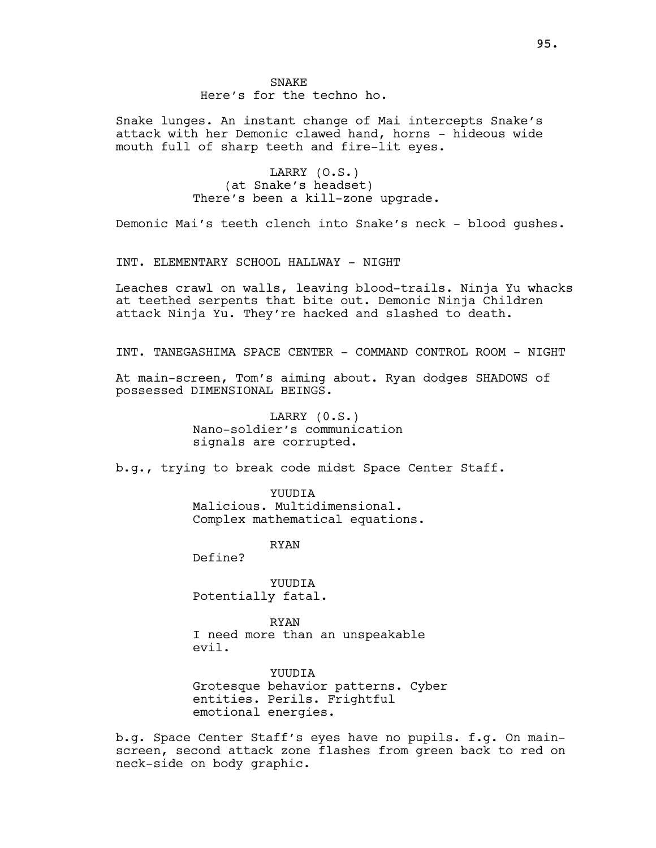Snake lunges. An instant change of Mai intercepts Snake's attack with her Demonic clawed hand, horns - hideous wide mouth full of sharp teeth and fire-lit eyes.

> LARRY (O.S.) (at Snake's headset) There's been a kill-zone upgrade.

Demonic Mai's teeth clench into Snake's neck - blood gushes.

INT. ELEMENTARY SCHOOL HALLWAY - NIGHT

Leaches crawl on walls, leaving blood-trails. Ninja Yu whacks at teethed serpents that bite out. Demonic Ninja Children attack Ninja Yu. They're hacked and slashed to death.

INT. TANEGASHIMA SPACE CENTER - COMMAND CONTROL ROOM - NIGHT

At main-screen, Tom's aiming about. Ryan dodges SHADOWS of possessed DIMENSIONAL BEINGS.

> LARRY (0.S.) Nano-soldier's communication signals are corrupted.

b.g., trying to break code midst Space Center Staff.

**YUUDIA** Malicious. Multidimensional. Complex mathematical equations.

RYAN

Define?

YUUDIA Potentially fatal.

RYAN I need more than an unspeakable evil.

YUUDIA Grotesque behavior patterns. Cyber entities. Perils. Frightful emotional energies.

b.g. Space Center Staff's eyes have no pupils. f.g. On mainscreen, second attack zone flashes from green back to red on neck-side on body graphic.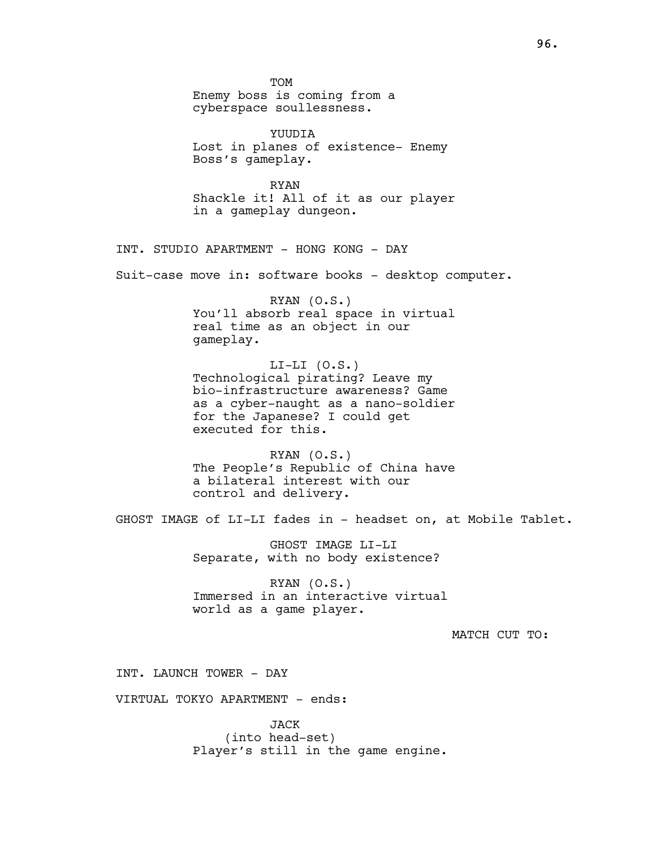TOM Enemy boss is coming from a cyberspace soullessness.

YUUDIA Lost in planes of existence- Enemy Boss's gameplay.

RYAN Shackle it! All of it as our player in a gameplay dungeon.

INT. STUDIO APARTMENT - HONG KONG - DAY

Suit-case move in: software books - desktop computer.

RYAN (O.S.) You'll absorb real space in virtual real time as an object in our gameplay.

 $LI-LI (0.S.)$ Technological pirating? Leave my bio-infrastructure awareness? Game as a cyber-naught as a nano-soldier for the Japanese? I could get executed for this.

RYAN (O.S.) The People's Republic of China have a bilateral interest with our control and delivery.

GHOST IMAGE of LI-LI fades in - headset on, at Mobile Tablet.

GHOST IMAGE LI-LI Separate, with no body existence?

RYAN (O.S.) Immersed in an interactive virtual world as a game player.

MATCH CUT TO:

INT. LAUNCH TOWER - DAY

VIRTUAL TOKYO APARTMENT - ends:

JACK (into head-set) Player's still in the game engine.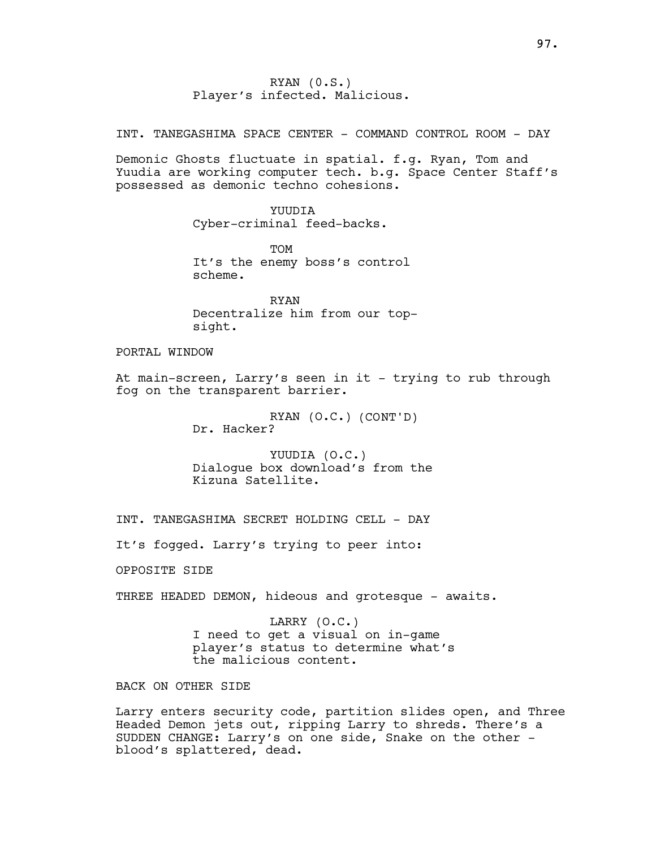RYAN (0.S.) Player's infected. Malicious.

INT. TANEGASHIMA SPACE CENTER - COMMAND CONTROL ROOM - DAY

Demonic Ghosts fluctuate in spatial. f.g. Ryan, Tom and Yuudia are working computer tech. b.g. Space Center Staff's possessed as demonic techno cohesions.

> **YUUDIA** Cyber-criminal feed-backs.

TOM It's the enemy boss's control scheme.

RYAN Decentralize him from our topsight.

PORTAL WINDOW

At main-screen, Larry's seen in it - trying to rub through fog on the transparent barrier.

> RYAN (O.C.) (CONT'D) Dr. Hacker?

YUUDIA (O.C.) Dialogue box download's from the Kizuna Satellite.

INT. TANEGASHIMA SECRET HOLDING CELL - DAY

It's fogged. Larry's trying to peer into:

OPPOSITE SIDE

THREE HEADED DEMON, hideous and grotesque - awaits.

LARRY (O.C.) I need to get a visual on in-game player's status to determine what's the malicious content.

BACK ON OTHER SIDE

Larry enters security code, partition slides open, and Three Headed Demon jets out, ripping Larry to shreds. There's a SUDDEN CHANGE: Larry's on one side, Snake on the other blood's splattered, dead.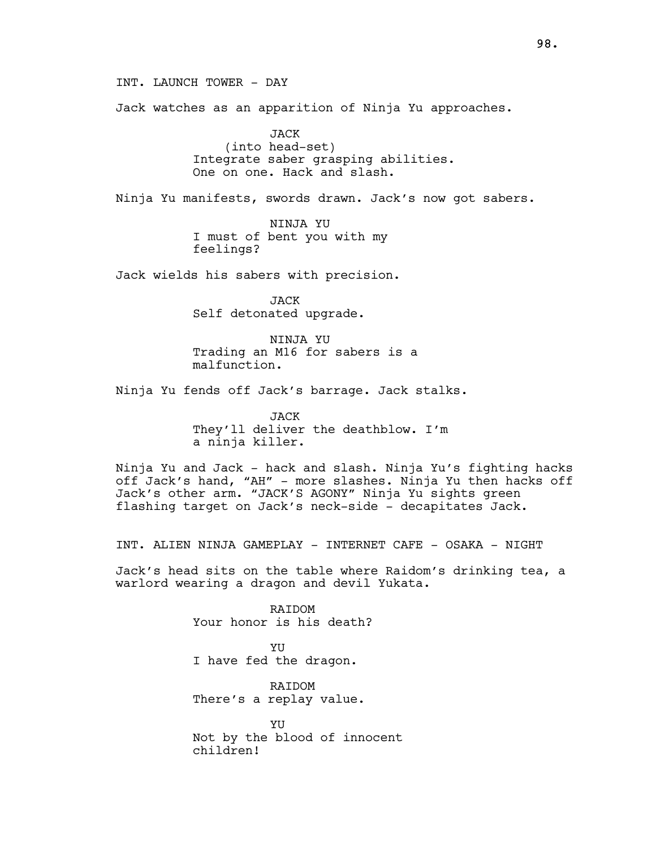INT. LAUNCH TOWER - DAY

Jack watches as an apparition of Ninja Yu approaches.

JACK (into head-set) Integrate saber grasping abilities. One on one. Hack and slash.

Ninja Yu manifests, swords drawn. Jack's now got sabers.

NINJA YU I must of bent you with my feelings?

Jack wields his sabers with precision.

**JACK** Self detonated upgrade.

NINJA YU Trading an M16 for sabers is a malfunction.

Ninja Yu fends off Jack's barrage. Jack stalks.

JACK They'll deliver the deathblow. I'm a ninja killer.

Ninja Yu and Jack - hack and slash. Ninja Yu's fighting hacks off Jack's hand, "AH" - more slashes. Ninja Yu then hacks off Jack's other arm. "JACK'S AGONY" Ninja Yu sights green flashing target on Jack's neck-side - decapitates Jack.

INT. ALIEN NINJA GAMEPLAY - INTERNET CAFE - OSAKA - NIGHT

Jack's head sits on the table where Raidom's drinking tea, a warlord wearing a dragon and devil Yukata.

> RAIDOM Your honor is his death?

**YU** I have fed the dragon.

RAIDOM There's a replay value.

**YU** Not by the blood of innocent children!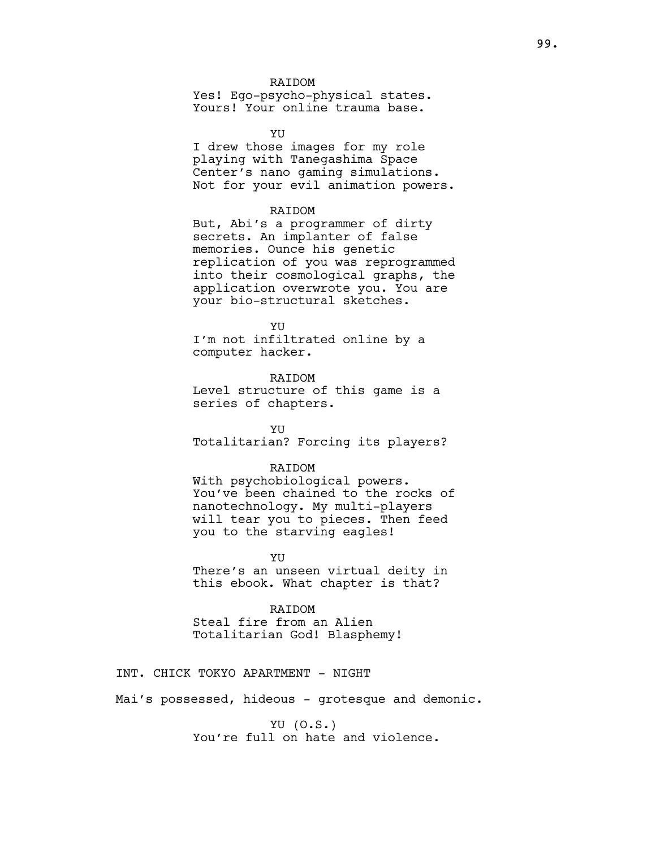### RAIDOM

Yes! Ego-psycho-physical states. Yours! Your online trauma base.

**VII** 

I drew those images for my role playing with Tanegashima Space Center's nano gaming simulations. Not for your evil animation powers.

### RAIDOM

But, Abi's a programmer of dirty secrets. An implanter of false memories. Ounce his genetic replication of you was reprogrammed into their cosmological graphs, the application overwrote you. You are your bio-structural sketches.

#### **YU**

I'm not infiltrated online by a computer hacker.

RAIDOM

Level structure of this game is a series of chapters.

YU Totalitarian? Forcing its players?

## RAIDOM

With psychobiological powers. You've been chained to the rocks of nanotechnology. My multi-players will tear you to pieces. Then feed you to the starving eagles!

YU

There's an unseen virtual deity in this ebook. What chapter is that?

### RAIDOM

Steal fire from an Alien Totalitarian God! Blasphemy!

INT. CHICK TOKYO APARTMENT - NIGHT

Mai's possessed, hideous - grotesque and demonic.

YU (O.S.) You're full on hate and violence.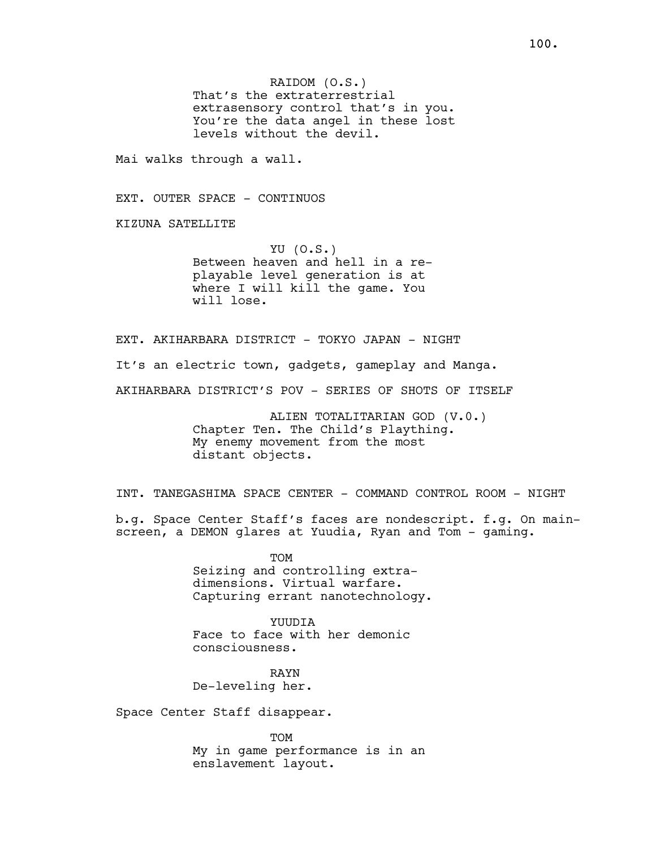Mai walks through a wall.

EXT. OUTER SPACE - CONTINUOS

KIZUNA SATELLITE

YU (O.S.) Between heaven and hell in a replayable level generation is at where I will kill the game. You will lose.

EXT. AKIHARBARA DISTRICT - TOKYO JAPAN - NIGHT

It's an electric town, gadgets, gameplay and Manga.

AKIHARBARA DISTRICT'S POV - SERIES OF SHOTS OF ITSELF

ALIEN TOTALITARIAN GOD (V.0.) Chapter Ten. The Child's Plaything. My enemy movement from the most distant objects.

INT. TANEGASHIMA SPACE CENTER - COMMAND CONTROL ROOM - NIGHT

b.g. Space Center Staff's faces are nondescript. f.g. On mainscreen, a DEMON glares at Yuudia, Ryan and Tom - gaming.

> **TOM** Seizing and controlling extradimensions. Virtual warfare. Capturing errant nanotechnology.

YUUDIA Face to face with her demonic consciousness.

RAYN De-leveling her.

Space Center Staff disappear.

TOM My in game performance is in an enslavement layout.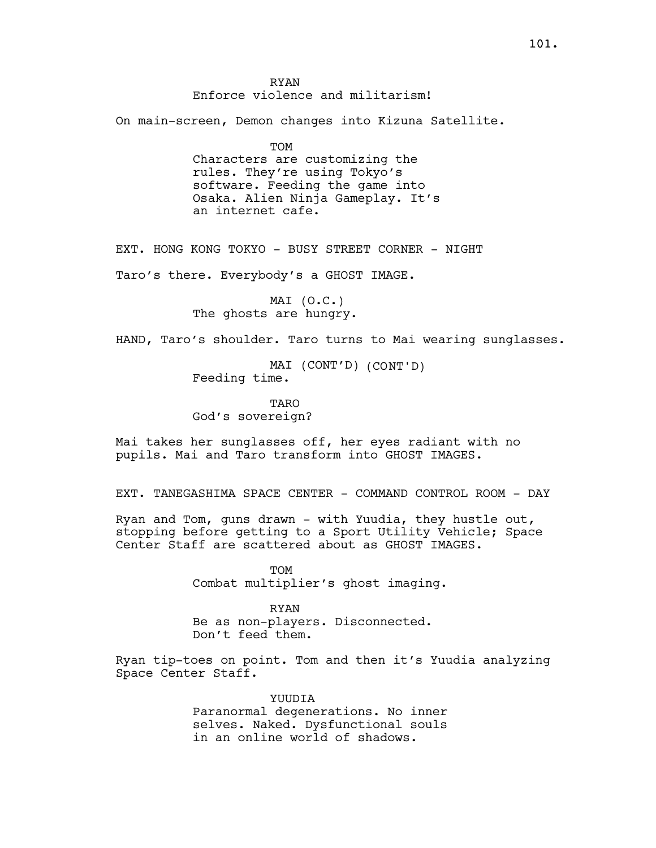RYAN Enforce violence and militarism!

On main-screen, Demon changes into Kizuna Satellite.

TOM Characters are customizing the rules. They're using Tokyo's software. Feeding the game into Osaka. Alien Ninja Gameplay. It's an internet cafe.

EXT. HONG KONG TOKYO - BUSY STREET CORNER - NIGHT

Taro's there. Everybody's a GHOST IMAGE.

MAI (O.C.) The ghosts are hungry.

HAND, Taro's shoulder. Taro turns to Mai wearing sunglasses.

MAI (CONT'D) (CONT'D) Feeding time.

TARO God's sovereign?

Mai takes her sunglasses off, her eyes radiant with no pupils. Mai and Taro transform into GHOST IMAGES.

EXT. TANEGASHIMA SPACE CENTER - COMMAND CONTROL ROOM - DAY

Ryan and Tom, guns drawn  $-$  with Yuudia, they hustle out, stopping before getting to a Sport Utility Vehicle; Space Center Staff are scattered about as GHOST IMAGES.

> TOM Combat multiplier's ghost imaging.

RYAN Be as non-players. Disconnected.

Don't feed them.

Ryan tip-toes on point. Tom and then it's Yuudia analyzing Space Center Staff.

> YUUDIA Paranormal degenerations. No inner selves. Naked. Dysfunctional souls in an online world of shadows.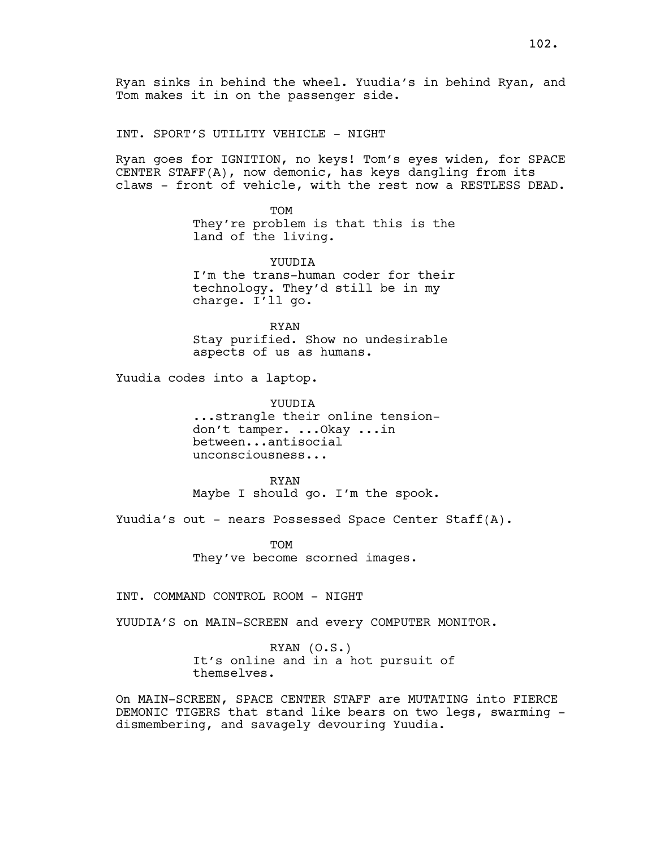Ryan sinks in behind the wheel. Yuudia's in behind Ryan, and Tom makes it in on the passenger side.

INT. SPORT'S UTILITY VEHICLE - NIGHT

Ryan goes for IGNITION, no keys! Tom's eyes widen, for SPACE CENTER STAFF(A), now demonic, has keys dangling from its claws - front of vehicle, with the rest now a RESTLESS DEAD.

> **TOM** They're problem is that this is the land of the living.

> **YUUDIA** I'm the trans-human coder for their technology. They'd still be in my charge. I'll go.

RYAN Stay purified. Show no undesirable aspects of us as humans.

Yuudia codes into a laptop.

YUUDIA ...strangle their online tensiondon't tamper. ...Okay ...in between...antisocial unconsciousness...

RYAN Maybe I should go. I'm the spook.

Yuudia's out - nears Possessed Space Center Staff(A).

TOM They've become scorned images.

INT. COMMAND CONTROL ROOM - NIGHT

YUUDIA'S on MAIN-SCREEN and every COMPUTER MONITOR.

RYAN (O.S.) It's online and in a hot pursuit of themselves.

On MAIN-SCREEN, SPACE CENTER STAFF are MUTATING into FIERCE DEMONIC TIGERS that stand like bears on two legs, swarming dismembering, and savagely devouring Yuudia.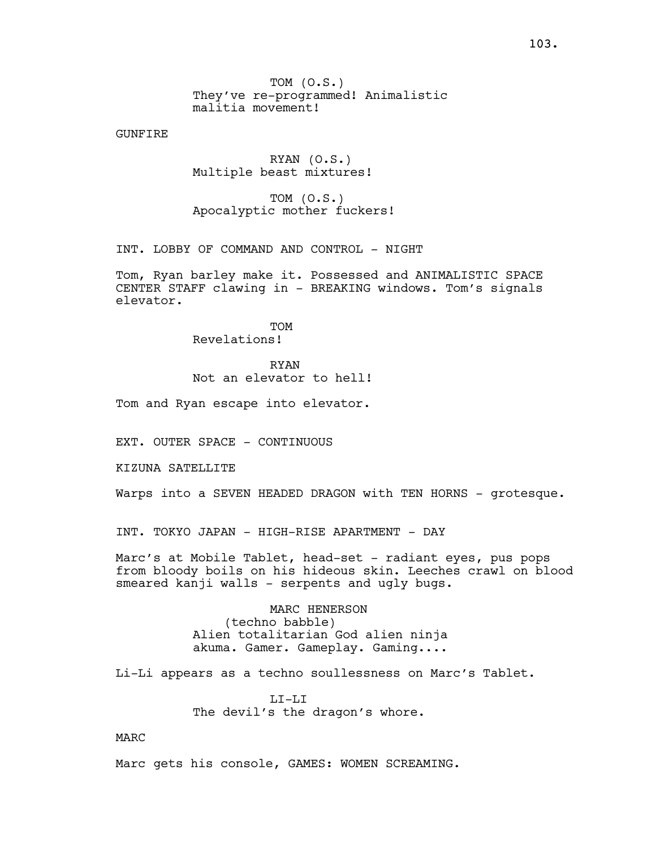TOM (O.S.) They've re-programmed! Animalistic malitia movement!

GUNFIRE

RYAN (O.S.) Multiple beast mixtures!

TOM (O.S.) Apocalyptic mother fuckers!

INT. LOBBY OF COMMAND AND CONTROL - NIGHT

Tom, Ryan barley make it. Possessed and ANIMALISTIC SPACE CENTER STAFF clawing in - BREAKING windows. Tom's signals elevator.

> **TOM** Revelations!

> > RYAN

Not an elevator to hell!

Tom and Ryan escape into elevator.

EXT. OUTER SPACE - CONTINUOUS

KIZUNA SATELLITE

Warps into a SEVEN HEADED DRAGON with TEN HORNS - grotesque.

INT. TOKYO JAPAN - HIGH-RISE APARTMENT - DAY

Marc's at Mobile Tablet, head-set - radiant eyes, pus pops from bloody boils on his hideous skin. Leeches crawl on blood smeared kanji walls - serpents and ugly bugs.

> MARC HENERSON (techno babble) Alien totalitarian God alien ninja akuma. Gamer. Gameplay. Gaming....

Li-Li appears as a techno soullessness on Marc's Tablet.

 $T_{\rm L}T_{\rm -}T_{\rm L}T_{\rm L}$ The devil's the dragon's whore.

MARC

Marc gets his console, GAMES: WOMEN SCREAMING.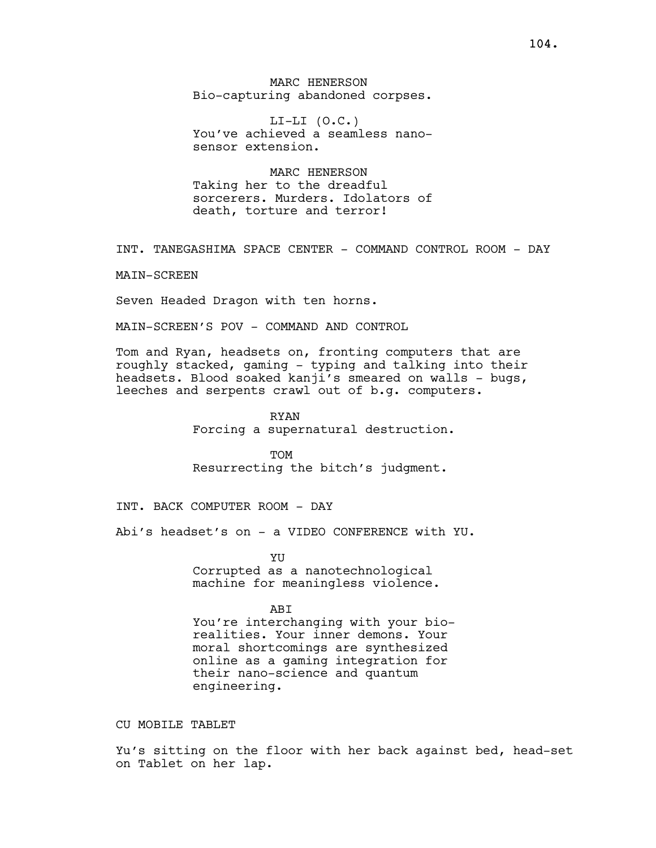MARC HENERSON Bio-capturing abandoned corpses.

 $LI-LI$   $(O.C.)$ You've achieved a seamless nanosensor extension.

MARC HENERSON Taking her to the dreadful sorcerers. Murders. Idolators of death, torture and terror!

INT. TANEGASHIMA SPACE CENTER - COMMAND CONTROL ROOM - DAY

MAIN-SCREEN

Seven Headed Dragon with ten horns.

MAIN-SCREEN'S POV - COMMAND AND CONTROL

Tom and Ryan, headsets on, fronting computers that are roughly stacked, gaming - typing and talking into their headsets. Blood soaked kanji's smeared on walls - bugs, leeches and serpents crawl out of b.g. computers.

> RYAN Forcing a supernatural destruction.

TOM Resurrecting the bitch's judgment.

INT. BACK COMPUTER ROOM - DAY

engineering.

Abi's headset's on - a VIDEO CONFERENCE with YU.

YU Corrupted as a nanotechnological machine for meaningless violence.

**ABT** You're interchanging with your biorealities. Your inner demons. Your moral shortcomings are synthesized online as a gaming integration for their nano-science and quantum

CU MOBILE TABLET

Yu's sitting on the floor with her back against bed, head-set on Tablet on her lap.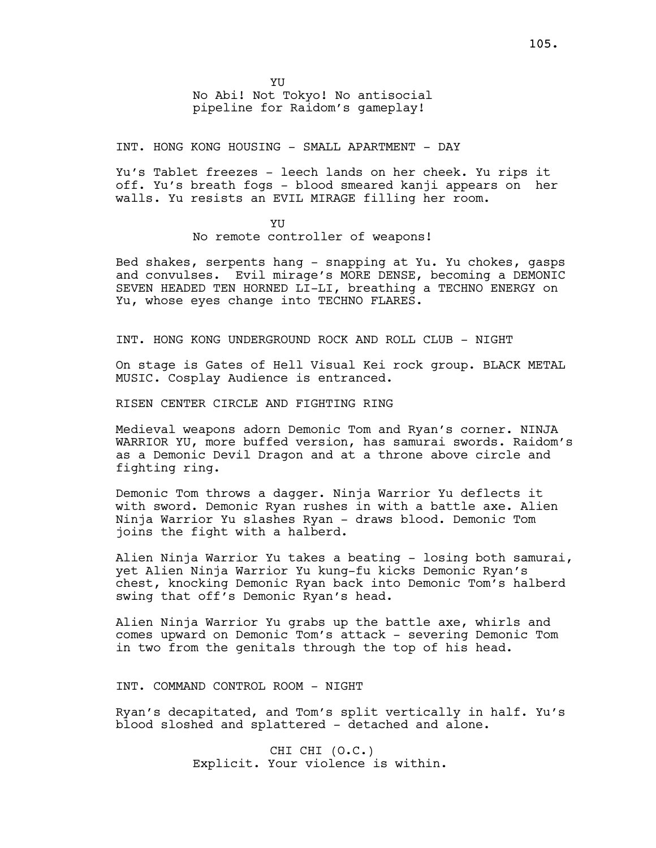**YU** No Abi! Not Tokyo! No antisocial pipeline for Raidom's gameplay!

INT. HONG KONG HOUSING - SMALL APARTMENT - DAY

Yu's Tablet freezes - leech lands on her cheek. Yu rips it off. Yu's breath fogs - blood smeared kanji appears on her walls. Yu resists an EVIL MIRAGE filling her room.

> YU No remote controller of weapons!

Bed shakes, serpents hang - snapping at Yu. Yu chokes, gasps and convulses. Evil mirage's MORE DENSE, becoming a DEMONIC SEVEN HEADED TEN HORNED LI-LI, breathing a TECHNO ENERGY on Yu, whose eyes change into TECHNO FLARES.

INT. HONG KONG UNDERGROUND ROCK AND ROLL CLUB - NIGHT

On stage is Gates of Hell Visual Kei rock group. BLACK METAL MUSIC. Cosplay Audience is entranced.

RISEN CENTER CIRCLE AND FIGHTING RING

Medieval weapons adorn Demonic Tom and Ryan's corner. NINJA WARRIOR YU, more buffed version, has samurai swords. Raidom's as a Demonic Devil Dragon and at a throne above circle and fighting ring.

Demonic Tom throws a dagger. Ninja Warrior Yu deflects it with sword. Demonic Ryan rushes in with a battle axe. Alien Ninja Warrior Yu slashes Ryan - draws blood. Demonic Tom joins the fight with a halberd.

Alien Ninja Warrior Yu takes a beating - losing both samurai, yet Alien Ninja Warrior Yu kung-fu kicks Demonic Ryan's chest, knocking Demonic Ryan back into Demonic Tom's halberd swing that off's Demonic Ryan's head.

Alien Ninja Warrior Yu grabs up the battle axe, whirls and comes upward on Demonic Tom's attack - severing Demonic Tom in two from the genitals through the top of his head.

INT. COMMAND CONTROL ROOM - NIGHT

Ryan's decapitated, and Tom's split vertically in half. Yu's blood sloshed and splattered - detached and alone.

> CHI CHI (O.C.) Explicit. Your violence is within.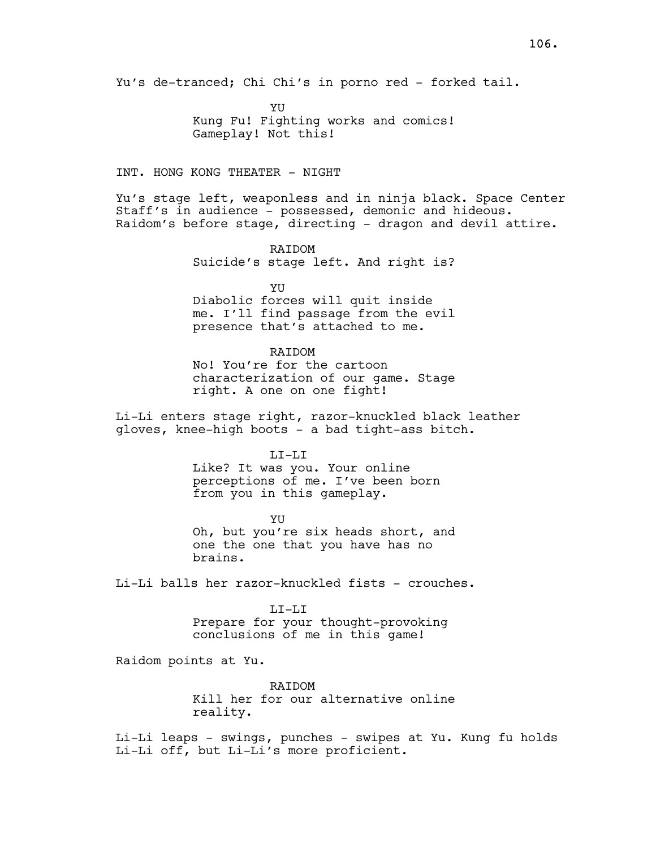YU Kung Fu! Fighting works and comics! Gameplay! Not this!

### INT. HONG KONG THEATER - NIGHT

Yu's stage left, weaponless and in ninja black. Space Center Staff's in audience - possessed, demonic and hideous. Raidom's before stage, directing - dragon and devil attire.

> RAIDOM Suicide's stage left. And right is?

> > YU

Diabolic forces will quit inside me. I'll find passage from the evil presence that's attached to me.

### **RAIDOM**

No! You're for the cartoon characterization of our game. Stage right. A one on one fight!

Li-Li enters stage right, razor-knuckled black leather gloves, knee-high boots - a bad tight-ass bitch.

### LI-LI

Like? It was you. Your online perceptions of me. I've been born from you in this gameplay.

YU Oh, but you're six heads short, and one the one that you have has no brains.

Li-Li balls her razor-knuckled fists - crouches.

#### LI-LI

Prepare for your thought-provoking conclusions of me in this game!

Raidom points at Yu.

RAIDOM Kill her for our alternative online reality.

Li-Li leaps - swings, punches - swipes at Yu. Kung fu holds Li-Li off, but Li-Li's more proficient.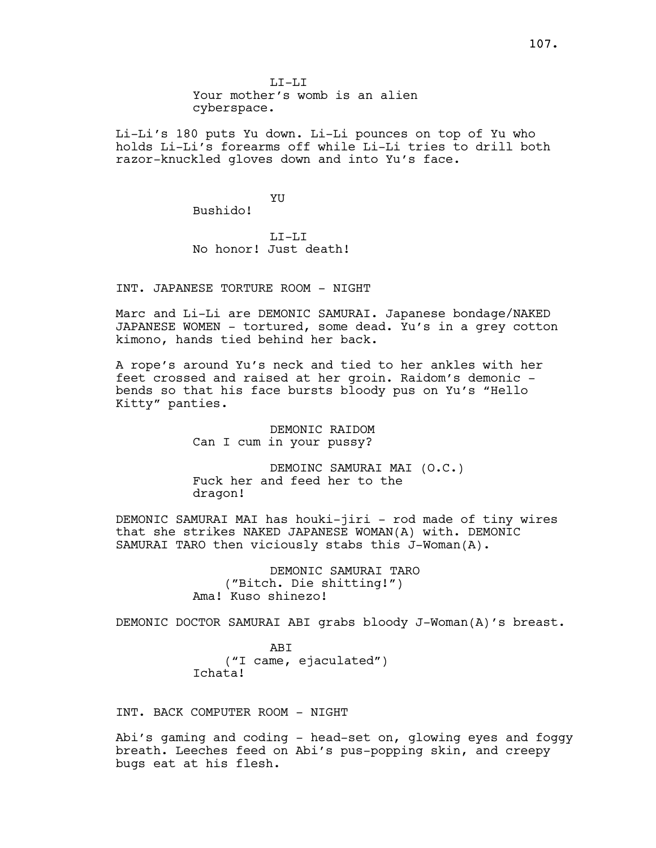$T_{\rm L}T_{\rm -}T_{\rm L}T$ Your mother's womb is an alien cyberspace.

Li-Li's 180 puts Yu down. Li-Li pounces on top of Yu who holds Li-Li's forearms off while Li-Li tries to drill both razor-knuckled gloves down and into Yu's face.

> YU Bushido!

LI-LI No honor! Just death!

INT. JAPANESE TORTURE ROOM - NIGHT

Marc and Li-Li are DEMONIC SAMURAI. Japanese bondage/NAKED JAPANESE WOMEN - tortured, some dead. Yu's in a grey cotton kimono, hands tied behind her back.

A rope's around Yu's neck and tied to her ankles with her feet crossed and raised at her groin. Raidom's demonic bends so that his face bursts bloody pus on Yu's "Hello Kitty" panties.

> DEMONIC RAIDOM Can I cum in your pussy?

DEMOINC SAMURAI MAI (O.C.) Fuck her and feed her to the dragon!

DEMONIC SAMURAI MAI has houki-jiri - rod made of tiny wires that she strikes NAKED JAPANESE WOMAN(A) with. DEMONIC SAMURAI TARO then viciously stabs this J-Woman(A).

> DEMONIC SAMURAI TARO ("Bitch. Die shitting!") Ama! Kuso shinezo!

DEMONIC DOCTOR SAMURAI ABI grabs bloody J-Woman(A)'s breast.

ABI ("I came, ejaculated") Ichata!

INT. BACK COMPUTER ROOM - NIGHT

Abi's gaming and coding - head-set on, glowing eyes and foggy breath. Leeches feed on Abi's pus-popping skin, and creepy bugs eat at his flesh.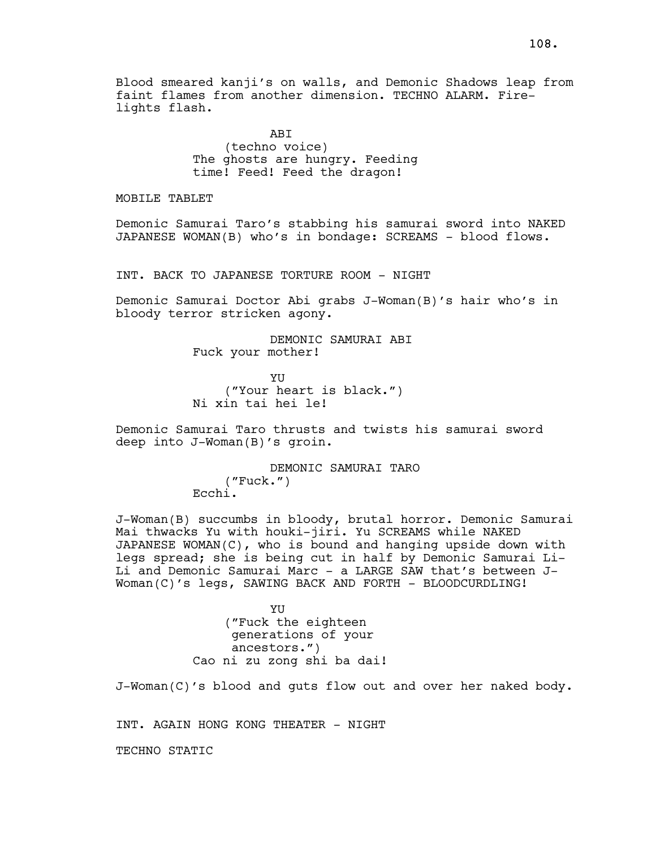Blood smeared kanji's on walls, and Demonic Shadows leap from faint flames from another dimension. TECHNO ALARM. Firelights flash.

> ABI (techno voice) The ghosts are hungry. Feeding time! Feed! Feed the dragon!

MOBILE TABLET

Demonic Samurai Taro's stabbing his samurai sword into NAKED JAPANESE WOMAN(B) who's in bondage: SCREAMS - blood flows.

INT. BACK TO JAPANESE TORTURE ROOM - NIGHT

Demonic Samurai Doctor Abi grabs J-Woman(B)'s hair who's in bloody terror stricken agony.

> DEMONIC SAMURAI ABI Fuck your mother!

YU ("Your heart is black.") Ni xin tai hei le!

Demonic Samurai Taro thrusts and twists his samurai sword deep into J-Woman(B)'s groin.

> DEMONIC SAMURAI TARO ("Fuck.") Ecchi.

J-Woman(B) succumbs in bloody, brutal horror. Demonic Samurai Mai thwacks Yu with houki-jiri. Yu SCREAMS while NAKED JAPANESE WOMAN(C), who is bound and hanging upside down with legs spread; she is being cut in half by Demonic Samurai Li-Li and Demonic Samurai Marc - a LARGE SAW that's between J-Woman(C)'s legs, SAWING BACK AND FORTH - BLOODCURDLING!

> YU ("Fuck the eighteen generations of your ancestors.") Cao ni zu zong shi ba dai!

J-Woman(C)'s blood and guts flow out and over her naked body.

INT. AGAIN HONG KONG THEATER - NIGHT

TECHNO STATIC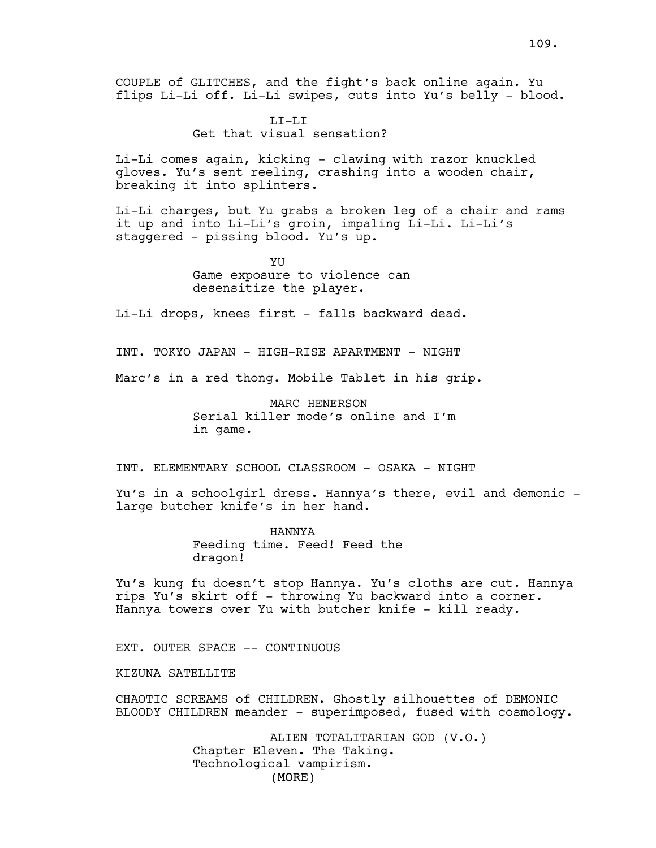LI-LI Get that visual sensation?

Li-Li comes again, kicking - clawing with razor knuckled gloves. Yu's sent reeling, crashing into a wooden chair, breaking it into splinters.

Li-Li charges, but Yu grabs a broken leg of a chair and rams it up and into Li-Li's groin, impaling Li-Li. Li-Li's staggered - pissing blood. Yu's up.

> YU Game exposure to violence can desensitize the player.

Li-Li drops, knees first - falls backward dead.

INT. TOKYO JAPAN - HIGH-RISE APARTMENT - NIGHT

Marc's in a red thong. Mobile Tablet in his grip.

MARC HENERSON Serial killer mode's online and I'm in game.

INT. ELEMENTARY SCHOOL CLASSROOM - OSAKA - NIGHT

Yu's in a schoolgirl dress. Hannya's there, evil and demonic large butcher knife's in her hand.

> HANNYA Feeding time. Feed! Feed the dragon!

Yu's kung fu doesn't stop Hannya. Yu's cloths are cut. Hannya rips Yu's skirt off - throwing Yu backward into a corner. Hannya towers over Yu with butcher knife - kill ready.

EXT. OUTER SPACE -- CONTINUOUS

KIZUNA SATELLITE

CHAOTIC SCREAMS of CHILDREN. Ghostly silhouettes of DEMONIC BLOODY CHILDREN meander - superimposed, fused with cosmology.

> (MORE) ALIEN TOTALITARIAN GOD (V.O.) Chapter Eleven. The Taking. Technological vampirism.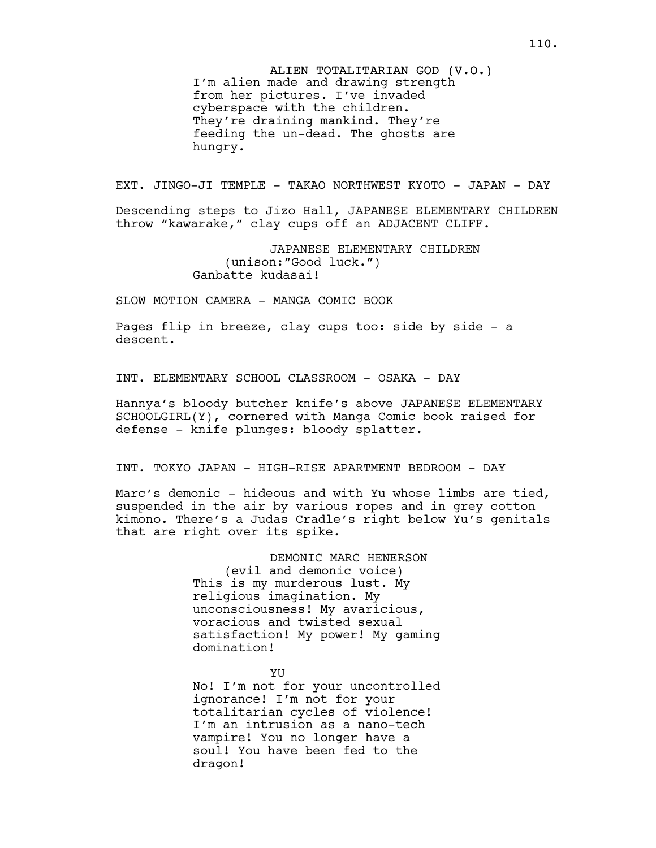ALIEN TOTALITARIAN GOD (V.O.) I'm alien made and drawing strength from her pictures. I've invaded cyberspace with the children. They're draining mankind. They're feeding the un-dead. The ghosts are hungry.

EXT. JINGO-JI TEMPLE - TAKAO NORTHWEST KYOTO - JAPAN - DAY

Descending steps to Jizo Hall, JAPANESE ELEMENTARY CHILDREN throw "kawarake," clay cups off an ADJACENT CLIFF.

> JAPANESE ELEMENTARY CHILDREN (unison:"Good luck.") Ganbatte kudasai!

SLOW MOTION CAMERA - MANGA COMIC BOOK

Pages flip in breeze, clay cups too: side by side - a descent.

INT. ELEMENTARY SCHOOL CLASSROOM - OSAKA - DAY

Hannya's bloody butcher knife's above JAPANESE ELEMENTARY SCHOOLGIRL(Y), cornered with Manga Comic book raised for defense - knife plunges: bloody splatter.

INT. TOKYO JAPAN - HIGH-RISE APARTMENT BEDROOM - DAY

Marc's demonic - hideous and with Yu whose limbs are tied, suspended in the air by various ropes and in grey cotton kimono. There's a Judas Cradle's right below Yu's genitals that are right over its spike.

> DEMONIC MARC HENERSON (evil and demonic voice) This is my murderous lust. My religious imagination. My unconsciousness! My avaricious, voracious and twisted sexual satisfaction! My power! My gaming domination!

> > YU

No! I'm not for your uncontrolled ignorance! I'm not for your totalitarian cycles of violence! I'm an intrusion as a nano-tech vampire! You no longer have a soul! You have been fed to the dragon!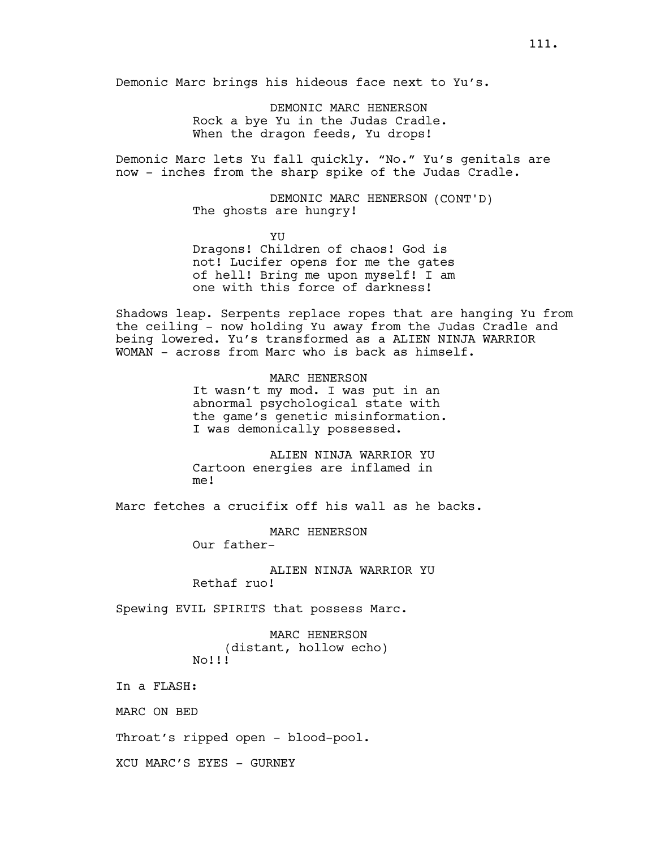Demonic Marc brings his hideous face next to Yu's.

DEMONIC MARC HENERSON Rock a bye Yu in the Judas Cradle. When the dragon feeds, Yu drops!

Demonic Marc lets Yu fall quickly. "No." Yu's genitals are now - inches from the sharp spike of the Judas Cradle.

> DEMONIC MARC HENERSON (CONT'D) The ghosts are hungry!

**YU** Dragons! Children of chaos! God is not! Lucifer opens for me the gates of hell! Bring me upon myself! I am one with this force of darkness!

Shadows leap. Serpents replace ropes that are hanging Yu from the ceiling - now holding Yu away from the Judas Cradle and being lowered. Yu's transformed as a ALIEN NINJA WARRIOR WOMAN - across from Marc who is back as himself.

> MARC HENERSON It wasn't my mod. I was put in an abnormal psychological state with the game's genetic misinformation. I was demonically possessed.

ALIEN NINJA WARRIOR YU Cartoon energies are inflamed in me!

Marc fetches a crucifix off his wall as he backs.

MARC HENERSON Our father-

ALIEN NINJA WARRIOR YU Rethaf ruo!

Spewing EVIL SPIRITS that possess Marc.

MARC HENERSON (distant, hollow echo) No!!!

In a FLASH:

MARC ON BED

Throat's ripped open - blood-pool.

XCU MARC'S EYES - GURNEY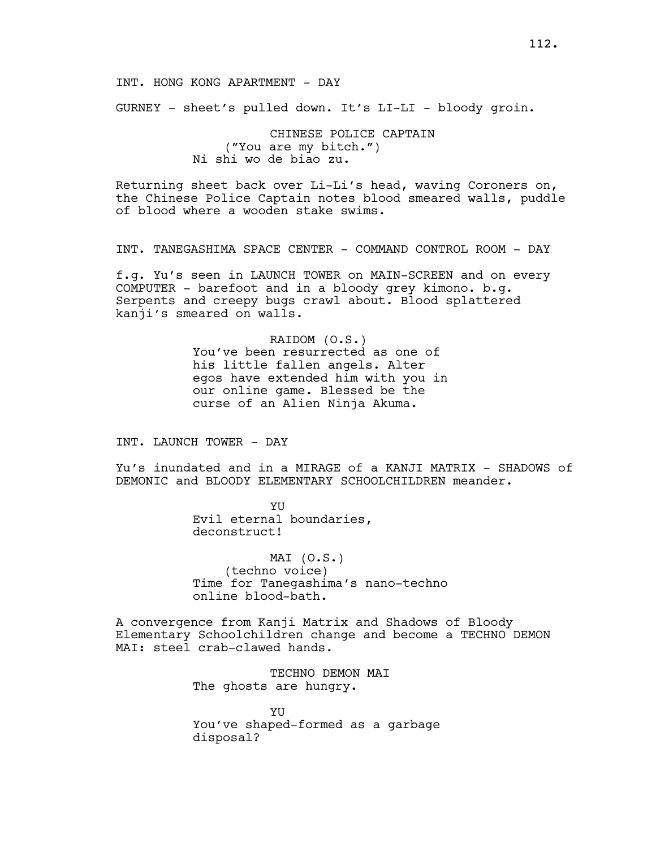GURNEY - sheet's pulled down. It's LI-LI - bloody groin.

CHINESE POLICE CAPTAIN ("You are my bitch.") Ni shi wo de biao zu.

Returning sheet back over Li-Li's head, waving Coroners on, the Chinese Police Captain notes blood smeared walls, puddle of blood where a wooden stake swims.

INT. TANEGASHIMA SPACE CENTER - COMMAND CONTROL ROOM - DAY

f.g. Yu's seen in LAUNCH TOWER on MAIN-SCREEN and on every COMPUTER - barefoot and in a bloody grey kimono. b.g. Serpents and creepy bugs crawl about. Blood splattered kanji's smeared on walls.

> RAIDOM (O.S.) You've been resurrected as one of his little fallen angels. Alter egos have extended him with you in our online game. Blessed be the curse of an Alien Ninja Akuma.

INT. LAUNCH TOWER - DAY

Yu's inundated and in a MIRAGE of a KANJI MATRIX - SHADOWS of DEMONIC and BLOODY ELEMENTARY SCHOOLCHILDREN meander.

> YU Evil eternal boundaries, deconstruct!

MAI (O.S.) (techno voice) Time for Tanegashima's nano-techno online blood-bath.

A convergence from Kanji Matrix and Shadows of Bloody Elementary Schoolchildren change and become a TECHNO DEMON MAI: steel crab-clawed hands.

> TECHNO DEMON MAI The ghosts are hungry.

**YII** You've shaped-formed as a garbage disposal?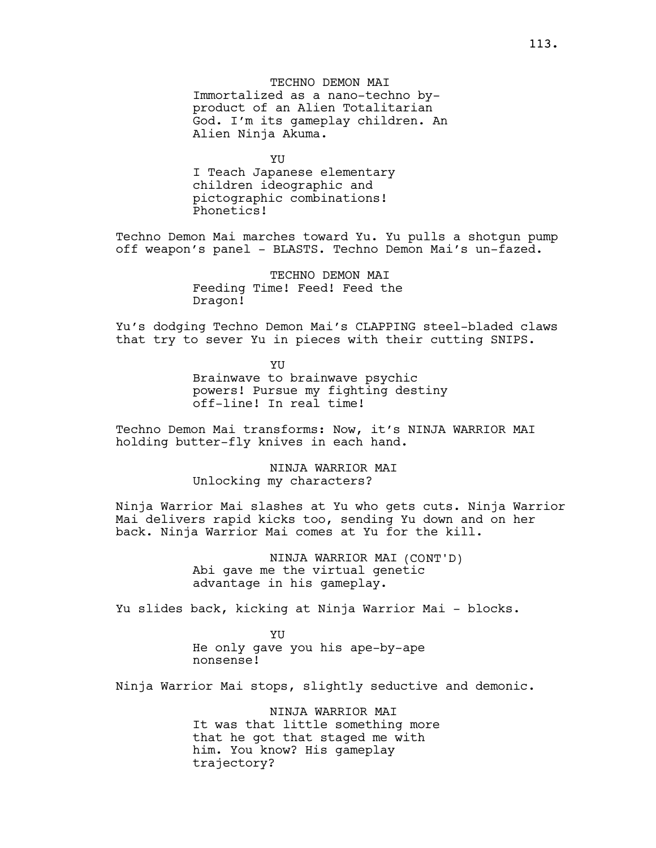YU I Teach Japanese elementary children ideographic and pictographic combinations! Phonetics!

Techno Demon Mai marches toward Yu. Yu pulls a shotgun pump off weapon's panel - BLASTS. Techno Demon Mai's un-fazed.

> TECHNO DEMON MAT Feeding Time! Feed! Feed the Dragon!

Yu's dodging Techno Demon Mai's CLAPPING steel-bladed claws that try to sever Yu in pieces with their cutting SNIPS.

> YU Brainwave to brainwave psychic powers! Pursue my fighting destiny off-line! In real time!

Techno Demon Mai transforms: Now, it's NINJA WARRIOR MAI holding butter-fly knives in each hand.

> NINJA WARRIOR MAI Unlocking my characters?

Ninja Warrior Mai slashes at Yu who gets cuts. Ninja Warrior Mai delivers rapid kicks too, sending Yu down and on her back. Ninja Warrior Mai comes at Yu for the kill.

> NINJA WARRIOR MAI (CONT'D) Abi gave me the virtual genetic advantage in his gameplay.

Yu slides back, kicking at Ninja Warrior Mai - blocks.

YU He only gave you his ape-by-ape nonsense!

Ninja Warrior Mai stops, slightly seductive and demonic.

NINJA WARRIOR MAI It was that little something more that he got that staged me with him. You know? His gameplay trajectory?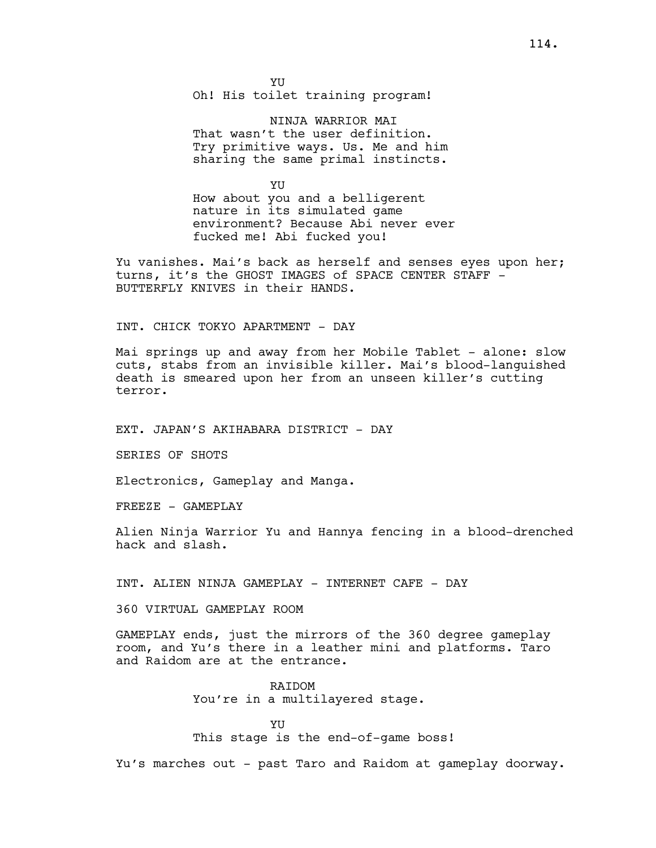NINJA WARRIOR MAI That wasn't the user definition. Try primitive ways. Us. Me and him sharing the same primal instincts.

YU How about you and a belligerent nature in its simulated game environment? Because Abi never ever fucked me! Abi fucked you!

Yu vanishes. Mai's back as herself and senses eyes upon her; turns, it's the GHOST IMAGES of SPACE CENTER STAFF -BUTTERFLY KNIVES in their HANDS.

# INT. CHICK TOKYO APARTMENT - DAY

Mai springs up and away from her Mobile Tablet - alone: slow cuts, stabs from an invisible killer. Mai's blood-languished death is smeared upon her from an unseen killer's cutting terror.

EXT. JAPAN'S AKIHABARA DISTRICT - DAY

SERIES OF SHOTS

Electronics, Gameplay and Manga.

FREEZE - GAMEPLAY

Alien Ninja Warrior Yu and Hannya fencing in a blood-drenched hack and slash.

INT. ALIEN NINJA GAMEPLAY - INTERNET CAFE - DAY

360 VIRTUAL GAMEPLAY ROOM

GAMEPLAY ends, just the mirrors of the 360 degree gameplay room, and Yu's there in a leather mini and platforms. Taro and Raidom are at the entrance.

> RAIDOM You're in a multilayered stage.

**YII** This stage is the end-of-game boss!

Yu's marches out - past Taro and Raidom at gameplay doorway.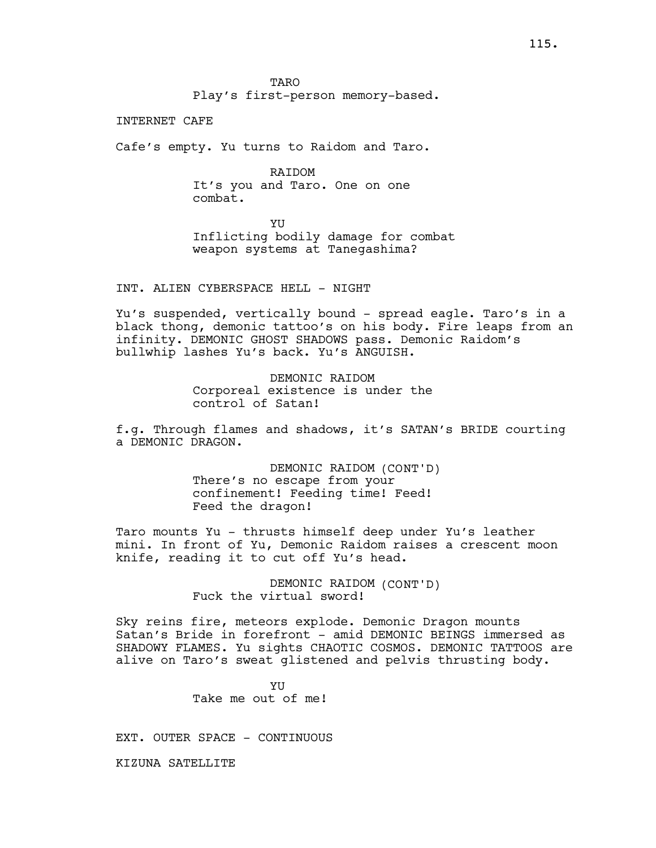**TARO** Play's first-person memory-based.

INTERNET CAFE

Cafe's empty. Yu turns to Raidom and Taro.

RAIDOM It's you and Taro. One on one combat.

**YU** Inflicting bodily damage for combat weapon systems at Tanegashima?

INT. ALIEN CYBERSPACE HELL - NIGHT

Yu's suspended, vertically bound - spread eagle. Taro's in a black thong, demonic tattoo's on his body. Fire leaps from an infinity. DEMONIC GHOST SHADOWS pass. Demonic Raidom's bullwhip lashes Yu's back. Yu's ANGUISH.

> DEMONIC RAIDOM Corporeal existence is under the control of Satan!

f.g. Through flames and shadows, it's SATAN's BRIDE courting a DEMONIC DRAGON.

> DEMONIC RAIDOM (CONT'D) There's no escape from your confinement! Feeding time! Feed! Feed the dragon!

Taro mounts Yu - thrusts himself deep under Yu's leather mini. In front of Yu, Demonic Raidom raises a crescent moon knife, reading it to cut off Yu's head.

> DEMONIC RAIDOM (CONT'D) Fuck the virtual sword!

Sky reins fire, meteors explode. Demonic Dragon mounts Satan's Bride in forefront - amid DEMONIC BEINGS immersed as SHADOWY FLAMES. Yu sights CHAOTIC COSMOS. DEMONIC TATTOOS are alive on Taro's sweat glistened and pelvis thrusting body.

> YU Take me out of me!

EXT. OUTER SPACE - CONTINUOUS

KIZUNA SATELLITE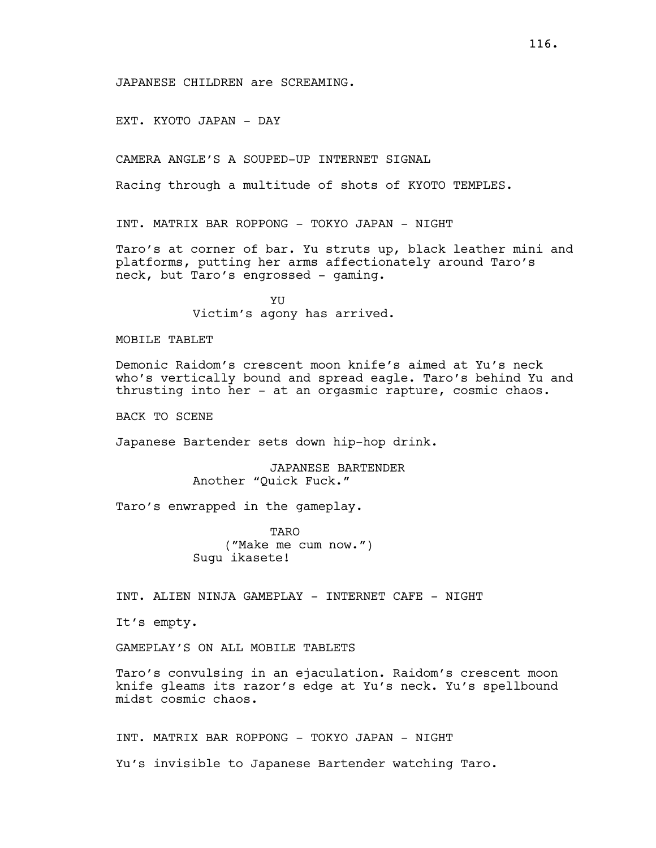JAPANESE CHILDREN are SCREAMING.

EXT. KYOTO JAPAN - DAY

CAMERA ANGLE'S A SOUPED-UP INTERNET SIGNAL

Racing through a multitude of shots of KYOTO TEMPLES.

INT. MATRIX BAR ROPPONG - TOKYO JAPAN - NIGHT

Taro's at corner of bar. Yu struts up, black leather mini and platforms, putting her arms affectionately around Taro's neck, but Taro's engrossed - gaming.

> YU Victim's agony has arrived.

#### MOBILE TABLET

Demonic Raidom's crescent moon knife's aimed at Yu's neck who's vertically bound and spread eagle. Taro's behind Yu and thrusting into her - at an orgasmic rapture, cosmic chaos.

BACK TO SCENE

Japanese Bartender sets down hip-hop drink.

JAPANESE BARTENDER Another "Quick Fuck."

Taro's enwrapped in the gameplay.

TARO ("Make me cum now.") Sugu ikasete!

INT. ALIEN NINJA GAMEPLAY - INTERNET CAFE - NIGHT

It's empty.

GAMEPLAY'S ON ALL MOBILE TABLETS

Taro's convulsing in an ejaculation. Raidom's crescent moon knife gleams its razor's edge at Yu's neck. Yu's spellbound midst cosmic chaos.

INT. MATRIX BAR ROPPONG - TOKYO JAPAN - NIGHT

Yu's invisible to Japanese Bartender watching Taro.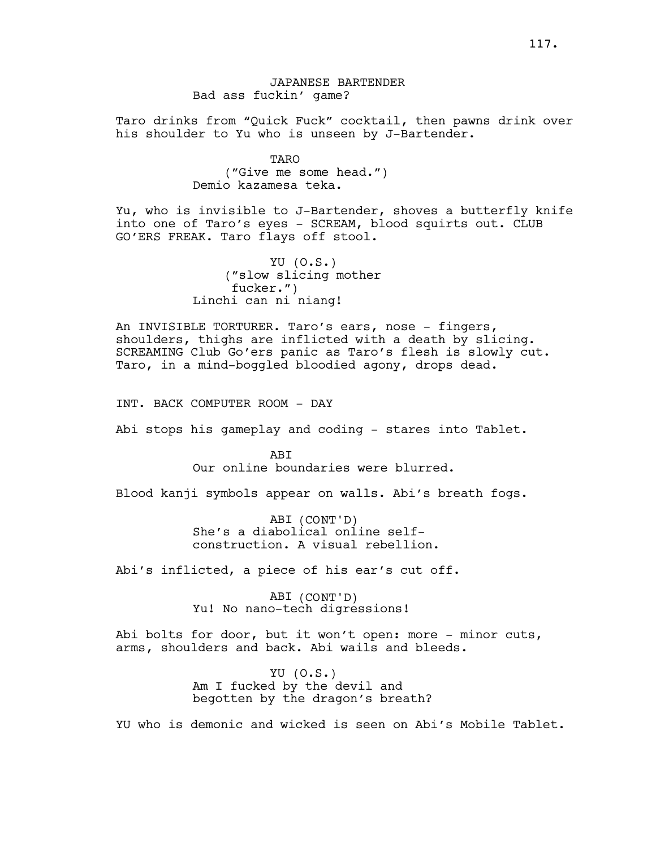# JAPANESE BARTENDER Bad ass fuckin' game?

Taro drinks from "Quick Fuck" cocktail, then pawns drink over his shoulder to Yu who is unseen by J-Bartender.

> TARO ("Give me some head.") Demio kazamesa teka.

Yu, who is invisible to J-Bartender, shoves a butterfly knife into one of Taro's eyes - SCREAM, blood squirts out. CLUB GO'ERS FREAK. Taro flays off stool.

> YU (O.S.) ("slow slicing mother fucker.") Linchi can ni niang!

An INVISIBLE TORTURER. Taro's ears, nose - fingers, shoulders, thighs are inflicted with a death by slicing. SCREAMING Club Go'ers panic as Taro's flesh is slowly cut. Taro, in a mind-boggled bloodied agony, drops dead.

INT. BACK COMPUTER ROOM - DAY

Abi stops his gameplay and coding - stares into Tablet.

ABI Our online boundaries were blurred.

Blood kanji symbols appear on walls. Abi's breath fogs.

ABI (CONT'D) She's a diabolical online selfconstruction. A visual rebellion.

Abi's inflicted, a piece of his ear's cut off.

ABI (CONT'D) Yu! No nano-tech digressions!

Abi bolts for door, but it won't open: more - minor cuts, arms, shoulders and back. Abi wails and bleeds.

> YU (O.S.) Am I fucked by the devil and begotten by the dragon's breath?

YU who is demonic and wicked is seen on Abi's Mobile Tablet.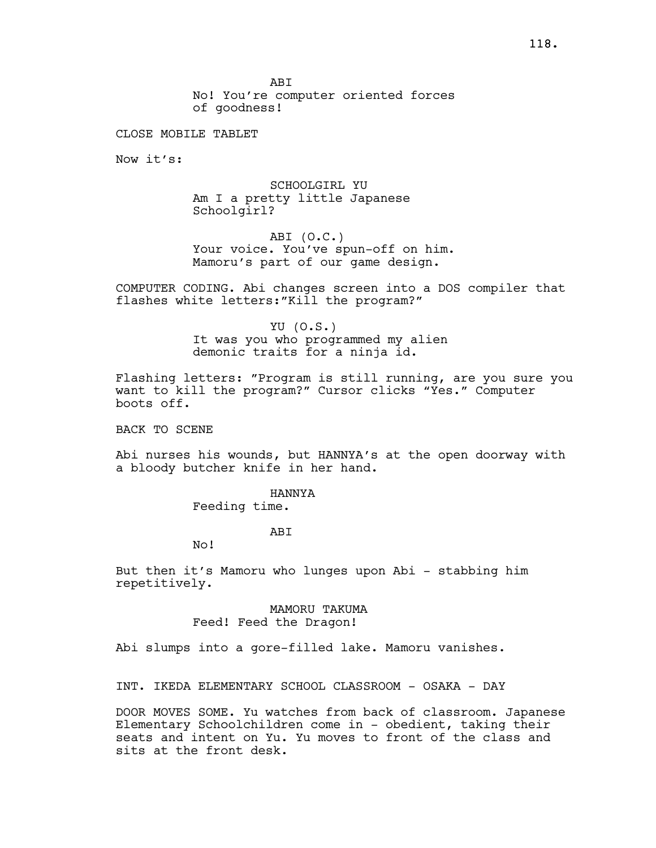**ABT** No! You're computer oriented forces of goodness!

CLOSE MOBILE TABLET

Now it's:

SCHOOLGIRL YU Am I a pretty little Japanese Schoolgirl?

ABI (O.C.) Your voice. You've spun-off on him. Mamoru's part of our game design.

COMPUTER CODING. Abi changes screen into a DOS compiler that flashes white letters:"Kill the program?"

> YU (O.S.) It was you who programmed my alien demonic traits for a ninja id.

Flashing letters: "Program is still running, are you sure you want to kill the program?" Cursor clicks "Yes." Computer boots off.

BACK TO SCENE

Abi nurses his wounds, but HANNYA's at the open doorway with a bloody butcher knife in her hand.

HANNYA

Feeding time.

### ABI

No!

But then it's Mamoru who lunges upon Abi - stabbing him repetitively.

> MAMORU TAKUMA Feed! Feed the Dragon!

Abi slumps into a gore-filled lake. Mamoru vanishes.

INT. IKEDA ELEMENTARY SCHOOL CLASSROOM - OSAKA - DAY

DOOR MOVES SOME. Yu watches from back of classroom. Japanese Elementary Schoolchildren come in - obedient, taking their seats and intent on Yu. Yu moves to front of the class and sits at the front desk.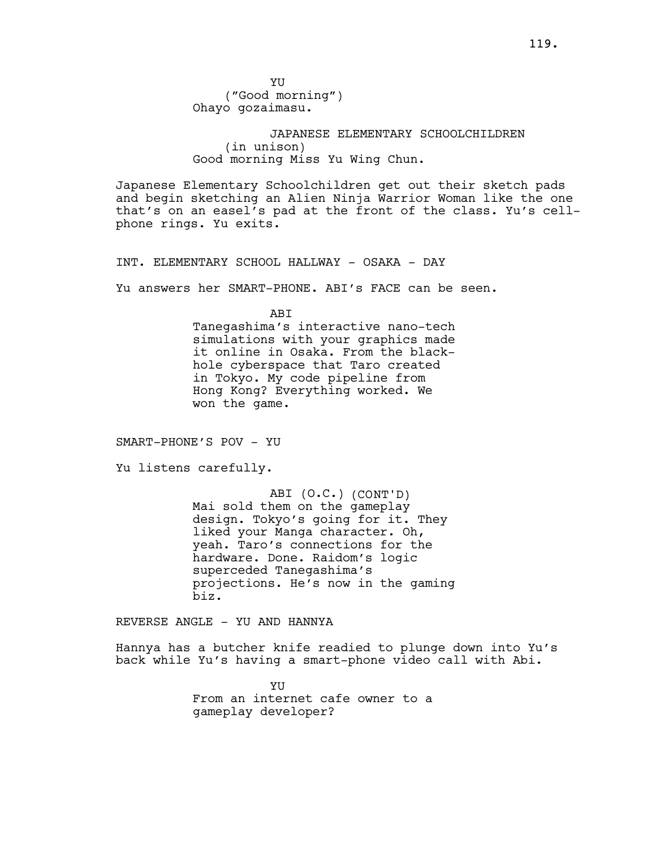YU ("Good morning") Ohayo gozaimasu.

JAPANESE ELEMENTARY SCHOOLCHILDREN (in unison) Good morning Miss Yu Wing Chun.

Japanese Elementary Schoolchildren get out their sketch pads and begin sketching an Alien Ninja Warrior Woman like the one that's on an easel's pad at the front of the class. Yu's cellphone rings. Yu exits.

INT. ELEMENTARY SCHOOL HALLWAY - OSAKA - DAY

Yu answers her SMART-PHONE. ABI's FACE can be seen.

ABI

Tanegashima's interactive nano-tech simulations with your graphics made it online in Osaka. From the blackhole cyberspace that Taro created in Tokyo. My code pipeline from Hong Kong? Everything worked. We won the game.

SMART-PHONE'S POV - YU

Yu listens carefully.

ABI (O.C.) (CONT'D) Mai sold them on the gameplay design. Tokyo's going for it. They liked your Manga character. Oh, yeah. Taro's connections for the hardware. Done. Raidom's logic superceded Tanegashima's projections. He's now in the gaming biz.

REVERSE ANGLE - YU AND HANNYA

Hannya has a butcher knife readied to plunge down into Yu's back while Yu's having a smart-phone video call with Abi.

> YU From an internet cafe owner to a gameplay developer?